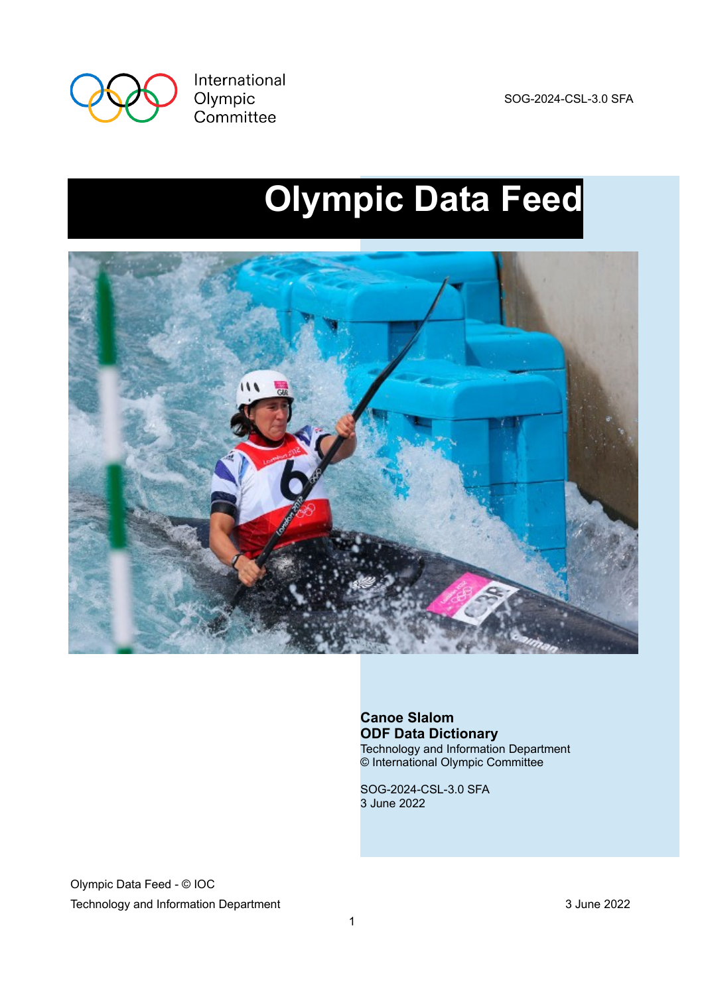

# **Olympic Data Feed**



**Canoe Slalom ODF Data Dictionary** Technology and Information Department © International Olympic Committee

SOG-2024-CSL-3.0 SFA 3 June 2022

Olympic Data Feed - © IOC Technology and Information Department 3 June 2022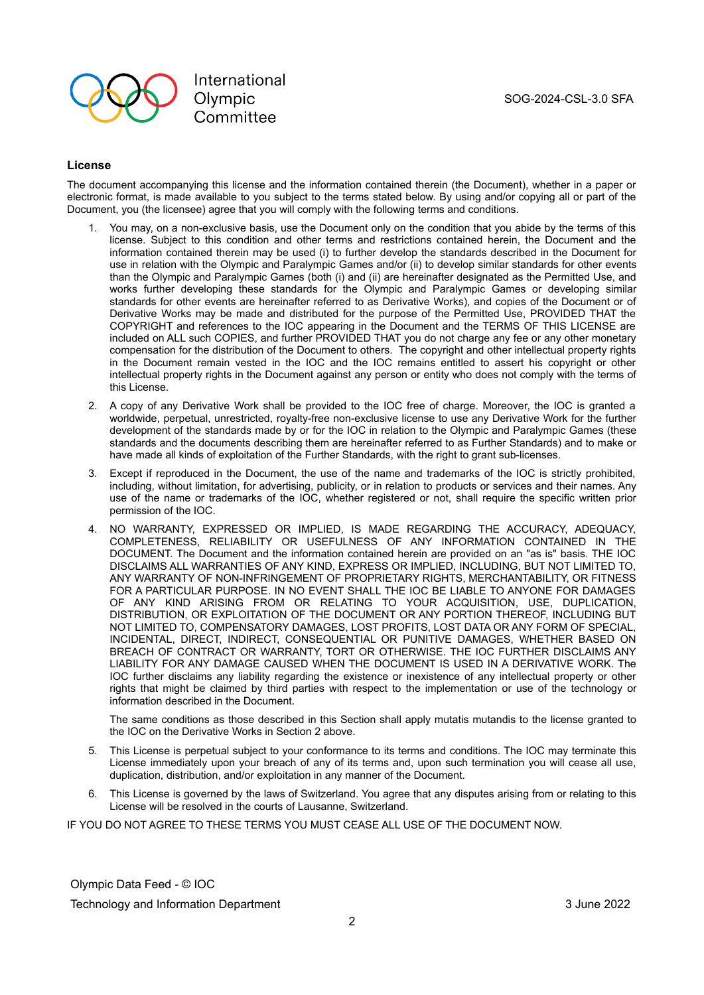

#### **License**

The document accompanying this license and the information contained therein (the Document), whether in a paper or electronic format, is made available to you subject to the terms stated below. By using and/or copying all or part of the Document, you (the licensee) agree that you will comply with the following terms and conditions.

- 1. You may, on a non-exclusive basis, use the Document only on the condition that you abide by the terms of this license. Subject to this condition and other terms and restrictions contained herein, the Document and the information contained therein may be used (i) to further develop the standards described in the Document for use in relation with the Olympic and Paralympic Games and/or (ii) to develop similar standards for other events than the Olympic and Paralympic Games (both (i) and (ii) are hereinafter designated as the Permitted Use, and works further developing these standards for the Olympic and Paralympic Games or developing similar standards for other events are hereinafter referred to as Derivative Works), and copies of the Document or of Derivative Works may be made and distributed for the purpose of the Permitted Use, PROVIDED THAT the COPYRIGHT and references to the IOC appearing in the Document and the TERMS OF THIS LICENSE are included on ALL such COPIES, and further PROVIDED THAT you do not charge any fee or any other monetary compensation for the distribution of the Document to others. The copyright and other intellectual property rights in the Document remain vested in the IOC and the IOC remains entitled to assert his copyright or other intellectual property rights in the Document against any person or entity who does not comply with the terms of this License.
- 2. A copy of any Derivative Work shall be provided to the IOC free of charge. Moreover, the IOC is granted a worldwide, perpetual, unrestricted, royalty-free non-exclusive license to use any Derivative Work for the further development of the standards made by or for the IOC in relation to the Olympic and Paralympic Games (these standards and the documents describing them are hereinafter referred to as Further Standards) and to make or have made all kinds of exploitation of the Further Standards, with the right to grant sub-licenses.
- 3. Except if reproduced in the Document, the use of the name and trademarks of the IOC is strictly prohibited, including, without limitation, for advertising, publicity, or in relation to products or services and their names. Any use of the name or trademarks of the IOC, whether registered or not, shall require the specific written prior permission of the IOC.
- 4. NO WARRANTY, EXPRESSED OR IMPLIED, IS MADE REGARDING THE ACCURACY, ADEQUACY, COMPLETENESS, RELIABILITY OR USEFULNESS OF ANY INFORMATION CONTAINED IN THE DOCUMENT. The Document and the information contained herein are provided on an "as is" basis. THE IOC DISCLAIMS ALL WARRANTIES OF ANY KIND, EXPRESS OR IMPLIED, INCLUDING, BUT NOT LIMITED TO, ANY WARRANTY OF NON-INFRINGEMENT OF PROPRIETARY RIGHTS, MERCHANTABILITY, OR FITNESS FOR A PARTICULAR PURPOSE. IN NO EVENT SHALL THE IOC BE LIABLE TO ANYONE FOR DAMAGES OF ANY KIND ARISING FROM OR RELATING TO YOUR ACQUISITION, USE, DUPLICATION, DISTRIBUTION, OR EXPLOITATION OF THE DOCUMENT OR ANY PORTION THEREOF, INCLUDING BUT NOT LIMITED TO, COMPENSATORY DAMAGES, LOST PROFITS, LOST DATA OR ANY FORM OF SPECIAL, INCIDENTAL, DIRECT, INDIRECT, CONSEQUENTIAL OR PUNITIVE DAMAGES, WHETHER BASED ON BREACH OF CONTRACT OR WARRANTY, TORT OR OTHERWISE. THE IOC FURTHER DISCLAIMS ANY LIABILITY FOR ANY DAMAGE CAUSED WHEN THE DOCUMENT IS USED IN A DERIVATIVE WORK. The IOC further disclaims any liability regarding the existence or inexistence of any intellectual property or other rights that might be claimed by third parties with respect to the implementation or use of the technology or information described in the Document.

The same conditions as those described in this Section shall apply mutatis mutandis to the license granted to the IOC on the Derivative Works in Section 2 above.

- 5. This License is perpetual subject to your conformance to its terms and conditions. The IOC may terminate this License immediately upon your breach of any of its terms and, upon such termination you will cease all use, duplication, distribution, and/or exploitation in any manner of the Document.
- 6. This License is governed by the laws of Switzerland. You agree that any disputes arising from or relating to this License will be resolved in the courts of Lausanne, Switzerland.

IF YOU DO NOT AGREE TO THESE TERMS YOU MUST CEASE ALL USE OF THE DOCUMENT NOW.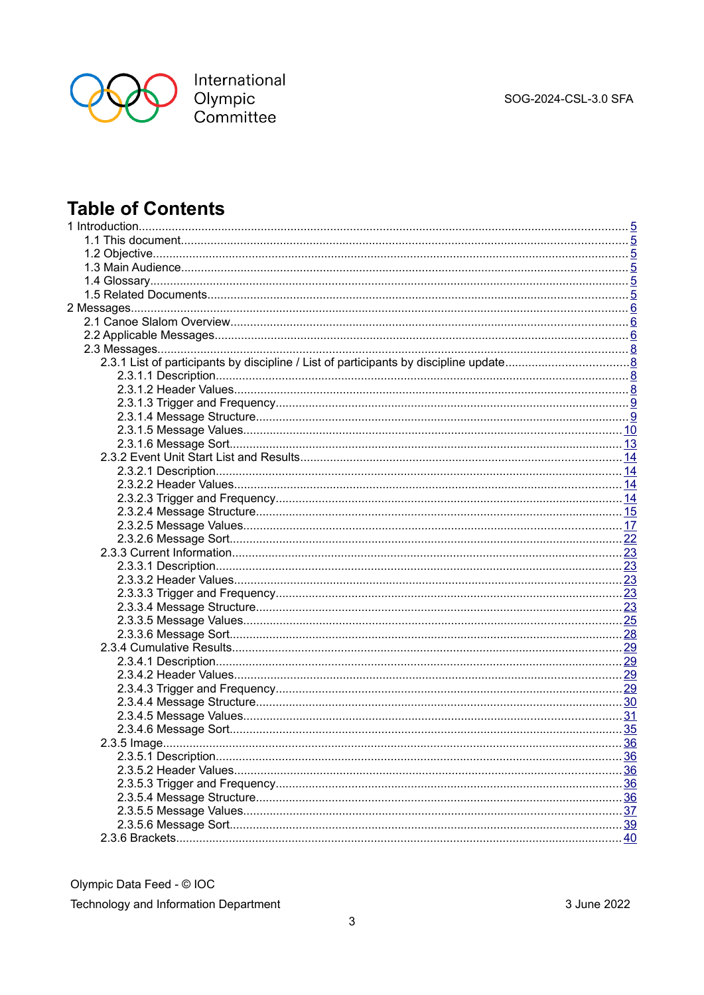

# **Table of Contents**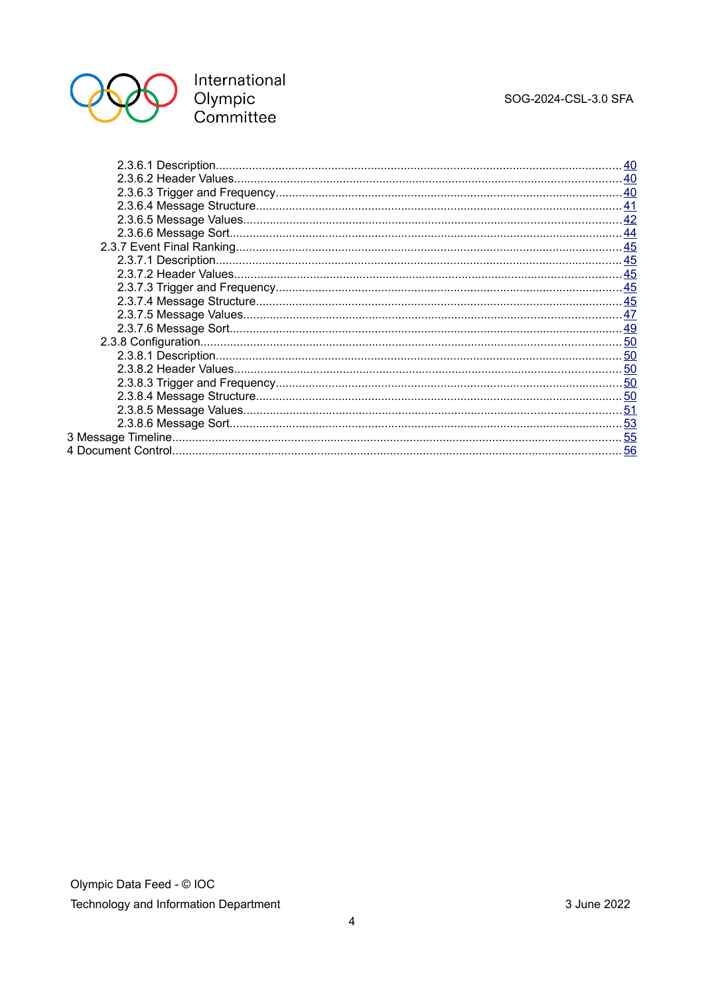

International<br>Olympic<br>Committee

#### SOG-2024-CSL-3.0 SFA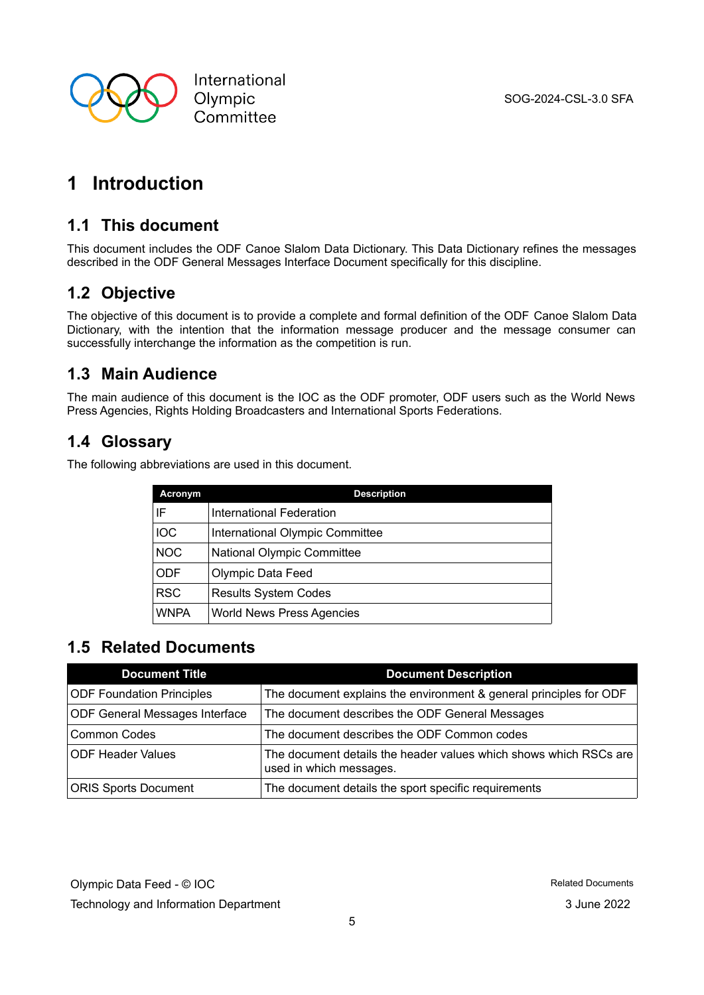SOG-2024-CSL-3.0 SFA



## <span id="page-4-5"></span>**1 Introduction**

## <span id="page-4-4"></span>**1.1 This document**

This document includes the ODF Canoe Slalom Data Dictionary. This Data Dictionary refines the messages described in the ODF General Messages Interface Document specifically for this discipline.

## <span id="page-4-3"></span>**1.2 Objective**

The objective of this document is to provide a complete and formal definition of the ODF Canoe Slalom Data Dictionary, with the intention that the information message producer and the message consumer can successfully interchange the information as the competition is run.

## <span id="page-4-2"></span>**1.3 Main Audience**

The main audience of this document is the IOC as the ODF promoter, ODF users such as the World News Press Agencies, Rights Holding Broadcasters and International Sports Federations.

## <span id="page-4-1"></span>**1.4 Glossary**

The following abbreviations are used in this document.

| Acronym     | <b>Description</b>                |  |  |  |  |
|-------------|-----------------------------------|--|--|--|--|
| IF          | International Federation          |  |  |  |  |
| <b>IOC</b>  | International Olympic Committee   |  |  |  |  |
| <b>NOC</b>  | <b>National Olympic Committee</b> |  |  |  |  |
| <b>ODF</b>  | Olympic Data Feed                 |  |  |  |  |
| <b>RSC</b>  | <b>Results System Codes</b>       |  |  |  |  |
| <b>WNPA</b> | <b>World News Press Agencies</b>  |  |  |  |  |

## <span id="page-4-0"></span>**1.5 Related Documents**

| <b>Document Title</b>                 | <b>Document Description</b>                                                                  |
|---------------------------------------|----------------------------------------------------------------------------------------------|
| <b>ODF Foundation Principles</b>      | The document explains the environment & general principles for ODF                           |
| <b>ODF General Messages Interface</b> | The document describes the ODF General Messages                                              |
| <b>Common Codes</b>                   | The document describes the ODF Common codes                                                  |
| <b>ODF Header Values</b>              | The document details the header values which shows which RSCs are<br>used in which messages. |
| <b>ORIS Sports Document</b>           | The document details the sport specific requirements                                         |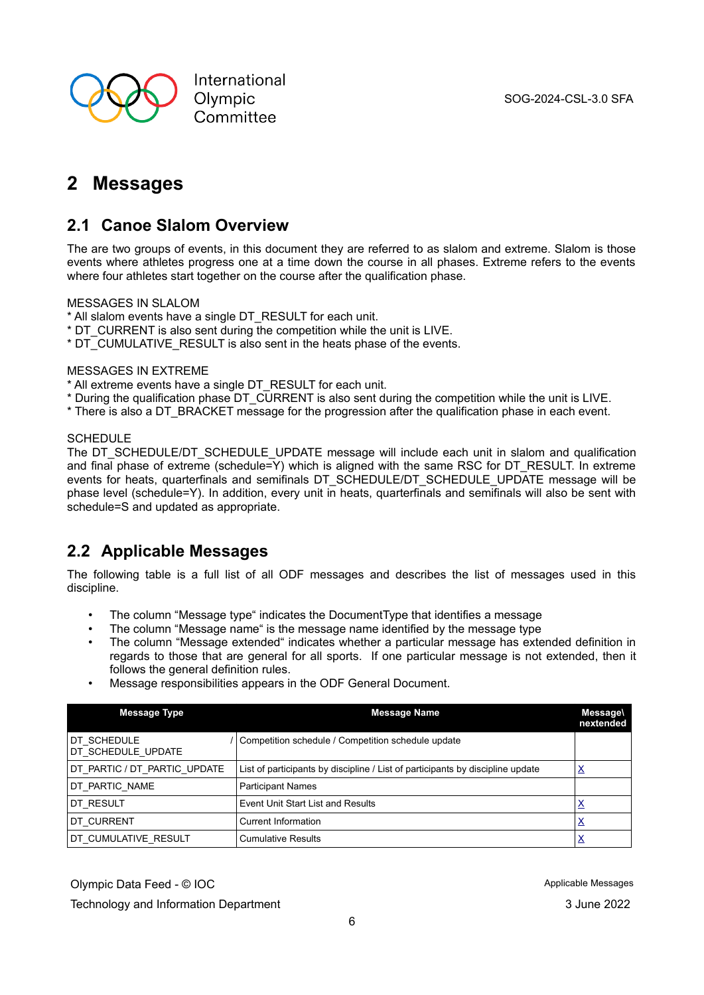

## <span id="page-5-2"></span>**2 Messages**

## <span id="page-5-1"></span>**2.1 Canoe Slalom Overview**

The are two groups of events, in this document they are referred to as slalom and extreme. Slalom is those events where athletes progress one at a time down the course in all phases. Extreme refers to the events where four athletes start together on the course after the qualification phase.

#### MESSAGES IN SLALOM

- \* All slalom events have a single DT\_RESULT for each unit.
- \* DT\_CURRENT is also sent during the competition while the unit is LIVE.
- \* DT\_CUMULATIVE\_RESULT is also sent in the heats phase of the events.

#### MESSAGES IN EXTREME

- \* All extreme events have a single DT\_RESULT for each unit.
- \* During the qualification phase DT\_CURRENT is also sent during the competition while the unit is LIVE.
- \* There is also a DT\_BRACKET message for the progression after the qualification phase in each event.

#### SCHEDULE

The DT\_SCHEDULE/DT\_SCHEDULE\_UPDATE message will include each unit in slalom and qualification and final phase of extreme (schedule=Y) which is aligned with the same RSC for DT\_RESULT. In extreme events for heats, quarterfinals and semifinals DT\_SCHEDULE/DT\_SCHEDULE\_UPDATE message will be phase level (schedule=Y). In addition, every unit in heats, quarterfinals and semifinals will also be sent with schedule=S and updated as appropriate.

## <span id="page-5-0"></span>**2.2 Applicable Messages**

The following table is a full list of all ODF messages and describes the list of messages used in this discipline.

- The column "Message type" indicates the DocumentType that identifies a message
- The column "Message name" is the message name identified by the message type
- The column "Message extended" indicates whether a particular message has extended definition in regards to those that are general for all sports. If one particular message is not extended, then it follows the general definition rules.
- **Message Type Message Name Message\ nextended** DT\_SCHEDULE DT\_SCHEDULE\_UPDATE Competition schedule / Competition schedule update DT\_PARTIC / DT\_PARTIC\_UPDATE List of participants by discipline / List of participants by discipline update  $X$ DT\_PARTIC\_NAME Participant Names  $DT$  RESULT Event Unit Start List and Results  $\begin{array}{c} \times \end{array}$  $DT$  CURRENT  $\vert$  Current Information  $\vert$   $\times$ DT\_CUMULATIVE\_RESULT Cumulative Results [X](#page-28-2)X
- Message responsibilities appears in the ODF General Document.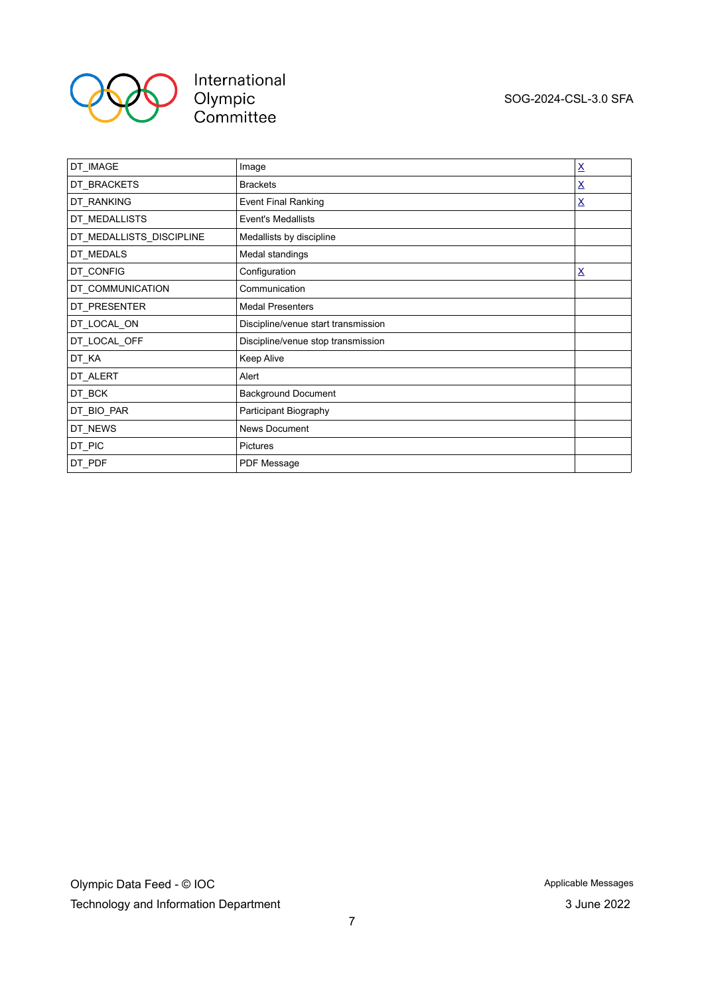

| DT_IMAGE                 | Image                               | $\underline{X}$          |
|--------------------------|-------------------------------------|--------------------------|
| DT_BRACKETS              | <b>Brackets</b>                     | $\underline{\mathsf{X}}$ |
| DT_RANKING               | <b>Event Final Ranking</b>          | $\underline{\mathsf{X}}$ |
| DT_MEDALLISTS            | <b>Event's Medallists</b>           |                          |
| DT_MEDALLISTS_DISCIPLINE | Medallists by discipline            |                          |
| DT_MEDALS                | Medal standings                     |                          |
| DT_CONFIG                | Configuration                       | $\underline{\mathsf{X}}$ |
| DT_COMMUNICATION         | Communication                       |                          |
| DT_PRESENTER             | <b>Medal Presenters</b>             |                          |
| DT_LOCAL_ON              | Discipline/venue start transmission |                          |
| DT_LOCAL_OFF             | Discipline/venue stop transmission  |                          |
| DT_KA                    | Keep Alive                          |                          |
| DT_ALERT                 | Alert                               |                          |
| DT_BCK                   | <b>Background Document</b>          |                          |
| DT_BIO_PAR               | Participant Biography               |                          |
| DT_NEWS                  | <b>News Document</b>                |                          |
| DT_PIC                   | <b>Pictures</b>                     |                          |
| DT_PDF                   | PDF Message                         |                          |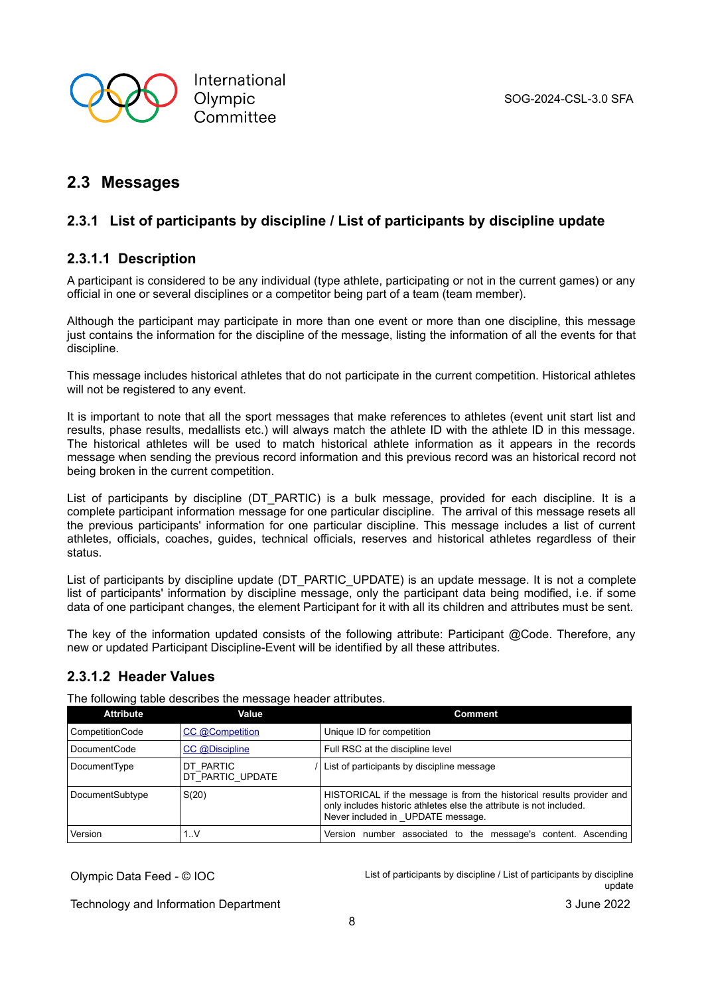

## <span id="page-7-3"></span>**2.3 Messages**

#### <span id="page-7-2"></span>**2.3.1 List of participants by discipline / List of participants by discipline update**

#### <span id="page-7-1"></span>**2.3.1.1 Description**

A participant is considered to be any individual (type athlete, participating or not in the current games) or any official in one or several disciplines or a competitor being part of a team (team member).

Although the participant may participate in more than one event or more than one discipline, this message just contains the information for the discipline of the message, listing the information of all the events for that discipline.

This message includes historical athletes that do not participate in the current competition. Historical athletes will not be registered to any event.

It is important to note that all the sport messages that make references to athletes (event unit start list and results, phase results, medallists etc.) will always match the athlete ID with the athlete ID in this message. The historical athletes will be used to match historical athlete information as it appears in the records message when sending the previous record information and this previous record was an historical record not being broken in the current competition.

List of participants by discipline (DT\_PARTIC) is a bulk message, provided for each discipline. It is a complete participant information message for one particular discipline. The arrival of this message resets all the previous participants' information for one particular discipline. This message includes a list of current athletes, officials, coaches, guides, technical officials, reserves and historical athletes regardless of their status.

List of participants by discipline update (DT\_PARTIC\_UPDATE) is an update message. It is not a complete list of participants' information by discipline message, only the participant data being modified, i.e. if some data of one participant changes, the element Participant for it with all its children and attributes must be sent.

The key of the information updated consists of the following attribute: Participant @Code. Therefore, any new or updated Participant Discipline-Event will be identified by all these attributes.

#### <span id="page-7-0"></span>**2.3.1.2 Header Values**

The following table describes the message header attributes.

| <b>Attribute</b> | Value                         | <b>Comment</b>                                                                                                                                                                    |
|------------------|-------------------------------|-----------------------------------------------------------------------------------------------------------------------------------------------------------------------------------|
| CompetitionCode  | CC @Competition               | Unique ID for competition                                                                                                                                                         |
| DocumentCode     | CC @Discipline                | Full RSC at the discipline level                                                                                                                                                  |
| DocumentType     | DT PARTIC<br>DT PARTIC UPDATE | List of participants by discipline message                                                                                                                                        |
| DocumentSubtype  | S(20)                         | HISTORICAL if the message is from the historical results provider and<br>only includes historic athletes else the attribute is not included.<br>Never included in UPDATE message. |
| Version          | 1. V                          | Version number associated to the message's content. Ascending                                                                                                                     |

Olympic Data Feed - © IOC List of participants by discipline / List of participants by discipline update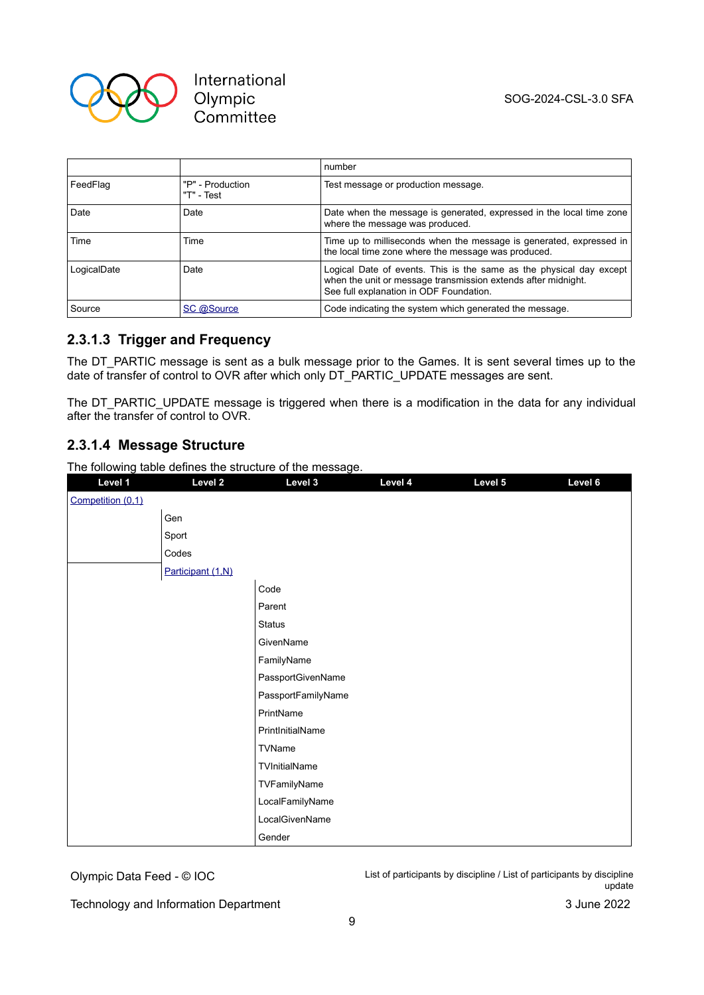

|             |                                | number                                                                                                                                                                          |
|-------------|--------------------------------|---------------------------------------------------------------------------------------------------------------------------------------------------------------------------------|
| FeedFlag    | "P" - Production<br>"T" - Test | Test message or production message.                                                                                                                                             |
| Date        | Date                           | Date when the message is generated, expressed in the local time zone  <br>where the message was produced.                                                                       |
| Time        | Time                           | Time up to milliseconds when the message is generated, expressed in<br>the local time zone where the message was produced.                                                      |
| LogicalDate | Date                           | Logical Date of events. This is the same as the physical day except<br>when the unit or message transmission extends after midnight.<br>See full explanation in ODF Foundation. |
| Source      | SC @Source                     | Code indicating the system which generated the message.                                                                                                                         |

#### <span id="page-8-1"></span>**2.3.1.3 Trigger and Frequency**

The DT\_PARTIC message is sent as a bulk message prior to the Games. It is sent several times up to the date of transfer of control to OVR after which only DT\_PARTIC\_UPDATE messages are sent.

The DT\_PARTIC\_UPDATE message is triggered when there is a modification in the data for any individual after the transfer of control to OVR.

#### <span id="page-8-0"></span>**2.3.1.4 Message Structure**

The following table defines the structure of the message.

| Level 1           | Level <sub>2</sub> | Level 3            | Level 4 | Level 5 | Level 6 |
|-------------------|--------------------|--------------------|---------|---------|---------|
| Competition (0,1) |                    |                    |         |         |         |
|                   | Gen                |                    |         |         |         |
|                   | Sport              |                    |         |         |         |
|                   | Codes              |                    |         |         |         |
|                   | Participant (1,N)  |                    |         |         |         |
|                   |                    | Code               |         |         |         |
|                   |                    | Parent             |         |         |         |
|                   |                    | Status             |         |         |         |
|                   |                    | GivenName          |         |         |         |
|                   |                    | FamilyName         |         |         |         |
|                   |                    | PassportGivenName  |         |         |         |
|                   |                    | PassportFamilyName |         |         |         |
|                   |                    | PrintName          |         |         |         |
|                   |                    | PrintlnitialName   |         |         |         |
|                   |                    | TVName             |         |         |         |
|                   |                    | TVInitialName      |         |         |         |
|                   |                    | TVFamilyName       |         |         |         |
|                   |                    | LocalFamilyName    |         |         |         |
|                   |                    | LocalGivenName     |         |         |         |
|                   |                    | Gender             |         |         |         |

Olympic Data Feed - © IOC **List of participants by discipline** / List of participants by discipline update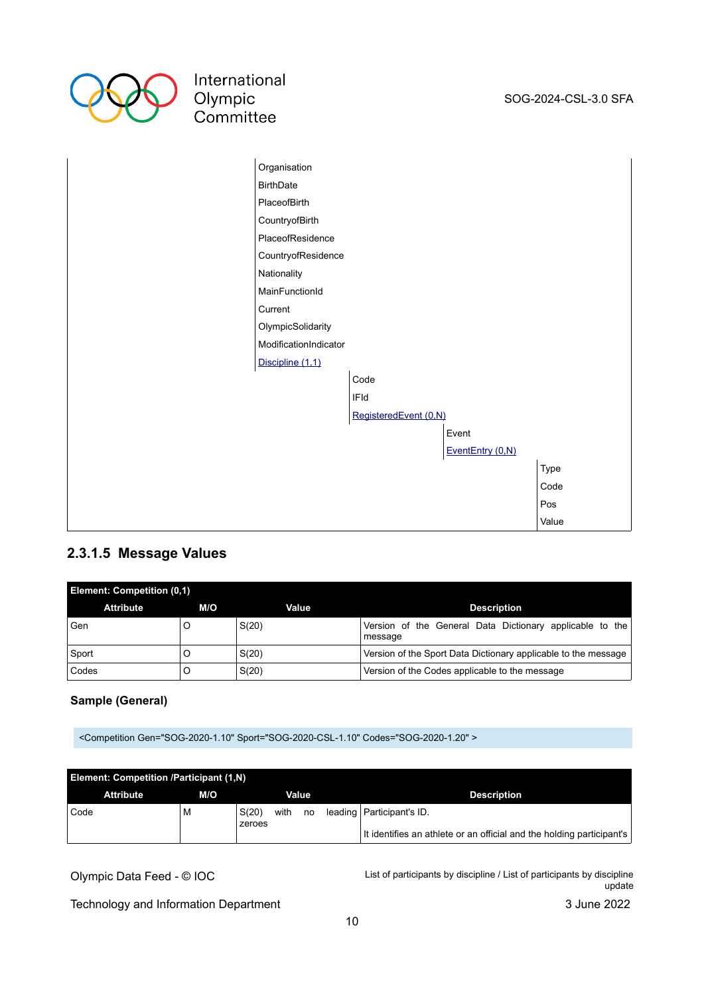

| Organisation          |                       |                  |       |
|-----------------------|-----------------------|------------------|-------|
| <b>BirthDate</b>      |                       |                  |       |
| PlaceofBirth          |                       |                  |       |
| CountryofBirth        |                       |                  |       |
| PlaceofResidence      |                       |                  |       |
| CountryofResidence    |                       |                  |       |
| Nationality           |                       |                  |       |
| MainFunctionId        |                       |                  |       |
| Current               |                       |                  |       |
| OlympicSolidarity     |                       |                  |       |
| ModificationIndicator |                       |                  |       |
| Discipline (1,1)      |                       |                  |       |
|                       | Code                  |                  |       |
|                       | IFId                  |                  |       |
|                       | RegisteredEvent (0,N) |                  |       |
|                       |                       | Event            |       |
|                       |                       | EventEntry (0,N) |       |
|                       |                       |                  | Type  |
|                       |                       |                  | Code  |
|                       |                       |                  | Pos   |
|                       |                       |                  | Value |

## <span id="page-9-0"></span>**2.3.1.5 Message Values**

<span id="page-9-2"></span>

| <b>Element: Competition (0,1)</b> |     |       |                                                                     |  |  |  |
|-----------------------------------|-----|-------|---------------------------------------------------------------------|--|--|--|
| <b>Attribute</b>                  | M/O | Value | <b>Description</b>                                                  |  |  |  |
| Gen                               |     | S(20) | Version of the General Data Dictionary applicable to the<br>message |  |  |  |
| Sport                             |     | S(20) | Version of the Sport Data Dictionary applicable to the message      |  |  |  |
| Codes                             |     | S(20) | Version of the Codes applicable to the message                      |  |  |  |

#### **Sample (General)**

<Competition Gen="SOG-2020-1.10" Sport="SOG-2020-CSL-1.10" Codes="SOG-2020-1.20" >

<span id="page-9-1"></span>

| <b>Element: Competition /Participant (1,N)</b> |     |                 |            |  |                                                                       |
|------------------------------------------------|-----|-----------------|------------|--|-----------------------------------------------------------------------|
| <b>Attribute</b>                               | M/O |                 | Value      |  | <b>Description</b>                                                    |
| Code                                           | M   | S(20)<br>zeroes | with<br>no |  | leading   Participant's ID.                                           |
|                                                |     |                 |            |  | It identifies an athlete or an official and the holding participant's |

Olympic Data Feed - © IOC List of participants by discipline / List of participants by discipline update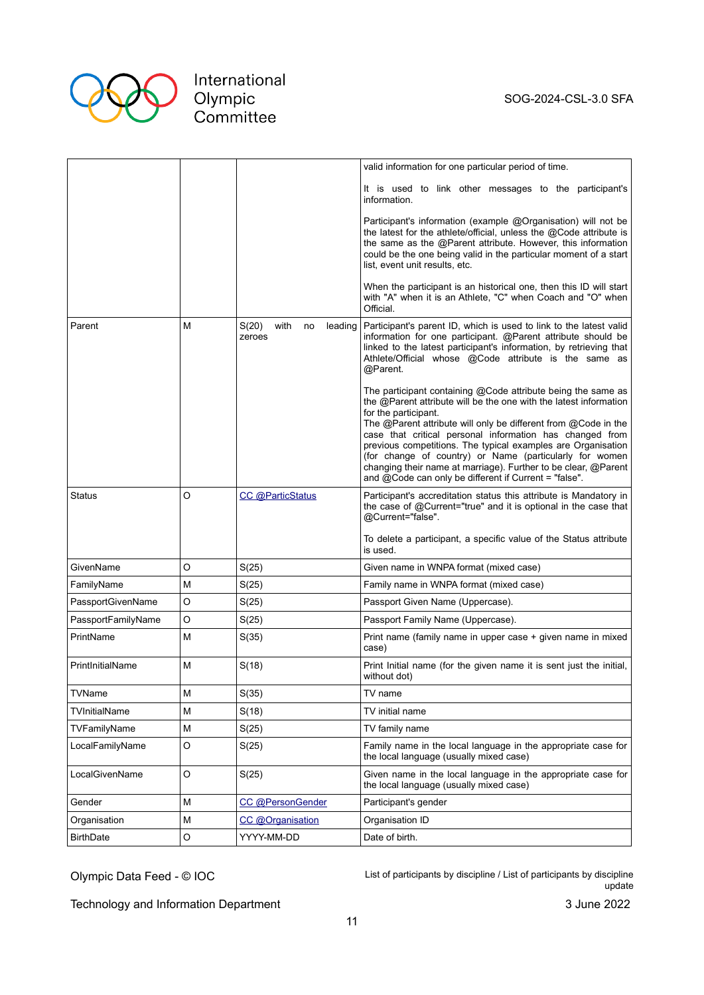

#### SOG-2024-CSL-3.0 SFA

|                    |   |                                          | valid information for one particular period of time.                                                                                                                                                                                                                                                                                                                                                                                                                                                                                          |
|--------------------|---|------------------------------------------|-----------------------------------------------------------------------------------------------------------------------------------------------------------------------------------------------------------------------------------------------------------------------------------------------------------------------------------------------------------------------------------------------------------------------------------------------------------------------------------------------------------------------------------------------|
|                    |   |                                          | It is used to link other messages to the participant's<br>information.                                                                                                                                                                                                                                                                                                                                                                                                                                                                        |
|                    |   |                                          | Participant's information (example @Organisation) will not be<br>the latest for the athlete/official, unless the @Code attribute is<br>the same as the @Parent attribute. However, this information<br>could be the one being valid in the particular moment of a start<br>list, event unit results, etc.                                                                                                                                                                                                                                     |
|                    |   |                                          | When the participant is an historical one, then this ID will start<br>with "A" when it is an Athlete, "C" when Coach and "O" when<br>Official.                                                                                                                                                                                                                                                                                                                                                                                                |
| Parent             | М | with<br>S(20)<br>no<br>leading<br>zeroes | Participant's parent ID, which is used to link to the latest valid<br>information for one participant. @Parent attribute should be<br>linked to the latest participant's information, by retrieving that<br>Athlete/Official whose @Code attribute is the same as<br>@Parent.                                                                                                                                                                                                                                                                 |
|                    |   |                                          | The participant containing @Code attribute being the same as<br>the @Parent attribute will be the one with the latest information<br>for the participant.<br>The @Parent attribute will only be different from @Code in the<br>case that critical personal information has changed from<br>previous competitions. The typical examples are Organisation<br>(for change of country) or Name (particularly for women<br>changing their name at marriage). Further to be clear, @Parent<br>and @Code can only be different if Current = "false". |
| Status             | O | CC @ParticStatus                         | Participant's accreditation status this attribute is Mandatory in<br>the case of @Current="true" and it is optional in the case that<br>@Current="false".                                                                                                                                                                                                                                                                                                                                                                                     |
|                    |   |                                          | To delete a participant, a specific value of the Status attribute<br>is used.                                                                                                                                                                                                                                                                                                                                                                                                                                                                 |
| GivenName          | O | S(25)                                    | Given name in WNPA format (mixed case)                                                                                                                                                                                                                                                                                                                                                                                                                                                                                                        |
| FamilyName         | М | S(25)                                    | Family name in WNPA format (mixed case)                                                                                                                                                                                                                                                                                                                                                                                                                                                                                                       |
| PassportGivenName  | O | S(25)                                    | Passport Given Name (Uppercase).                                                                                                                                                                                                                                                                                                                                                                                                                                                                                                              |
| PassportFamilyName | O | S(25)                                    | Passport Family Name (Uppercase).                                                                                                                                                                                                                                                                                                                                                                                                                                                                                                             |
| PrintName          | М | S(35)                                    | Print name (family name in upper case + given name in mixed<br>case)                                                                                                                                                                                                                                                                                                                                                                                                                                                                          |
| PrintlnitialName   | М | S(18)                                    | Print Initial name (for the given name it is sent just the initial,<br>without dot)                                                                                                                                                                                                                                                                                                                                                                                                                                                           |
| TVName             | M | S(35)                                    | TV name                                                                                                                                                                                                                                                                                                                                                                                                                                                                                                                                       |
| TVInitialName      | М | S(18)                                    | TV initial name                                                                                                                                                                                                                                                                                                                                                                                                                                                                                                                               |
| TVFamilyName       | M | S(25)                                    | TV family name                                                                                                                                                                                                                                                                                                                                                                                                                                                                                                                                |
| LocalFamilyName    | O | S(25)                                    | Family name in the local language in the appropriate case for<br>the local language (usually mixed case)                                                                                                                                                                                                                                                                                                                                                                                                                                      |
| LocalGivenName     | O | S(25)                                    | Given name in the local language in the appropriate case for<br>the local language (usually mixed case)                                                                                                                                                                                                                                                                                                                                                                                                                                       |
| Gender             | М | CC @PersonGender                         | Participant's gender                                                                                                                                                                                                                                                                                                                                                                                                                                                                                                                          |
| Organisation       | M | CC @Organisation                         | Organisation ID                                                                                                                                                                                                                                                                                                                                                                                                                                                                                                                               |
| <b>BirthDate</b>   | O | YYYY-MM-DD                               | Date of birth.                                                                                                                                                                                                                                                                                                                                                                                                                                                                                                                                |

Olympic Data Feed - © IOC List of participants by discipline / List of participants by discipline update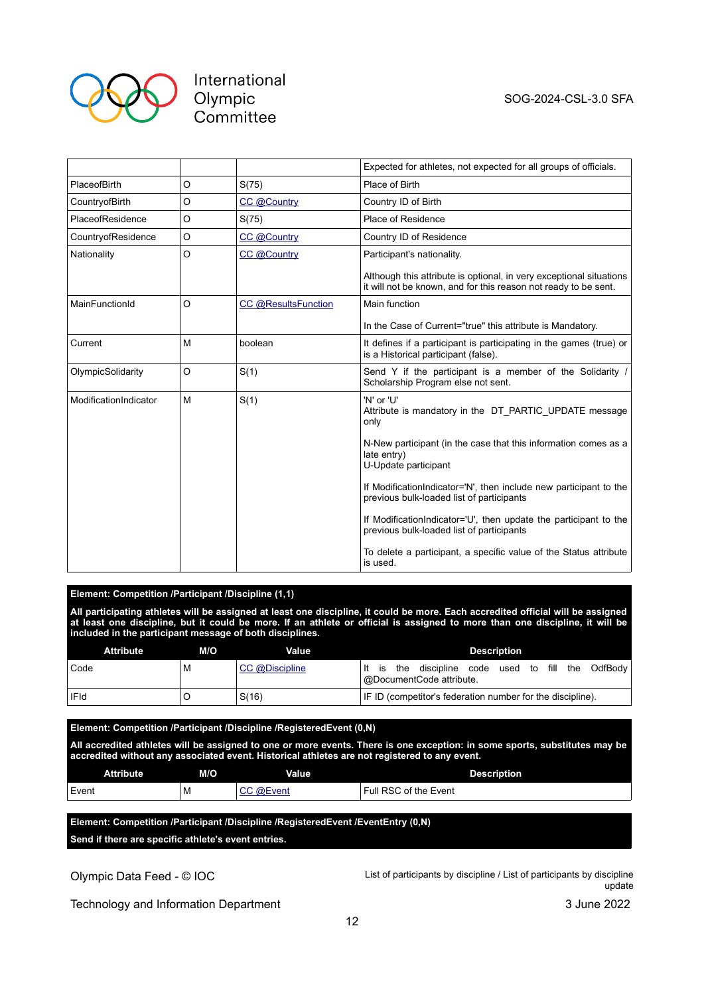

|                       |         |                     | Expected for athletes, not expected for all groups of officials.                                                                       |
|-----------------------|---------|---------------------|----------------------------------------------------------------------------------------------------------------------------------------|
| PlaceofBirth          | O       | S(75)               | Place of Birth                                                                                                                         |
| CountryofBirth        | O       | CC @Country         | Country ID of Birth                                                                                                                    |
| PlaceofResidence      | O       | S(75)               | Place of Residence                                                                                                                     |
| CountryofResidence    | O       | CC @Country         | Country ID of Residence                                                                                                                |
| Nationality           | O       | CC @Country         | Participant's nationality.                                                                                                             |
|                       |         |                     | Although this attribute is optional, in very exceptional situations<br>it will not be known, and for this reason not ready to be sent. |
| MainFunctionId        | $\circ$ | CC @ResultsFunction | Main function                                                                                                                          |
|                       |         |                     | In the Case of Current="true" this attribute is Mandatory.                                                                             |
| Current               | M       | boolean             | It defines if a participant is participating in the games (true) or<br>is a Historical participant (false).                            |
| OlympicSolidarity     | O       | S(1)                | Send Y if the participant is a member of the Solidarity /<br>Scholarship Program else not sent.                                        |
| ModificationIndicator | M       | S(1)                | 'N' or 'U'<br>Attribute is mandatory in the DT PARTIC UPDATE message<br>only                                                           |
|                       |         |                     | N-New participant (in the case that this information comes as a<br>late entry)<br>U-Update participant                                 |
|                       |         |                     | If Modification Indicator='N', then include new participant to the<br>previous bulk-loaded list of participants                        |
|                       |         |                     | If Modification Indicator='U', then update the participant to the<br>previous bulk-loaded list of participants                         |
|                       |         |                     | To delete a participant, a specific value of the Status attribute<br>is used.                                                          |

#### <span id="page-11-2"></span>**Element: Competition /Participant /Discipline (1,1)**

**All participating athletes will be assigned at least one discipline, it could be more. Each accredited official will be assigned at least one discipline, but it could be more. If an athlete or official is assigned to more than one discipline, it will be included in the participant message of both disciplines.**

| <b>Attribute</b> | M/O | Value          | Description                                                                       |
|------------------|-----|----------------|-----------------------------------------------------------------------------------|
| Code             | M   | CC @Discipline | the discipline code used to fill the OdfBody<br>lt is<br>@DocumentCode attribute. |
| IFId             |     | S(16)          | IF ID (competitor's federation number for the discipline).                        |

<span id="page-11-1"></span>**Element: Competition /Participant /Discipline /RegisteredEvent (0,N)**

| All accredited athletes will be assigned to one or more events. There is one exception: in some sports, substitutes may be<br>accredited without any associated event. Historical athletes are not registered to any event. |     |           |                       |  |  |
|-----------------------------------------------------------------------------------------------------------------------------------------------------------------------------------------------------------------------------|-----|-----------|-----------------------|--|--|
| <b>Attribute</b>                                                                                                                                                                                                            | M/O | Value     | Description           |  |  |
| l Event                                                                                                                                                                                                                     | м   | CC @Event | Full RSC of the Event |  |  |

<span id="page-11-0"></span>**Element: Competition /Participant /Discipline /RegisteredEvent /EventEntry (0,N) Send if there are specific athlete's event entries.**

Olympic Data Feed - © IOC List of participants by discipline / List of participants by discipline update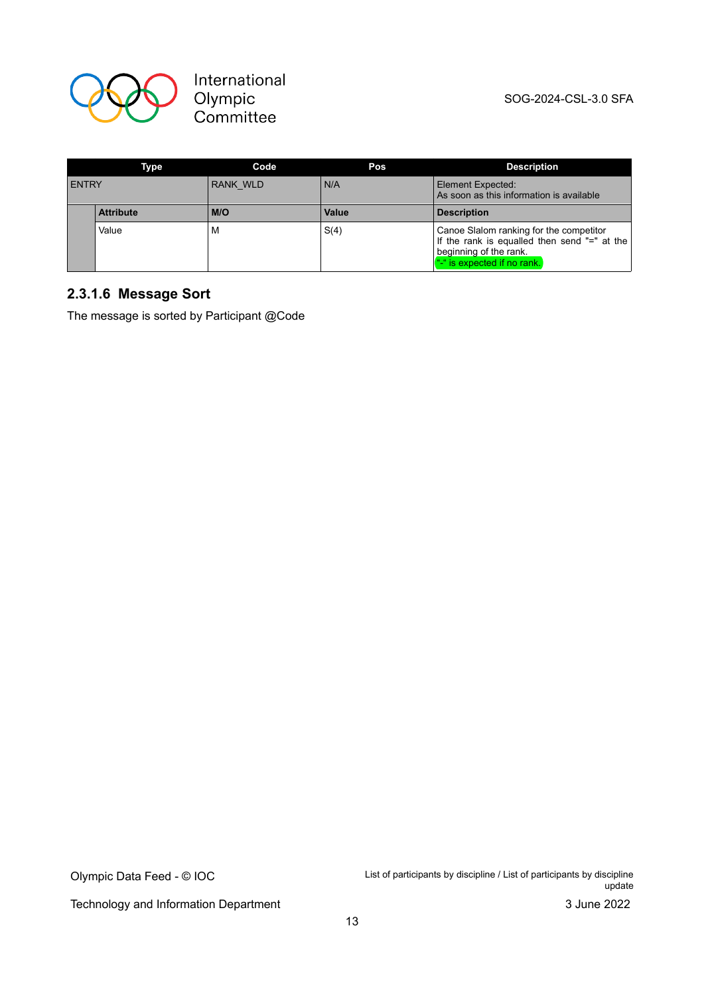

#### SOG-2024-CSL-3.0 SFA

|              | Type             | Code            | Pos          | <b>Description</b>                                                                                                                                   |
|--------------|------------------|-----------------|--------------|------------------------------------------------------------------------------------------------------------------------------------------------------|
| <b>ENTRY</b> |                  | <b>RANK WLD</b> | N/A          | Element Expected:<br>As soon as this information is available                                                                                        |
|              | <b>Attribute</b> | M/O             | <b>Value</b> | <b>Description</b>                                                                                                                                   |
|              | Value            | М               | S(4)         | Canoe Slalom ranking for the competitor<br>If the rank is equalled then send "=" at the $ $<br>beginning of the rank.<br>"-" is expected if no rank. |

## <span id="page-12-0"></span>**2.3.1.6 Message Sort**

The message is sorted by Participant @Code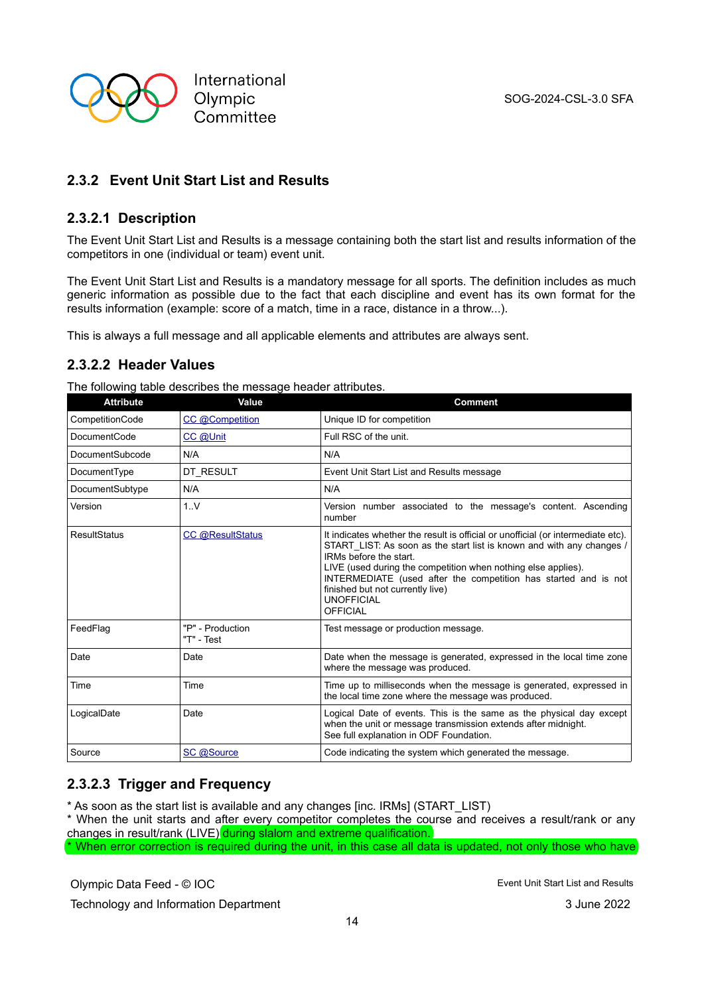

## <span id="page-13-3"></span>**2.3.2 Event Unit Start List and Results**

#### <span id="page-13-2"></span>**2.3.2.1 Description**

The Event Unit Start List and Results is a message containing both the start list and results information of the competitors in one (individual or team) event unit.

The Event Unit Start List and Results is a mandatory message for all sports. The definition includes as much generic information as possible due to the fact that each discipline and event has its own format for the results information (example: score of a match, time in a race, distance in a throw...).

This is always a full message and all applicable elements and attributes are always sent.

#### <span id="page-13-1"></span>**2.3.2.2 Header Values**

The following table describes the message header attributes.

| <b>Attribute</b>       | Value                          | <b>Comment</b>                                                                                                                                                                                                                                                                                                                                                                                      |  |  |
|------------------------|--------------------------------|-----------------------------------------------------------------------------------------------------------------------------------------------------------------------------------------------------------------------------------------------------------------------------------------------------------------------------------------------------------------------------------------------------|--|--|
| CompetitionCode        | CC @Competition                | Unique ID for competition                                                                                                                                                                                                                                                                                                                                                                           |  |  |
| <b>DocumentCode</b>    | CC @Unit                       | Full RSC of the unit.                                                                                                                                                                                                                                                                                                                                                                               |  |  |
| <b>DocumentSubcode</b> | N/A                            | N/A                                                                                                                                                                                                                                                                                                                                                                                                 |  |  |
| DocumentType           | DT RESULT                      | Event Unit Start List and Results message                                                                                                                                                                                                                                                                                                                                                           |  |  |
| DocumentSubtype        | N/A                            | N/A                                                                                                                                                                                                                                                                                                                                                                                                 |  |  |
| Version                | 1.1V                           | Version number associated to the message's content. Ascending<br>number                                                                                                                                                                                                                                                                                                                             |  |  |
| <b>ResultStatus</b>    | CC @ResultStatus               | It indicates whether the result is official or unofficial (or intermediate etc).<br>START LIST: As soon as the start list is known and with any changes /<br>IRMs before the start.<br>LIVE (used during the competition when nothing else applies).<br>INTERMEDIATE (used after the competition has started and is not<br>finished but not currently live)<br><b>UNOFFICIAL</b><br><b>OFFICIAL</b> |  |  |
| FeedFlag               | "P" - Production<br>"T" - Test | Test message or production message.                                                                                                                                                                                                                                                                                                                                                                 |  |  |
| Date                   | Date                           | Date when the message is generated, expressed in the local time zone<br>where the message was produced.                                                                                                                                                                                                                                                                                             |  |  |
| Time                   | Time                           | Time up to milliseconds when the message is generated, expressed in<br>the local time zone where the message was produced.                                                                                                                                                                                                                                                                          |  |  |
| LogicalDate            | Date                           | Logical Date of events. This is the same as the physical day except<br>when the unit or message transmission extends after midnight.<br>See full explanation in ODF Foundation.                                                                                                                                                                                                                     |  |  |
| Source                 | SC @Source                     | Code indicating the system which generated the message.                                                                                                                                                                                                                                                                                                                                             |  |  |

#### <span id="page-13-0"></span>**2.3.2.3 Trigger and Frequency**

\* As soon as the start list is available and any changes [inc. IRMs] (START\_LIST)

\* When the unit starts and after every competitor completes the course and receives a result/rank or any changes in result/rank (LIVE) during slalom and extreme qualification.

\* When error correction is required during the unit, in this case all data is updated, not only those who have

Olympic Data Feed - © IOC **Event Unit Start List and Results**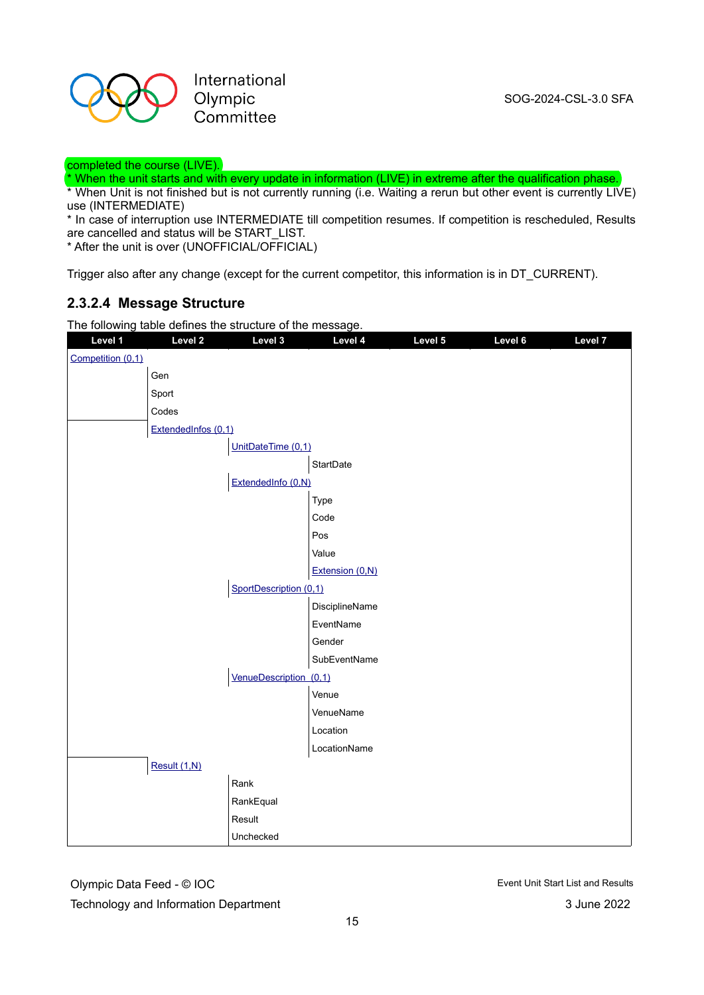

#### completed the course (LIVE).

When the unit starts and with every update in information (LIVE) in extreme after the qualification phase.

\* When Unit is not finished but is not currently running (i.e. Waiting a rerun but other event is currently LIVE) use (INTERMEDIATE)

\* In case of interruption use INTERMEDIATE till competition resumes. If competition is rescheduled, Results are cancelled and status will be START\_LIST.

\* After the unit is over (UNOFFICIAL/OFFICIAL)

Trigger also after any change (except for the current competitor, this information is in DT\_CURRENT).

#### <span id="page-14-0"></span>**2.3.2.4 Message Structure**

The following table defines the structure of the message.

| Level 1           | Level 2             | Level 3                | Level 4         | Level 5 | Level 6 | Level 7 |
|-------------------|---------------------|------------------------|-----------------|---------|---------|---------|
| Competition (0,1) |                     |                        |                 |         |         |         |
|                   | Gen                 |                        |                 |         |         |         |
|                   | Sport               |                        |                 |         |         |         |
|                   | Codes               |                        |                 |         |         |         |
|                   | ExtendedInfos (0,1) |                        |                 |         |         |         |
|                   |                     | UnitDateTime (0,1)     |                 |         |         |         |
|                   |                     |                        | StartDate       |         |         |         |
|                   |                     | ExtendedInfo (0,N)     |                 |         |         |         |
|                   |                     |                        | Type            |         |         |         |
|                   |                     |                        | Code            |         |         |         |
|                   |                     |                        | Pos             |         |         |         |
|                   |                     |                        | Value           |         |         |         |
|                   |                     |                        | Extension (0,N) |         |         |         |
|                   |                     | SportDescription (0,1) |                 |         |         |         |
|                   |                     |                        | DisciplineName  |         |         |         |
|                   |                     |                        | EventName       |         |         |         |
|                   |                     |                        | Gender          |         |         |         |
|                   |                     |                        | SubEventName    |         |         |         |
|                   |                     | VenueDescription (0,1) |                 |         |         |         |
|                   |                     |                        | Venue           |         |         |         |
|                   |                     |                        | VenueName       |         |         |         |
|                   |                     |                        | Location        |         |         |         |
|                   |                     |                        | LocationName    |         |         |         |
|                   | Result (1,N)        |                        |                 |         |         |         |
|                   |                     | Rank                   |                 |         |         |         |
|                   |                     | RankEqual              |                 |         |         |         |
|                   |                     | Result                 |                 |         |         |         |
|                   |                     | Unchecked              |                 |         |         |         |

Olympic Data Feed - © IOC **Event Unit Start List and Results** Technology and Information Department 3 June 2022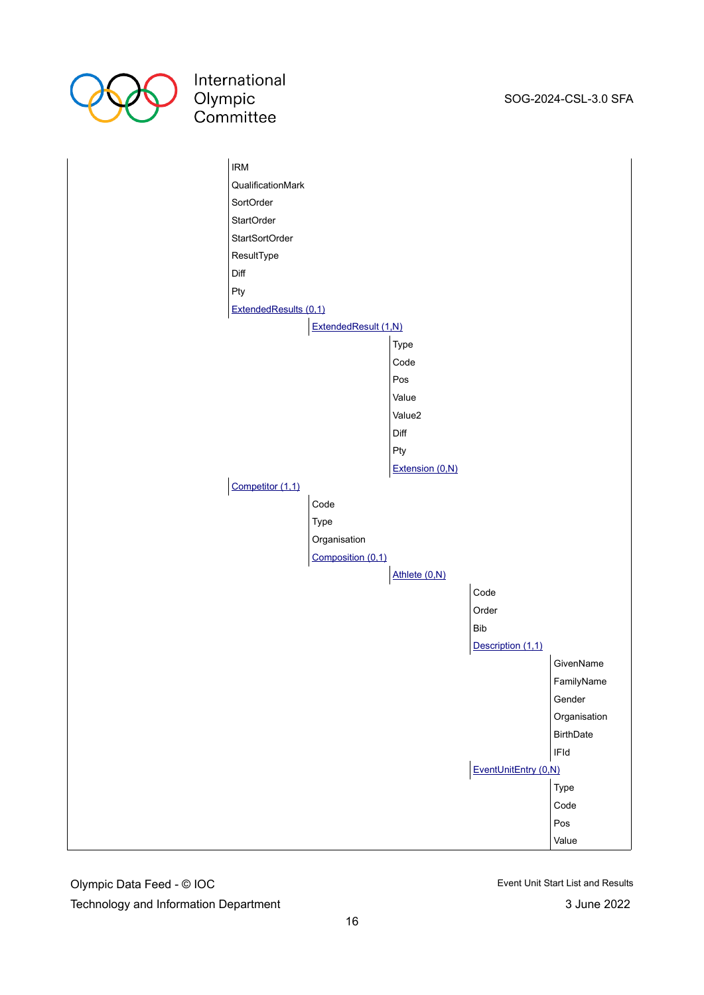



Olympic Data Feed - © IOC **Example 2018** Event Unit Start List and Results Technology and Information Department 3 June 2022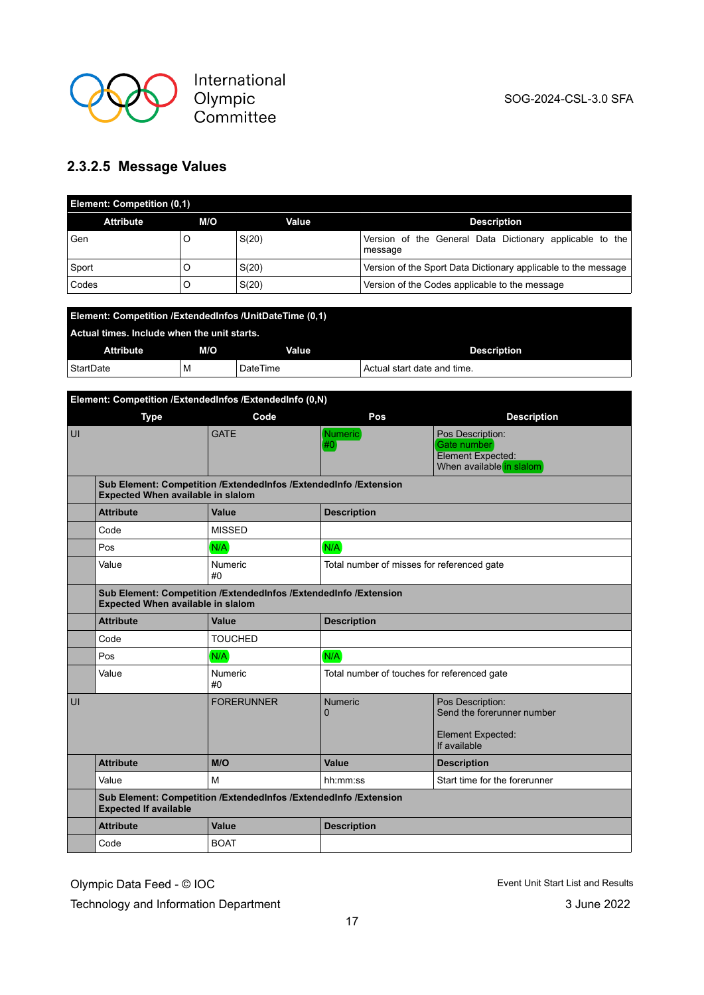

## <span id="page-16-0"></span>**2.3.2.5 Message Values**

<span id="page-16-3"></span><span id="page-16-2"></span><span id="page-16-1"></span>

|           | Element: Competition (0,1)                              |         |                                    |                                                                  |                                                                     |                                                |                    |  |  |
|-----------|---------------------------------------------------------|---------|------------------------------------|------------------------------------------------------------------|---------------------------------------------------------------------|------------------------------------------------|--------------------|--|--|
|           | <b>Attribute</b>                                        |         | M/O                                | Value                                                            |                                                                     | <b>Description</b>                             |                    |  |  |
| Gen       |                                                         | O       | S(20)                              |                                                                  | Version of the General Data Dictionary applicable to the<br>message |                                                |                    |  |  |
| Sport     |                                                         | O       | S(20)                              |                                                                  | Version of the Sport Data Dictionary applicable to the message      |                                                |                    |  |  |
| Codes     |                                                         | $\circ$ | S(20)                              |                                                                  | Version of the Codes applicable to the message                      |                                                |                    |  |  |
|           |                                                         |         |                                    |                                                                  |                                                                     |                                                |                    |  |  |
|           | Element: Competition /ExtendedInfos /UnitDateTime (0,1) |         |                                    |                                                                  |                                                                     |                                                |                    |  |  |
|           | Actual times. Include when the unit starts.             |         |                                    |                                                                  |                                                                     |                                                |                    |  |  |
|           | <b>Attribute</b>                                        |         | M/O                                | Value                                                            |                                                                     | <b>Description</b>                             |                    |  |  |
| StartDate |                                                         | м       | <b>DateTime</b>                    |                                                                  | Actual start date and time.                                         |                                                |                    |  |  |
|           | Element: Competition /ExtendedInfos /ExtendedInfo (0,N) |         |                                    |                                                                  |                                                                     |                                                |                    |  |  |
|           | <b>Type</b>                                             |         | Code                               |                                                                  | Pos                                                                 |                                                | <b>Description</b> |  |  |
| UI        |                                                         |         | <b>GATE</b>                        | <b>Numeric</b>                                                   |                                                                     | Pos Description:                               |                    |  |  |
|           |                                                         |         |                                    | #01                                                              |                                                                     | Gate number<br>Element Expected:               |                    |  |  |
|           |                                                         |         |                                    |                                                                  |                                                                     | When available in slalom                       |                    |  |  |
|           | <b>Expected When available in slalom</b>                |         |                                    | Sub Element: Competition /ExtendedInfos /ExtendedInfo /Extension |                                                                     |                                                |                    |  |  |
|           | <b>Attribute</b>                                        |         | <b>Value</b><br><b>Description</b> |                                                                  |                                                                     |                                                |                    |  |  |
|           | Code                                                    |         | <b>MISSED</b>                      |                                                                  |                                                                     |                                                |                    |  |  |
|           | Pos                                                     |         | N/A                                | N/A                                                              |                                                                     |                                                |                    |  |  |
|           | Value                                                   |         | Numeric<br>#0                      |                                                                  | Total number of misses for referenced gate                          |                                                |                    |  |  |
|           | <b>Expected When available in slalom</b>                |         |                                    | Sub Element: Competition /ExtendedInfos /ExtendedInfo /Extension |                                                                     |                                                |                    |  |  |
|           | <b>Attribute</b>                                        |         | <b>Value</b>                       | <b>Description</b>                                               |                                                                     |                                                |                    |  |  |
|           | Code                                                    |         | <b>TOUCHED</b>                     |                                                                  |                                                                     |                                                |                    |  |  |
|           | Pos                                                     |         | N/A                                | N/A                                                              |                                                                     |                                                |                    |  |  |
|           | Value                                                   |         | Numeric<br>#0                      |                                                                  | Total number of touches for referenced gate                         |                                                |                    |  |  |
| UI        |                                                         |         | <b>FORERUNNER</b>                  | <b>Numeric</b><br>$\Omega$                                       |                                                                     | Pos Description:<br>Send the forerunner number |                    |  |  |
|           |                                                         |         |                                    |                                                                  |                                                                     | Element Expected:                              |                    |  |  |
|           |                                                         |         |                                    |                                                                  |                                                                     | If available                                   |                    |  |  |
|           | <b>Attribute</b>                                        |         | M/O                                | Value                                                            |                                                                     | <b>Description</b>                             |                    |  |  |
|           | Value                                                   |         | M                                  | hh:mm:ss                                                         |                                                                     | Start time for the forerunner                  |                    |  |  |
|           | <b>Expected If available</b>                            |         |                                    | Sub Element: Competition /ExtendedInfos /ExtendedInfo /Extension |                                                                     |                                                |                    |  |  |
|           | <b>Attribute</b>                                        |         | Value                              | <b>Description</b>                                               |                                                                     |                                                |                    |  |  |
|           | Code                                                    |         | <b>BOAT</b>                        |                                                                  |                                                                     |                                                |                    |  |  |

Olympic Data Feed - © IOC **Example 2018** Event Unit Start List and Results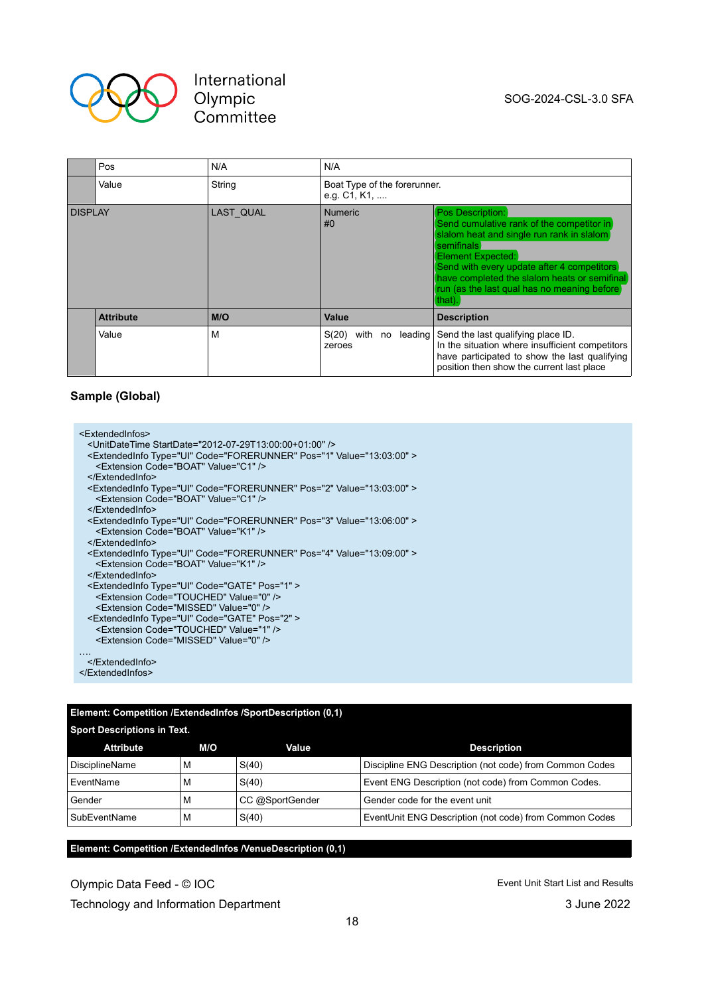

|                | Pos              | N/A              | N/A                                          |                                                                                                                                                                                                                                                                                                              |  |
|----------------|------------------|------------------|----------------------------------------------|--------------------------------------------------------------------------------------------------------------------------------------------------------------------------------------------------------------------------------------------------------------------------------------------------------------|--|
|                | Value            | String           | Boat Type of the forerunner.<br>e.g. C1, K1, |                                                                                                                                                                                                                                                                                                              |  |
| <b>DISPLAY</b> |                  | <b>LAST QUAL</b> | <b>Numeric</b><br>#0                         | <b>Pos Description:</b><br>Send cumulative rank of the competitor in<br>slalom heat and single run rank in slalom<br>semifinals<br>Element Expected:<br>Send with every update after 4 competitors<br>have completed the slalom heats or semifinal<br>run (as the last qual has no meaning before)<br>that). |  |
|                | <b>Attribute</b> | M/O              | <b>Value</b>                                 | <b>Description</b>                                                                                                                                                                                                                                                                                           |  |
|                | Value            | м                | $S(20)$ with no leading<br>zeroes            | Send the last qualifying place ID.<br>In the situation where insufficient competitors<br>have participated to show the last qualifying<br>position then show the current last place                                                                                                                          |  |

#### **Sample (Global)**

| <extendedinfos></extendedinfos>                                                    |
|------------------------------------------------------------------------------------|
| <unitdatetime startdate="2012-07-29T13:00:00+01:00"></unitdatetime>                |
| <extendedinfo code="FORERUNNER" pos="1" type="UI" value="13:03:00"></extendedinfo> |
| <extension code="BOAT" value="C1"></extension>                                     |
| $\le$ / $\le$ xtendedInfo $\ge$                                                    |
| <extendedinfo code="FORERUNNER" pos="2" type="UI" value="13:03:00"></extendedinfo> |
| <extension code="BOAT" value="C1"></extension>                                     |
| $<$ /ExtendedInfo $>$                                                              |
| <extendedinfo code="FORERUNNER" pos="3" type="UI" value="13:06:00"></extendedinfo> |
| <extension code="BOAT" value="K1"></extension>                                     |
| $\le$ / $\le$ xtendedInfo $\ge$                                                    |
| <extendedinfo code="FORERUNNER" pos="4" type="UI" value="13:09:00"></extendedinfo> |
| <extension code="BOAT" value="K1"></extension>                                     |
| $<$ /ExtendedInfo $>$                                                              |
| <extendedinfo code="GATE" pos="1" type="UI"></extendedinfo>                        |
| <extension code="TOUCHED" value="0"></extension>                                   |
| <extension code="MISSED" value="0"></extension>                                    |
| <extendedinfo code="GATE" pos="2" type="UI"></extendedinfo>                        |
| <extension code="TOUCHED" value="1"></extension>                                   |
| <extension code="MISSED" value="0"></extension>                                    |
|                                                                                    |
| $<$ /ExtendedInfo>                                                                 |
|                                                                                    |
|                                                                                    |

<span id="page-17-1"></span>

| Element: Competition /ExtendedInfos /SportDescription (0.1) |     |                 |                                                         |  |  |
|-------------------------------------------------------------|-----|-----------------|---------------------------------------------------------|--|--|
| <b>Sport Descriptions in Text.</b>                          |     |                 |                                                         |  |  |
| <b>Attribute</b>                                            | M/O | Value           | <b>Description</b>                                      |  |  |
| <b>DisciplineName</b>                                       | M   | S(40)           | Discipline ENG Description (not code) from Common Codes |  |  |
| EventName                                                   | M   | S(40)           | Event ENG Description (not code) from Common Codes.     |  |  |
| Gender                                                      | M   | CC @SportGender | Gender code for the event unit                          |  |  |
| SubEventName                                                | м   | S(40)           | EventUnit ENG Description (not code) from Common Codes  |  |  |

18

<span id="page-17-0"></span>**Element: Competition /ExtendedInfos /VenueDescription (0,1)**

Olympic Data Feed - © IOC **Event Unit Start List and Results** Technology and Information Department 3 June 2022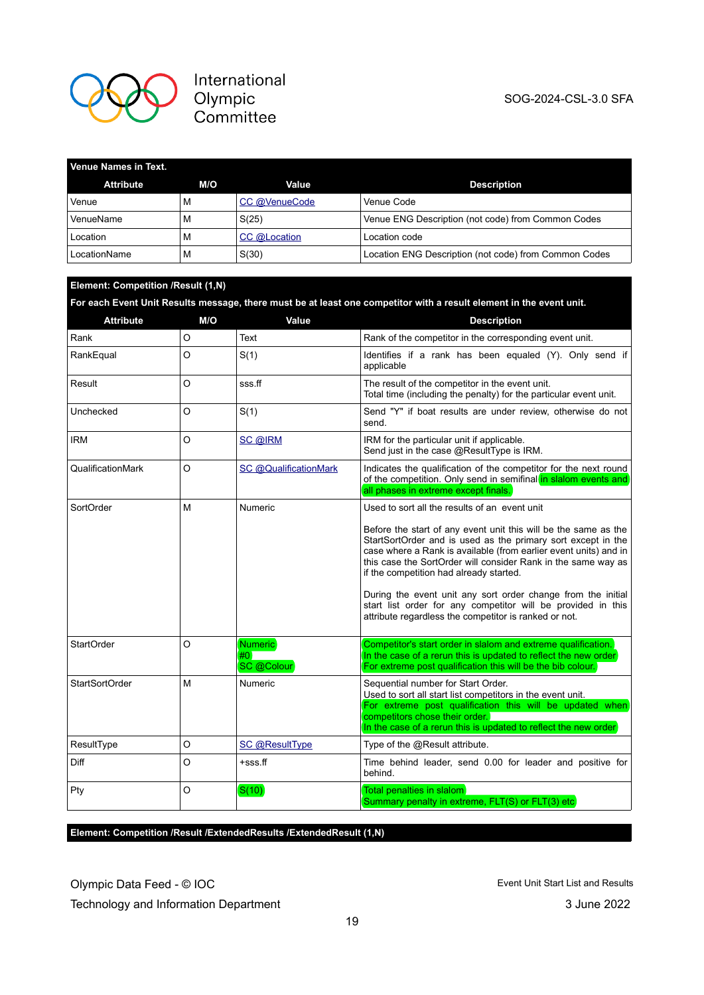

| Venue Names in Text. |     |               |                                                       |  |  |
|----------------------|-----|---------------|-------------------------------------------------------|--|--|
| <b>Attribute</b>     | M/O | Value         | <b>Description</b>                                    |  |  |
| Venue                | M   | CC @VenueCode | Venue Code                                            |  |  |
| VenueName            | м   | S(25)         | Venue ENG Description (not code) from Common Codes    |  |  |
| Location             | м   | CC @Location  | Location code                                         |  |  |
| LocationName         | м   | S(30)         | Location ENG Description (not code) from Common Codes |  |  |

<span id="page-18-0"></span>

| Element: Competition /Result (1,N) |         |                                    |                                                                                                                                                                                                                                                                                                                                                                                                                                                                                                                                                           |  |
|------------------------------------|---------|------------------------------------|-----------------------------------------------------------------------------------------------------------------------------------------------------------------------------------------------------------------------------------------------------------------------------------------------------------------------------------------------------------------------------------------------------------------------------------------------------------------------------------------------------------------------------------------------------------|--|
|                                    |         |                                    | For each Event Unit Results message, there must be at least one competitor with a result element in the event unit.                                                                                                                                                                                                                                                                                                                                                                                                                                       |  |
| <b>Attribute</b>                   | M/O     | Value                              | <b>Description</b>                                                                                                                                                                                                                                                                                                                                                                                                                                                                                                                                        |  |
| Rank                               | O       | Text                               | Rank of the competitor in the corresponding event unit.                                                                                                                                                                                                                                                                                                                                                                                                                                                                                                   |  |
| RankEqual                          | O       | S(1)                               | Identifies if a rank has been equaled (Y). Only send if<br>applicable                                                                                                                                                                                                                                                                                                                                                                                                                                                                                     |  |
| Result                             | O       | sss.ff                             | The result of the competitor in the event unit.<br>Total time (including the penalty) for the particular event unit.                                                                                                                                                                                                                                                                                                                                                                                                                                      |  |
| Unchecked                          | O       | S(1)                               | Send "Y" if boat results are under review, otherwise do not<br>send.                                                                                                                                                                                                                                                                                                                                                                                                                                                                                      |  |
| <b>IRM</b>                         | O       | SC @IRM                            | IRM for the particular unit if applicable.<br>Send just in the case @ResultType is IRM.                                                                                                                                                                                                                                                                                                                                                                                                                                                                   |  |
| QualificationMark                  | $\circ$ | <b>SC @QualificationMark</b>       | Indicates the qualification of the competitor for the next round<br>of the competition. Only send in semifinal in slalom events and<br>all phases in extreme except finals.                                                                                                                                                                                                                                                                                                                                                                               |  |
| SortOrder                          | M       | Numeric                            | Used to sort all the results of an event unit<br>Before the start of any event unit this will be the same as the<br>StartSortOrder and is used as the primary sort except in the<br>case where a Rank is available (from earlier event units) and in<br>this case the SortOrder will consider Rank in the same way as<br>if the competition had already started.<br>During the event unit any sort order change from the initial<br>start list order for any competitor will be provided in this<br>attribute regardless the competitor is ranked or not. |  |
| <b>StartOrder</b>                  | O       | <b>Numeric</b><br>#0<br>SC @Colour | Competitor's start order in slalom and extreme qualification.<br>In the case of a rerun this is updated to reflect the new order<br>For extreme post qualification this will be the bib colour.                                                                                                                                                                                                                                                                                                                                                           |  |
| <b>StartSortOrder</b>              | M       | <b>Numeric</b>                     | Sequential number for Start Order.<br>Used to sort all start list competitors in the event unit.<br>For extreme post qualification this will be updated when<br>competitors chose their order.<br>In the case of a rerun this is updated to reflect the new order                                                                                                                                                                                                                                                                                         |  |
| ResultType                         | O       | <b>SC @ResultType</b>              | Type of the @Result attribute.                                                                                                                                                                                                                                                                                                                                                                                                                                                                                                                            |  |
| Diff                               | O       | $+$ sss ff                         | Time behind leader, send 0.00 for leader and positive for<br>behind.                                                                                                                                                                                                                                                                                                                                                                                                                                                                                      |  |
| Pty                                | O       | S(10)                              | Total penalties in slalom<br>Summary penalty in extreme, FLT(S) or FLT(3) etc                                                                                                                                                                                                                                                                                                                                                                                                                                                                             |  |

<span id="page-18-1"></span>**Element: Competition /Result /ExtendedResults /ExtendedResult (1,N)**

Olympic Data Feed - © IOC **Example 2018** Event Unit Start List and Results Technology and Information Department 3 June 2022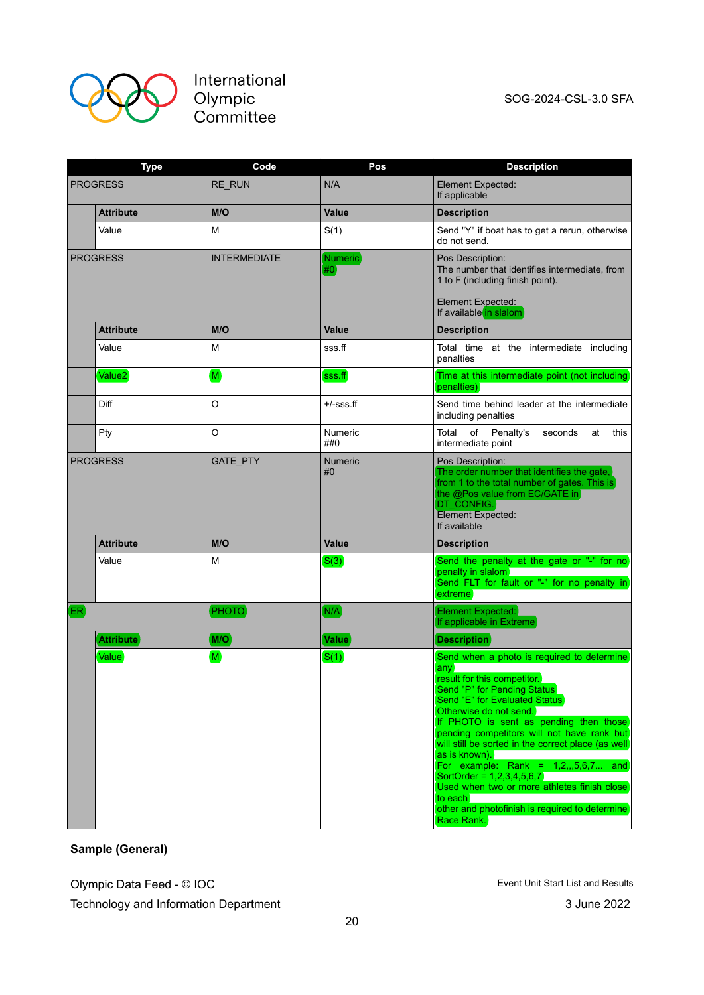

|      | <b>Type</b>               | Code                | Pos                   | <b>Description</b>                                                                                                                                                                                                                                                                                                                                                                                                                                                                              |
|------|---------------------------|---------------------|-----------------------|-------------------------------------------------------------------------------------------------------------------------------------------------------------------------------------------------------------------------------------------------------------------------------------------------------------------------------------------------------------------------------------------------------------------------------------------------------------------------------------------------|
|      | <b>PROGRESS</b>           | RE_RUN              | N/A                   | <b>Element Expected:</b><br>If applicable                                                                                                                                                                                                                                                                                                                                                                                                                                                       |
|      | <b>Attribute</b>          | M/O                 | <b>Value</b>          | <b>Description</b>                                                                                                                                                                                                                                                                                                                                                                                                                                                                              |
|      | Value                     | M                   | S(1)                  | Send "Y" if boat has to get a rerun, otherwise<br>do not send.                                                                                                                                                                                                                                                                                                                                                                                                                                  |
|      | <b>PROGRESS</b>           | <b>INTERMEDIATE</b> | <b>Numeric</b><br>#0  | Pos Description:<br>The number that identifies intermediate, from<br>1 to F (including finish point).<br><b>Element Expected:</b><br>If available in slalom                                                                                                                                                                                                                                                                                                                                     |
|      | <b>Attribute</b>          | M/O                 | <b>Value</b>          | <b>Description</b>                                                                                                                                                                                                                                                                                                                                                                                                                                                                              |
|      | Value                     | Μ                   | sss.ff                | Total time at the intermediate including<br>penalties                                                                                                                                                                                                                                                                                                                                                                                                                                           |
|      | Value <sub>2</sub>        | $\mathbf M$         | sss.ff                | Time at this intermediate point (not including)<br>penalties)                                                                                                                                                                                                                                                                                                                                                                                                                                   |
|      | Diff                      | O                   | $+/-$ sss.ff          | Send time behind leader at the intermediate<br>including penalties                                                                                                                                                                                                                                                                                                                                                                                                                              |
|      | Pty                       | O                   | <b>Numeric</b><br>##0 | Total of Penalty's<br>seconds<br>at<br>this<br>intermediate point                                                                                                                                                                                                                                                                                                                                                                                                                               |
|      | <b>PROGRESS</b>           | GATE_PTY            | <b>Numeric</b><br>#0  | Pos Description:<br>The order number that identifies the gate,<br>from 1 to the total number of gates. This is<br>the @Pos value from EC/GATE in<br>DT_CONFIG.<br>Element Expected:<br>If available                                                                                                                                                                                                                                                                                             |
|      | <b>Attribute</b>          | M/O                 | <b>Value</b>          | <b>Description</b>                                                                                                                                                                                                                                                                                                                                                                                                                                                                              |
|      | Value                     | М                   | S(3)                  | Send the penalty at the gate or "-" for no<br>penalty in slalom<br>Send FLT for fault or "-" for no penalty in<br>extreme                                                                                                                                                                                                                                                                                                                                                                       |
| (ER) |                           | PHOTO               | N/A                   | Element Expected:                                                                                                                                                                                                                                                                                                                                                                                                                                                                               |
|      |                           |                     |                       | If applicable in Extreme                                                                                                                                                                                                                                                                                                                                                                                                                                                                        |
|      | <b>Attribute</b><br>Value | M/O<br>$\mathbf M$  | <b>Value</b>          | <b>Description</b><br>Send when a photo is required to determine                                                                                                                                                                                                                                                                                                                                                                                                                                |
|      |                           |                     | S(1)                  | any)<br>result for this competitor.<br>Send "P" for Pending Status<br>Send "E" for Evaluated Status<br>Otherwise do not send.<br>If PHOTO is sent as pending then those<br>pending competitors will not have rank but<br>will still be sorted in the correct place (as well)<br>as is known).<br>For example: Rank = $1,2,1,5,6,7$ and<br>SortOrder = $1,2,3,4,5,6,7$<br>Used when two or more athletes finish close<br>to each<br>other and photofinish is required to determine<br>Race Rank. |

#### **Sample (General)**

Olympic Data Feed - © IOC **Example 2018** Event Unit Start List and Results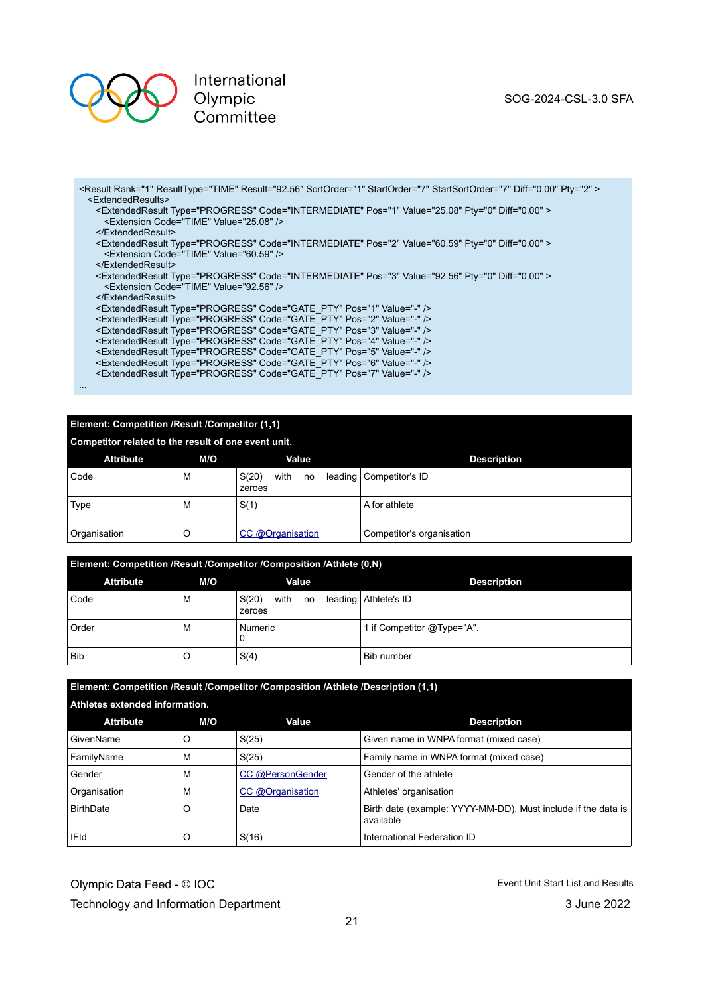

| <result diff="0.00" pty="2" rank="1" result="92.56" resulttype="TIME" sortorder="1" startorder="7" startsortorder="7"><br/><extendedresults></extendedresults></result> |
|-------------------------------------------------------------------------------------------------------------------------------------------------------------------------|
| <extendedresult code="INTERMEDIATE" diff="0.00" pos="1" pty="0" type="PROGRESS" value="25.08"></extendedresult>                                                         |
| <extension code="TIME" value="25.08"></extension><br>                                                                                                                   |
| <extendedresult code="INTERMEDIATE" diff="0.00" pos="2" pty="0" type="PROGRESS" value="60.59"><br/><extension code="TIME" value="60.59"></extension></extendedresult>   |
|                                                                                                                                                                         |
| <extendedresult code="INTERMEDIATE" diff="0.00" pos="3" pty="0" type="PROGRESS" value="92.56"><br/><extension code="TIME" value="92.56"></extension></extendedresult>   |
|                                                                                                                                                                         |
| <extendedresult code="GATE PTY" pos="1" type="PROGRESS" value="-"></extendedresult>                                                                                     |
| <extendedresult code="GATE PTY" pos="2" type="PROGRESS" value="-"></extendedresult>                                                                                     |
| <extendedresult code="GATE PTY" pos="3" type="PROGRESS" value="-"></extendedresult>                                                                                     |
| <extendedresult code="GATE PTY" pos="4" type="PROGRESS" value="-"></extendedresult>                                                                                     |
| <extendedresult code="GATE PTY" pos="5" type="PROGRESS" value="-"></extendedresult>                                                                                     |
| <extendedresult code="GATE PTY" pos="6" type="PROGRESS" value="-"></extendedresult>                                                                                     |
| <extendedresult code="GATE PTY" pos="7" type="PROGRESS" value="-"></extendedresult>                                                                                     |
|                                                                                                                                                                         |

<span id="page-20-2"></span>

| <b>Element: Competition /Result /Competitor (1,1)</b> |     |                               |                           |  |  |  |
|-------------------------------------------------------|-----|-------------------------------|---------------------------|--|--|--|
| Competitor related to the result of one event unit.   |     |                               |                           |  |  |  |
| <b>Attribute</b>                                      | M/O | Value                         | <b>Description</b>        |  |  |  |
| Code                                                  | M   | S(20)<br>with<br>no<br>zeroes | leading   Competitor's ID |  |  |  |
| Type                                                  | M   | S(1)                          | A for athlete             |  |  |  |
| Organisation<br>CC @Organisation                      |     |                               | Competitor's organisation |  |  |  |

<span id="page-20-1"></span>

| <b>Element: Competition /Result /Competitor /Composition /Athlete (0,N)</b> |     |                               |                            |  |  |  |
|-----------------------------------------------------------------------------|-----|-------------------------------|----------------------------|--|--|--|
| <b>Attribute</b>                                                            | M/O | Value                         | <b>Description</b>         |  |  |  |
| Code                                                                        | M   | S(20)<br>with<br>no<br>zeroes | leading   Athlete's ID.    |  |  |  |
| Order                                                                       | M   | Numeric<br>0                  | 1 if Competitor @Type="A". |  |  |  |
| <b>Bib</b>                                                                  |     | S(4)                          | Bib number                 |  |  |  |

#### <span id="page-20-0"></span>**Element: Competition /Result /Competitor /Composition /Athlete /Description (1,1) Athletes extended information.**

| <b>Attribute</b> | M/O | Value            | <b>Description</b>                                                         |
|------------------|-----|------------------|----------------------------------------------------------------------------|
| GivenName        | Ő   | S(25)            | Given name in WNPA format (mixed case)                                     |
| FamilyName       | м   | S(25)            | Family name in WNPA format (mixed case)                                    |
| Gender           | м   | CC @PersonGender | Gender of the athlete                                                      |
| Organisation     | м   | CC @Organisation | Athletes' organisation                                                     |
| <b>BirthDate</b> | O   | Date             | Birth date (example: YYYY-MM-DD). Must include if the data is<br>available |
| IFId             | Ő   | S(16)            | International Federation ID                                                |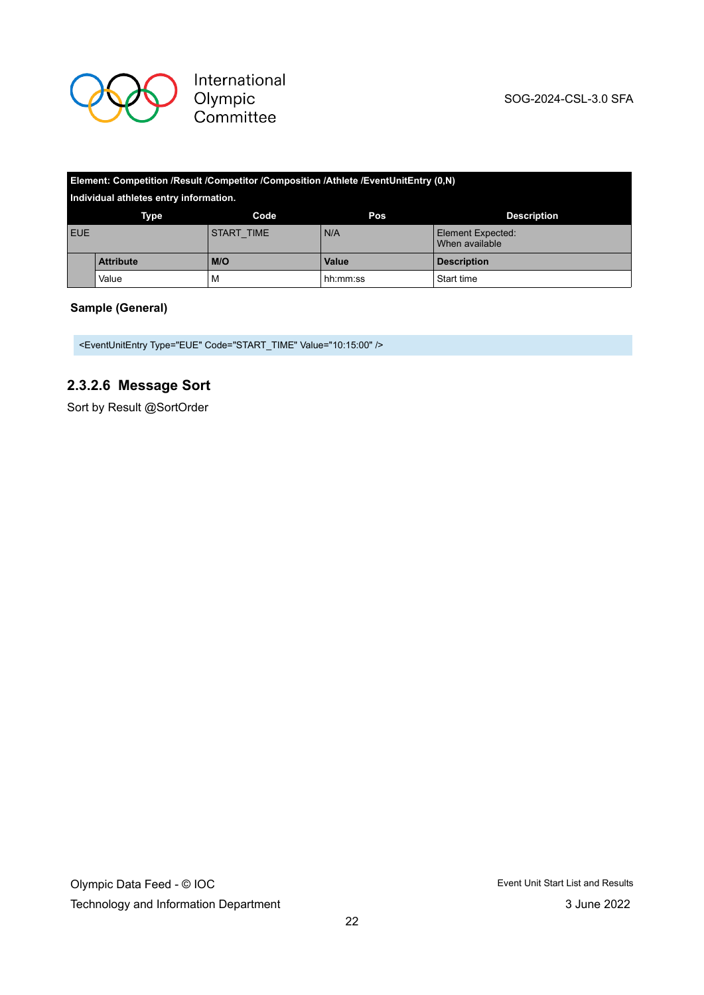

<span id="page-21-1"></span>

|            | <b>Element: Competition /Result /Competitor /Composition /Athlete /EventUnitEntry (0,N)</b> |            |          |                                            |  |  |  |  |
|------------|---------------------------------------------------------------------------------------------|------------|----------|--------------------------------------------|--|--|--|--|
|            | Individual athletes entry information.                                                      |            |          |                                            |  |  |  |  |
|            | Pos<br>Code<br><b>Description</b><br>Type                                                   |            |          |                                            |  |  |  |  |
| <b>EUE</b> |                                                                                             | START TIME | N/A      | <b>Element Expected:</b><br>When available |  |  |  |  |
|            | <b>Attribute</b>                                                                            | M/O        | Value    | <b>Description</b>                         |  |  |  |  |
|            | Value                                                                                       | м          | hh:mm:ss | Start time                                 |  |  |  |  |

#### **Sample (General)**

<EventUnitEntry Type="EUE" Code="START\_TIME" Value="10:15:00" />

## <span id="page-21-0"></span>**2.3.2.6 Message Sort**

Sort by Result @SortOrder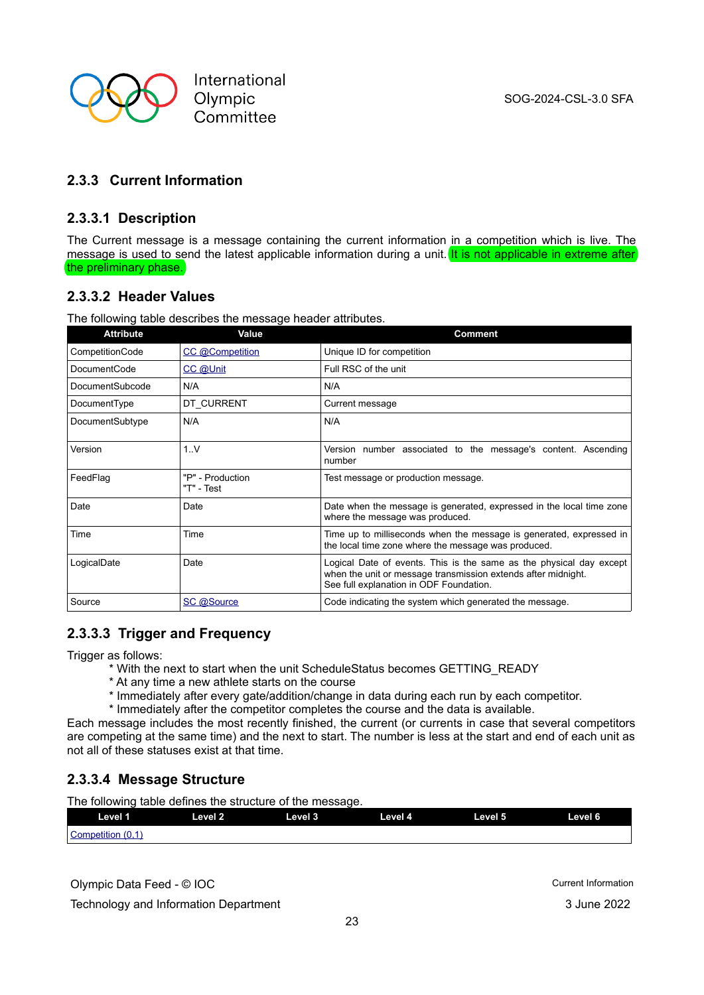

#### <span id="page-22-4"></span>**2.3.3 Current Information**

#### <span id="page-22-3"></span>**2.3.3.1 Description**

The Current message is a message containing the current information in a competition which is live. The message is used to send the latest applicable information during a unit. It is not applicable in extreme after the preliminary phase.

#### <span id="page-22-2"></span>**2.3.3.2 Header Values**

The following table describes the message header attributes.

| <b>Attribute</b>       | Value                          | <b>Comment</b>                                                                                                                                                                  |  |  |
|------------------------|--------------------------------|---------------------------------------------------------------------------------------------------------------------------------------------------------------------------------|--|--|
| CompetitionCode        | CC @Competition                | Unique ID for competition                                                                                                                                                       |  |  |
| <b>DocumentCode</b>    | CC @Unit                       | Full RSC of the unit                                                                                                                                                            |  |  |
| <b>DocumentSubcode</b> | N/A                            | N/A                                                                                                                                                                             |  |  |
| DocumentType           | DT CURRENT                     | Current message                                                                                                                                                                 |  |  |
| DocumentSubtype        | N/A                            | N/A                                                                                                                                                                             |  |  |
| Version                | 1.1V                           | Version number associated to the message's content. Ascending<br>number                                                                                                         |  |  |
| FeedFlag               | "P" - Production<br>"T" - Test | Test message or production message.                                                                                                                                             |  |  |
| Date                   | Date                           | Date when the message is generated, expressed in the local time zone<br>where the message was produced.                                                                         |  |  |
| Time                   | Time                           | Time up to milliseconds when the message is generated, expressed in<br>the local time zone where the message was produced.                                                      |  |  |
| LogicalDate            | Date                           | Logical Date of events. This is the same as the physical day except<br>when the unit or message transmission extends after midnight.<br>See full explanation in ODF Foundation. |  |  |
| Source                 | SC @Source                     | Code indicating the system which generated the message.                                                                                                                         |  |  |

#### **2.3.3.3 Trigger and Frequency**

Trigger as follows:

- <span id="page-22-1"></span>\* With the next to start when the unit ScheduleStatus becomes GETTING\_READY
- \* At any time a new athlete starts on the course
- \* Immediately after every gate/addition/change in data during each run by each competitor.
- \* Immediately after the competitor completes the course and the data is available.

Each message includes the most recently finished, the current (or currents in case that several competitors are competing at the same time) and the next to start. The number is less at the start and end of each unit as not all of these statuses exist at that time.

#### <span id="page-22-0"></span>**2.3.3.4 Message Structure**

The following table defines the structure of the message.

| Level 1                     | Level 2 | Level 3 | Level 4 | Level 5 | Level 6 |
|-----------------------------|---------|---------|---------|---------|---------|
| <b>Competition</b><br>(0.1) |         |         |         |         |         |

Olympic Data Feed - © IOC Current Information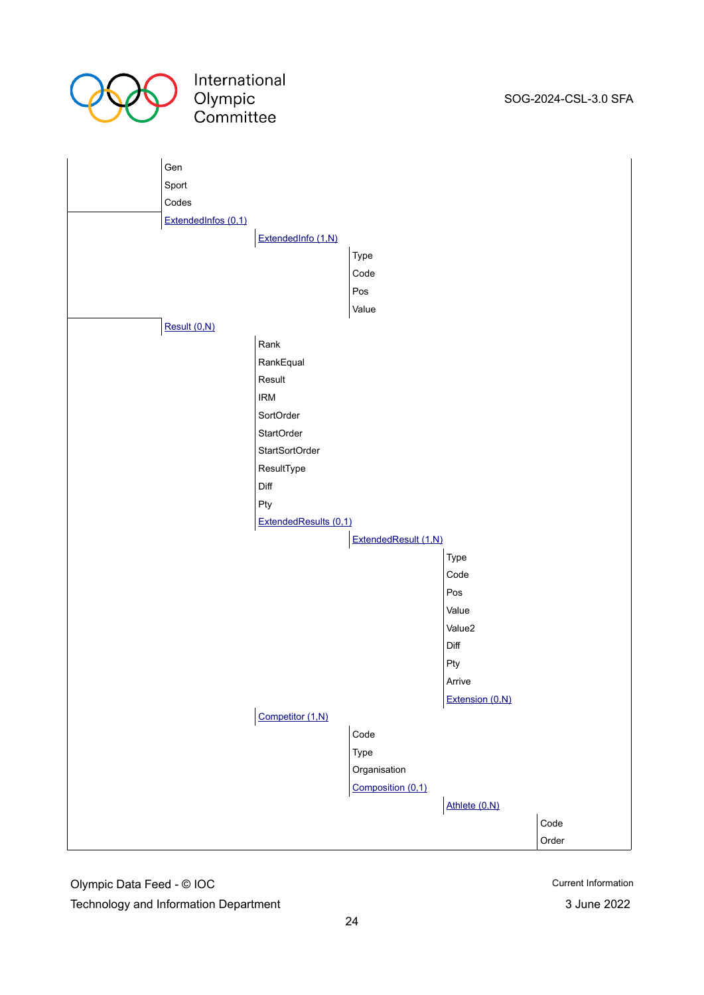

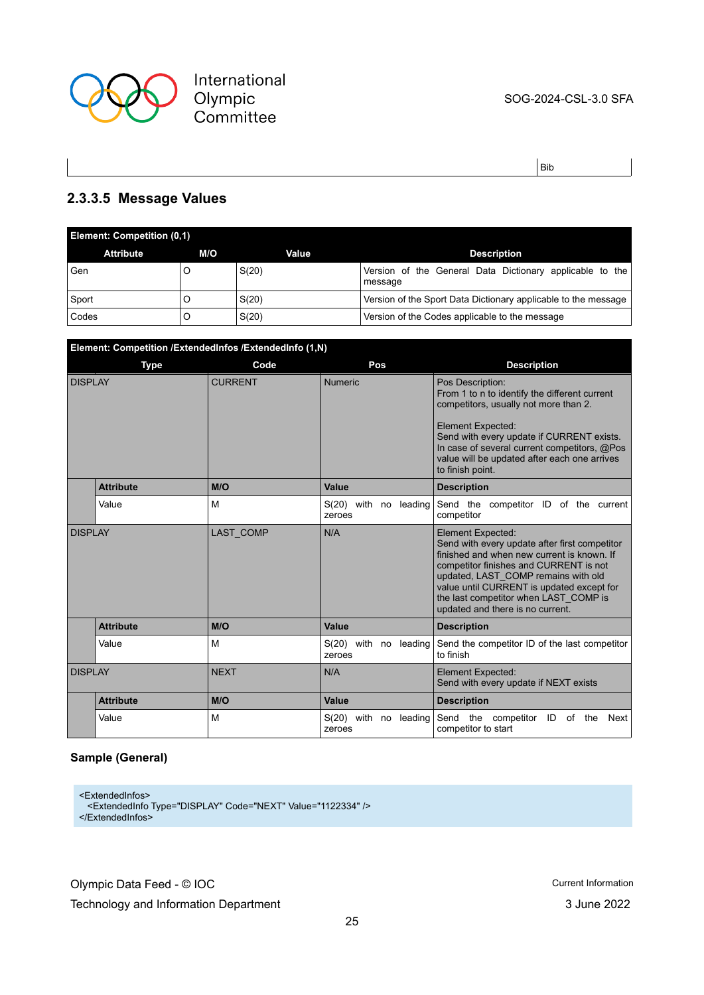

Bib

#### <span id="page-24-0"></span>**2.3.3.5 Message Values**

<span id="page-24-1"></span>

| <b>Element: Competition (0,1)</b> |     |       |                                                                     |  |  |  |
|-----------------------------------|-----|-------|---------------------------------------------------------------------|--|--|--|
| <b>Attribute</b>                  | M/O | Value | <b>Description</b>                                                  |  |  |  |
| Gen                               |     | S(20) | Version of the General Data Dictionary applicable to the<br>message |  |  |  |
| Sport                             |     | S(20) | Version of the Sport Data Dictionary applicable to the message      |  |  |  |
| Codes                             |     | S(20) | Version of the Codes applicable to the message                      |  |  |  |

<span id="page-24-3"></span>

| Element: Competition /ExtendedInfos /ExtendedInfo (1,N) |                  |                |                                                                                                                                                                                                                                                                                                                    |                                                                                                                                                                                                                                                                                                                                    |  |  |  |
|---------------------------------------------------------|------------------|----------------|--------------------------------------------------------------------------------------------------------------------------------------------------------------------------------------------------------------------------------------------------------------------------------------------------------------------|------------------------------------------------------------------------------------------------------------------------------------------------------------------------------------------------------------------------------------------------------------------------------------------------------------------------------------|--|--|--|
|                                                         | <b>Type</b>      | Code           | Pos                                                                                                                                                                                                                                                                                                                | <b>Description</b>                                                                                                                                                                                                                                                                                                                 |  |  |  |
| <b>DISPLAY</b>                                          |                  | <b>CURRENT</b> | <b>Numeric</b><br>Pos Description:<br>From 1 to n to identify the different current<br>competitors, usually not more than 2.<br>Element Expected:<br>Send with every update if CURRENT exists.<br>In case of several current competitors, @Pos<br>value will be updated after each one arrives<br>to finish point. |                                                                                                                                                                                                                                                                                                                                    |  |  |  |
|                                                         | <b>Attribute</b> | M/O            | Value                                                                                                                                                                                                                                                                                                              | <b>Description</b>                                                                                                                                                                                                                                                                                                                 |  |  |  |
|                                                         | Value            | M              | $S(20)$ with no<br>leading<br>zeroes                                                                                                                                                                                                                                                                               | Send the competitor ID of the current<br>competitor                                                                                                                                                                                                                                                                                |  |  |  |
| <b>DISPLAY</b>                                          |                  | LAST_COMP      | N/A                                                                                                                                                                                                                                                                                                                | <b>Element Expected:</b><br>Send with every update after first competitor<br>finished and when new current is known. If<br>competitor finishes and CURRENT is not<br>updated, LAST COMP remains with old<br>value until CURRENT is updated except for<br>the last competitor when LAST_COMP is<br>updated and there is no current. |  |  |  |
|                                                         | <b>Attribute</b> | M/O            | Value                                                                                                                                                                                                                                                                                                              | <b>Description</b>                                                                                                                                                                                                                                                                                                                 |  |  |  |
|                                                         | Value            | M              | S(20) with no leading<br>zeroes                                                                                                                                                                                                                                                                                    | Send the competitor ID of the last competitor<br>to finish                                                                                                                                                                                                                                                                         |  |  |  |
| <b>DISPLAY</b>                                          |                  | <b>NEXT</b>    | N/A                                                                                                                                                                                                                                                                                                                | <b>Element Expected:</b><br>Send with every update if NEXT exists                                                                                                                                                                                                                                                                  |  |  |  |
|                                                         | <b>Attribute</b> | M/O            | <b>Value</b>                                                                                                                                                                                                                                                                                                       | <b>Description</b>                                                                                                                                                                                                                                                                                                                 |  |  |  |
|                                                         | Value            | M              | S(20)<br>with no<br>leading<br>zeroes                                                                                                                                                                                                                                                                              | Send the competitor<br>ID<br>of<br>the<br>Next<br>competitor to start                                                                                                                                                                                                                                                              |  |  |  |

#### **Sample (General)**

<ExtendedInfos> <ExtendedInfo Type="DISPLAY" Code="NEXT" Value="1122334" /> </ExtendedInfos>

<span id="page-24-2"></span>Olympic Data Feed - © IOC Current Information Technology and Information Department 3 June 2022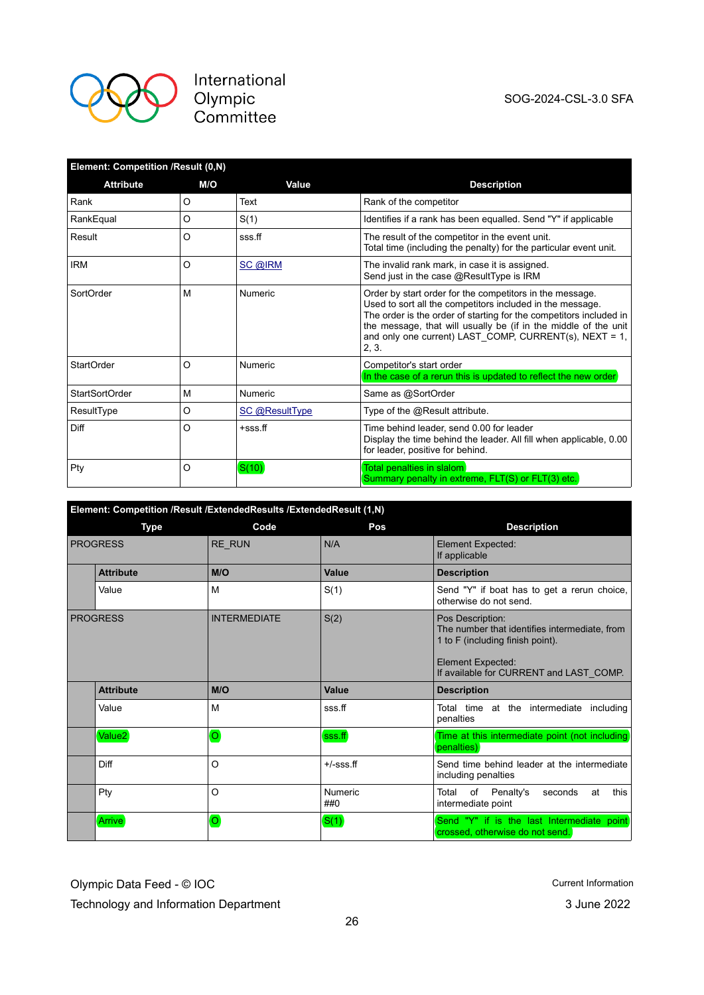

#### SOG-2024-CSL-3.0 SFA

| Element: Competition /Result (0,N) |     |                       |                                                                                                                                                                                                                                                                                                                                      |  |  |  |
|------------------------------------|-----|-----------------------|--------------------------------------------------------------------------------------------------------------------------------------------------------------------------------------------------------------------------------------------------------------------------------------------------------------------------------------|--|--|--|
| <b>Attribute</b>                   | M/O | Value                 | <b>Description</b>                                                                                                                                                                                                                                                                                                                   |  |  |  |
| Rank                               | O   | Text                  | Rank of the competitor                                                                                                                                                                                                                                                                                                               |  |  |  |
| RankEqual                          | O   | S(1)                  | Identifies if a rank has been equalled. Send "Y" if applicable                                                                                                                                                                                                                                                                       |  |  |  |
| Result                             | O   | sss.ff                | The result of the competitor in the event unit.<br>Total time (including the penalty) for the particular event unit.                                                                                                                                                                                                                 |  |  |  |
| <b>IRM</b>                         | O   | SC @IRM               | The invalid rank mark, in case it is assigned.<br>Send just in the case @ResultType is IRM                                                                                                                                                                                                                                           |  |  |  |
| SortOrder                          | M   | <b>Numeric</b>        | Order by start order for the competitors in the message.<br>Used to sort all the competitors included in the message.<br>The order is the order of starting for the competitors included in<br>the message, that will usually be (if in the middle of the unit<br>and only one current) LAST COMP, CURRENT(s), NEXT = $1$ ,<br>2, 3. |  |  |  |
| <b>StartOrder</b>                  | O   | Numeric               | Competitor's start order<br>In the case of a rerun this is updated to reflect the new order                                                                                                                                                                                                                                          |  |  |  |
| <b>StartSortOrder</b>              | м   | <b>Numeric</b>        | Same as @SortOrder                                                                                                                                                                                                                                                                                                                   |  |  |  |
| ResultType                         | O   | <b>SC @ResultType</b> | Type of the @Result attribute.                                                                                                                                                                                                                                                                                                       |  |  |  |
| Diff                               | O   | $+$ sss.ff            | Time behind leader, send 0.00 for leader<br>Display the time behind the leader. All fill when applicable, 0.00<br>for leader, positive for behind.                                                                                                                                                                                   |  |  |  |
| Pty                                | O   | S(10)                 | Total penalties in slalom<br>Summary penalty in extreme, FLT(S) or FLT(3) etc.                                                                                                                                                                                                                                                       |  |  |  |

<span id="page-25-0"></span>

| Element: Competition /Result /ExtendedResults /ExtendedResult (1,N) |                    |                     |                       |                                                                                                                                                                       |  |  |
|---------------------------------------------------------------------|--------------------|---------------------|-----------------------|-----------------------------------------------------------------------------------------------------------------------------------------------------------------------|--|--|
|                                                                     | <b>Type</b>        | Code                | Pos                   | <b>Description</b>                                                                                                                                                    |  |  |
| <b>PROGRESS</b>                                                     |                    | RE_RUN              | N/A                   | Element Expected:<br>If applicable                                                                                                                                    |  |  |
| <b>Attribute</b>                                                    |                    | M/O                 | <b>Value</b>          | <b>Description</b>                                                                                                                                                    |  |  |
|                                                                     | Value              | M                   | S(1)                  | Send "Y" if boat has to get a rerun choice,<br>otherwise do not send.                                                                                                 |  |  |
| <b>PROGRESS</b>                                                     |                    | <b>INTERMEDIATE</b> | S(2)                  | Pos Description:<br>The number that identifies intermediate, from<br>1 to F (including finish point).<br>Element Expected:<br>If available for CURRENT and LAST_COMP. |  |  |
|                                                                     | <b>Attribute</b>   | M/O                 | <b>Value</b>          | <b>Description</b>                                                                                                                                                    |  |  |
|                                                                     | Value              | M                   | sss.ff                | Total time at the intermediate including<br>penalties                                                                                                                 |  |  |
|                                                                     | Value <sub>2</sub> | $\overline{O}$      | sss.ff                | Time at this intermediate point (not including)<br>penalties)                                                                                                         |  |  |
|                                                                     | <b>Diff</b>        | $\circ$             | $+/-$ sss ff          | Send time behind leader at the intermediate<br>including penalties                                                                                                    |  |  |
|                                                                     | Pty                | O                   | <b>Numeric</b><br>##0 | Total of Penalty's<br>seconds<br>at<br>this<br>intermediate point                                                                                                     |  |  |
|                                                                     | <b>Arrive</b>      | $\overline{O}$      | S(1)                  | Send "Y" if is the last Intermediate point<br>crossed, otherwise do not send.                                                                                         |  |  |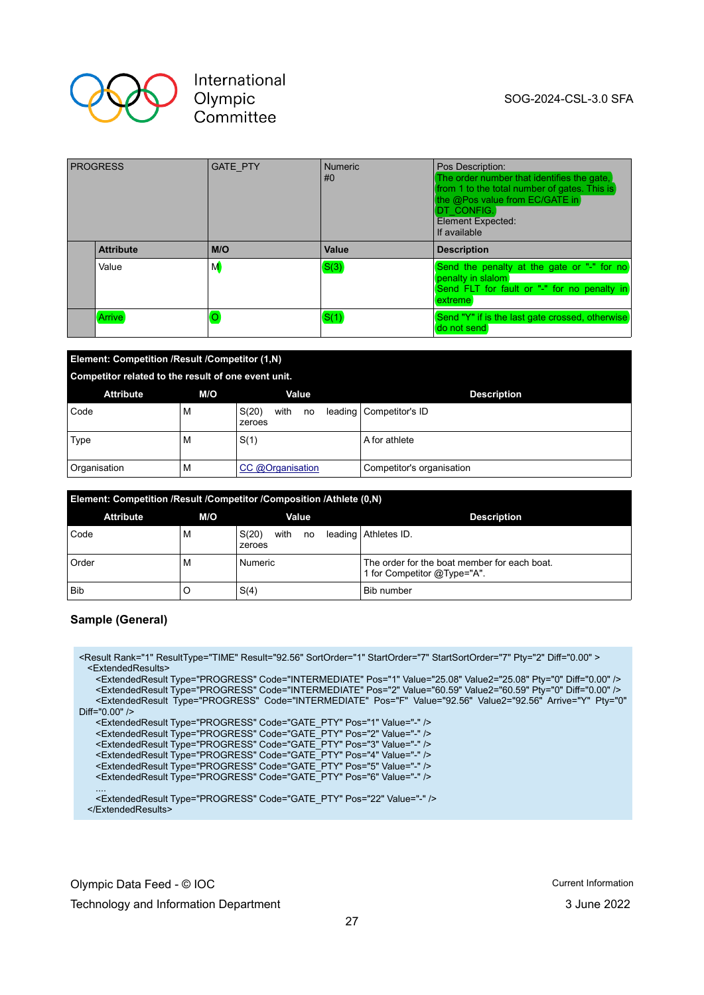

| <b>PROGRESS</b> |                  | <b>GATE PTY</b> | <b>Numeric</b><br>#0 | Pos Description:<br>The order number that identifies the gate.<br>from 1 to the total number of gates. This is<br>the @Pos value from EC/GATE in<br>DT CONFIG.)<br><b>Element Expected:</b><br>If available |
|-----------------|------------------|-----------------|----------------------|-------------------------------------------------------------------------------------------------------------------------------------------------------------------------------------------------------------|
|                 | <b>Attribute</b> | M/O             | Value                | <b>Description</b>                                                                                                                                                                                          |
|                 | Value            | M               | S(3)                 | Send the penalty at the gate or "-" for no<br>penalty in slalom<br>Send FLT for fault or "-" for no penalty in<br>extreme                                                                                   |
|                 | <b>Arrive</b>    |                 | S(1)                 | Send "Y" if is the last gate crossed, otherwise<br>do not send                                                                                                                                              |

<span id="page-26-1"></span>

| <b>Element: Competition /Result /Competitor (1,N)</b> |     |                               |                           |  |  |
|-------------------------------------------------------|-----|-------------------------------|---------------------------|--|--|
| Competitor related to the result of one event unit.   |     |                               |                           |  |  |
| <b>Attribute</b>                                      | M/O | Value                         | <b>Description</b>        |  |  |
| Code                                                  | м   | S(20)<br>with<br>no<br>zeroes | leading   Competitor's ID |  |  |
| Type                                                  | м   | S(1)                          | A for athlete             |  |  |
| Organisation                                          | м   | CC @Organisation              | Competitor's organisation |  |  |

<span id="page-26-0"></span>

| <b>Element: Competition /Result /Competitor /Composition /Athlete (0.N)</b> |     |                               |                                                                             |  |  |
|-----------------------------------------------------------------------------|-----|-------------------------------|-----------------------------------------------------------------------------|--|--|
| <b>Attribute</b>                                                            | M/O | Value                         | <b>Description</b>                                                          |  |  |
| Code                                                                        | M   | S(20)<br>with<br>no<br>zeroes | leading   Athletes ID.                                                      |  |  |
| Order                                                                       | M   | <b>Numeric</b>                | The order for the boat member for each boat.<br>1 for Competitor @Type="A". |  |  |
| <b>Bib</b>                                                                  |     | S(4)                          | Bib number                                                                  |  |  |

#### **Sample (General)**

<Result Rank="1" ResultType="TIME" Result="92.56" SortOrder="1" StartOrder="7" StartSortOrder="7" Pty="2" Diff="0.00" > <ExtendedResults>

<ExtendedResult Type="PROGRESS" Code="INTERMEDIATE" Pos="1" Value="25.08" Value2="25.08" Pty="0" Diff="0.00" /> <ExtendedResult Type="PROGRESS" Code="INTERMEDIATE" Pos="2" Value="60.59" Value2="60.59" Pty="0" Diff="0.00" /> <ExtendedResult Type="PROGRESS" Code="INTERMEDIATE" Pos="F" Value="92.56" Value2="92.56" Arrive="Y" Pty="0"

Diff="0.00" /> <ExtendedResult Type="PROGRESS" Code="GATE\_PTY" Pos="1" Value="-" /> <ExtendedResult Type="PROGRESS" Code="GATE\_PTY" Pos="2" Value="-" /> <ExtendedResult Type="PROGRESS" Code="GATE\_PTY" Pos="3" Value="-" /> <ExtendedResult Type="PROGRESS" Code="GATE\_PTY" Pos="4" Value="-" /> <ExtendedResult Type="PROGRESS" Code="GATE\_PTY" Pos="5" Value="-" />

<ExtendedResult Type="PROGRESS" Code="GATE\_PTY" Pos="6" Value="-" />

....

<ExtendedResult Type="PROGRESS" Code="GATE\_PTY" Pos="22" Value="-" /> </ExtendedResults>

Olympic Data Feed - © IOC Current Information Technology and Information Department 3 June 2022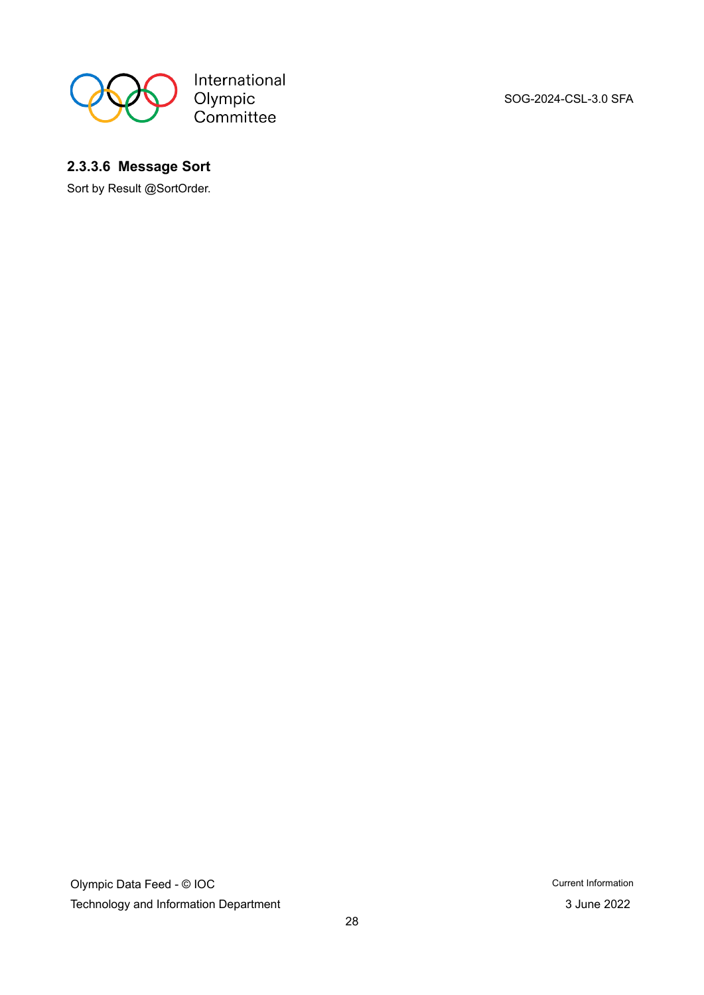

#### SOG-2024-CSL-3.0 SFA

## <span id="page-27-0"></span>**2.3.3.6 Message Sort**

Sort by Result @SortOrder.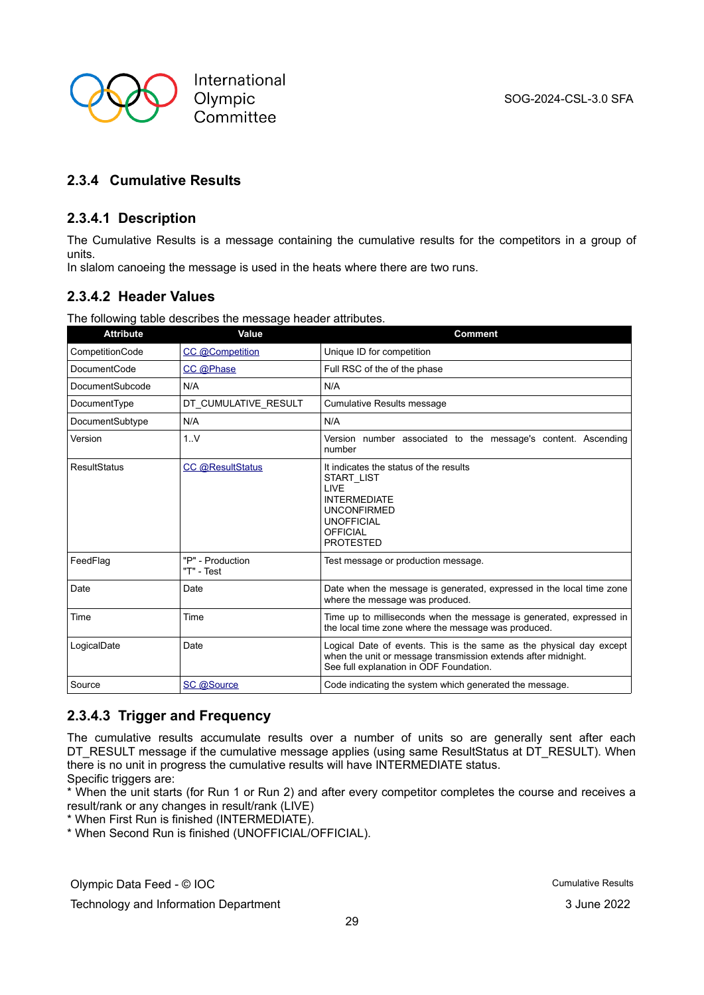

#### <span id="page-28-3"></span>**2.3.4 Cumulative Results**

#### <span id="page-28-2"></span>**2.3.4.1 Description**

The Cumulative Results is a message containing the cumulative results for the competitors in a group of units.

In slalom canoeing the message is used in the heats where there are two runs.

#### <span id="page-28-1"></span>**2.3.4.2 Header Values**

| The following table describes the message header attributes. |  |  |  |
|--------------------------------------------------------------|--|--|--|
|                                                              |  |  |  |

| <b>Attribute</b>       | Value                          | <b>Comment</b>                                                                                                                                                                  |  |  |
|------------------------|--------------------------------|---------------------------------------------------------------------------------------------------------------------------------------------------------------------------------|--|--|
| CompetitionCode        | CC @Competition                | Unique ID for competition                                                                                                                                                       |  |  |
| <b>DocumentCode</b>    | CC @Phase                      | Full RSC of the of the phase                                                                                                                                                    |  |  |
| <b>DocumentSubcode</b> | N/A                            | N/A                                                                                                                                                                             |  |  |
| DocumentType           | DT CUMULATIVE RESULT           | <b>Cumulative Results message</b>                                                                                                                                               |  |  |
| DocumentSubtype        | N/A                            | N/A                                                                                                                                                                             |  |  |
| Version                | 1.1 <sub>Y</sub>               | Version number associated to the message's content. Ascending<br>number                                                                                                         |  |  |
| <b>ResultStatus</b>    | CC @ResultStatus               | It indicates the status of the results<br><b>START LIST</b><br>LIVE<br><b>INTERMEDIATE</b><br><b>UNCONFIRMED</b><br><b>UNOFFICIAL</b><br><b>OFFICIAL</b><br><b>PROTESTED</b>    |  |  |
| FeedFlag               | "P" - Production<br>"T" - Test | Test message or production message.                                                                                                                                             |  |  |
| Date                   | Date                           | Date when the message is generated, expressed in the local time zone<br>where the message was produced.                                                                         |  |  |
| Time                   | Time                           | Time up to milliseconds when the message is generated, expressed in<br>the local time zone where the message was produced.                                                      |  |  |
| LogicalDate            | Date                           | Logical Date of events. This is the same as the physical day except<br>when the unit or message transmission extends after midnight.<br>See full explanation in ODF Foundation. |  |  |
| Source                 | SC @Source                     | Code indicating the system which generated the message.                                                                                                                         |  |  |

#### <span id="page-28-0"></span>**2.3.4.3 Trigger and Frequency**

The cumulative results accumulate results over a number of units so are generally sent after each DT\_RESULT message if the cumulative message applies (using same ResultStatus at DT\_RESULT). When there is no unit in progress the cumulative results will have INTERMEDIATE status.

Specific triggers are:

\* When the unit starts (for Run 1 or Run 2) and after every competitor completes the course and receives a result/rank or any changes in result/rank (LIVE)

\* When First Run is finished (INTERMEDIATE).

\* When Second Run is finished (UNOFFICIAL/OFFICIAL).

Olympic Data Feed - © IOC Cumulative Results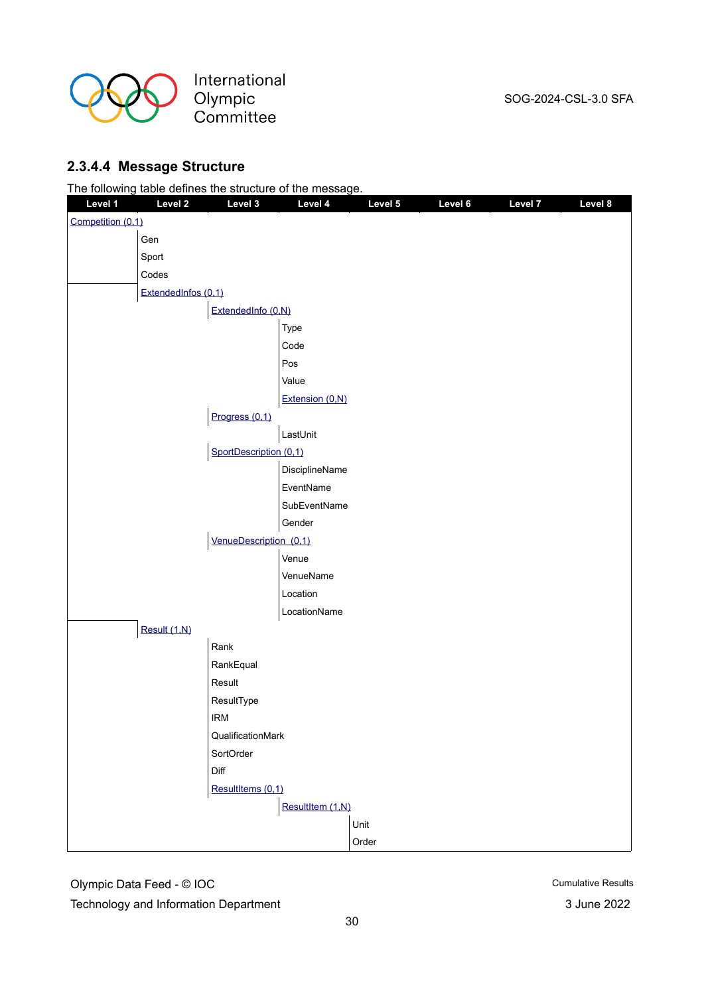

## <span id="page-29-0"></span>**2.3.4.4 Message Structure**

The following table defines the structure of the message.

| Level 1           | Level 2             | Level 3                | Level 4          | Level 5 | Level 6 | Level 7 | Level 8 |
|-------------------|---------------------|------------------------|------------------|---------|---------|---------|---------|
| Competition (0,1) |                     |                        |                  |         |         |         |         |
|                   | Gen                 |                        |                  |         |         |         |         |
|                   | Sport               |                        |                  |         |         |         |         |
|                   | $\mathsf{Codes}$    |                        |                  |         |         |         |         |
|                   | ExtendedInfos (0,1) |                        |                  |         |         |         |         |
|                   |                     | ExtendedInfo (0,N)     |                  |         |         |         |         |
|                   |                     |                        | Type             |         |         |         |         |
|                   |                     |                        | Code             |         |         |         |         |
|                   |                     |                        | Pos              |         |         |         |         |
|                   |                     |                        | Value            |         |         |         |         |
|                   |                     |                        | Extension (0,N)  |         |         |         |         |
|                   |                     | Progress (0,1)         |                  |         |         |         |         |
|                   |                     |                        | LastUnit         |         |         |         |         |
|                   |                     | SportDescription (0,1) |                  |         |         |         |         |
|                   |                     |                        | DisciplineName   |         |         |         |         |
|                   |                     |                        | EventName        |         |         |         |         |
|                   |                     |                        | SubEventName     |         |         |         |         |
|                   |                     |                        | Gender           |         |         |         |         |
|                   |                     | VenueDescription (0,1) |                  |         |         |         |         |
|                   |                     |                        | Venue            |         |         |         |         |
|                   |                     |                        | VenueName        |         |         |         |         |
|                   |                     |                        | Location         |         |         |         |         |
|                   |                     |                        | LocationName     |         |         |         |         |
|                   | Result (1,N)        |                        |                  |         |         |         |         |
|                   |                     | Rank                   |                  |         |         |         |         |
|                   |                     | RankEqual              |                  |         |         |         |         |
|                   |                     | Result                 |                  |         |         |         |         |
|                   |                     | ResultType             |                  |         |         |         |         |
|                   |                     | $\textsf{IRM}{}$       |                  |         |         |         |         |
|                   |                     | QualificationMark      |                  |         |         |         |         |
|                   |                     | SortOrder              |                  |         |         |         |         |
|                   |                     | Diff                   |                  |         |         |         |         |
|                   |                     | ResultItems (0,1)      |                  |         |         |         |         |
|                   |                     |                        | ResultItem (1,N) |         |         |         |         |
|                   |                     |                        |                  | Unit    |         |         |         |
|                   |                     |                        |                  | Order   |         |         |         |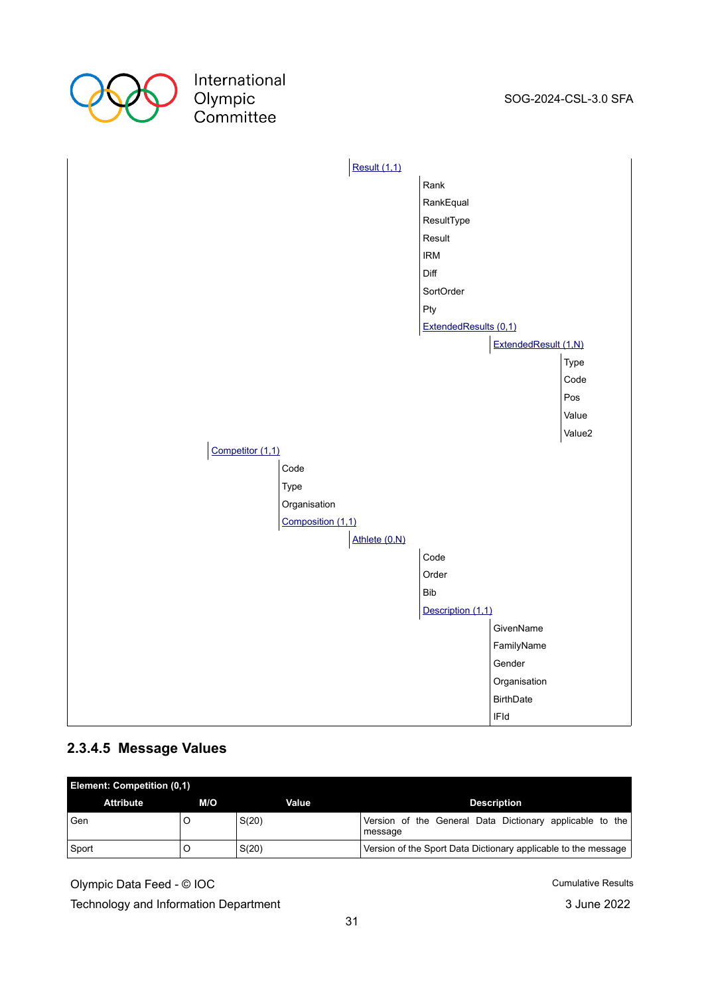

SOG-2024-CSL-3.0 SFA



## <span id="page-30-0"></span>**2.3.4.5 Message Values**

<span id="page-30-1"></span>

| <b>Element: Competition (0.1)</b> |     |       |                                                                     |  |  |
|-----------------------------------|-----|-------|---------------------------------------------------------------------|--|--|
| <b>Attribute</b>                  | M/O | Value | <b>Description</b>                                                  |  |  |
| Gen                               |     | S(20) | Version of the General Data Dictionary applicable to the<br>message |  |  |
| Sport                             |     | S(20) | Version of the Sport Data Dictionary applicable to the message      |  |  |

Olympic Data Feed - © IOC **Cumulative Results**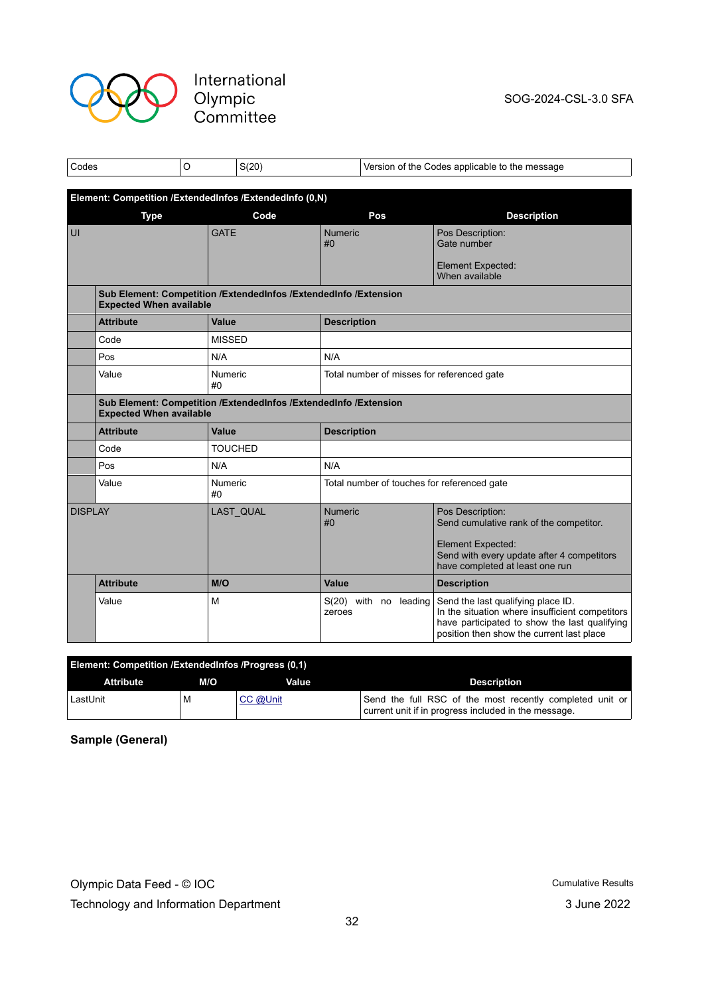

<span id="page-31-1"></span>

| Codes          |                                                         | O              | S(20)                                                            | Version of the Codes applicable to the message                                                                                                                                             |                       |                                                                                                                                                                                     |
|----------------|---------------------------------------------------------|----------------|------------------------------------------------------------------|--------------------------------------------------------------------------------------------------------------------------------------------------------------------------------------------|-----------------------|-------------------------------------------------------------------------------------------------------------------------------------------------------------------------------------|
|                |                                                         |                |                                                                  |                                                                                                                                                                                            |                       |                                                                                                                                                                                     |
|                | Element: Competition /ExtendedInfos /ExtendedInfo (0,N) |                |                                                                  |                                                                                                                                                                                            |                       |                                                                                                                                                                                     |
|                | <b>Type</b>                                             |                | Code                                                             |                                                                                                                                                                                            | Pos                   | <b>Description</b>                                                                                                                                                                  |
| U              | <b>GATE</b>                                             |                |                                                                  | <b>Numeric</b><br>#()                                                                                                                                                                      |                       | Pos Description:<br>Gate number                                                                                                                                                     |
|                |                                                         |                |                                                                  |                                                                                                                                                                                            |                       | Element Expected:<br>When available                                                                                                                                                 |
|                | <b>Expected When available</b>                          |                | Sub Element: Competition /ExtendedInfos /ExtendedInfo /Extension |                                                                                                                                                                                            |                       |                                                                                                                                                                                     |
|                | <b>Attribute</b>                                        | Value          |                                                                  | <b>Description</b>                                                                                                                                                                         |                       |                                                                                                                                                                                     |
|                | Code                                                    | <b>MISSED</b>  |                                                                  |                                                                                                                                                                                            |                       |                                                                                                                                                                                     |
|                | Pos                                                     | N/A            |                                                                  | N/A                                                                                                                                                                                        |                       |                                                                                                                                                                                     |
|                | Value                                                   | Numeric<br>#() |                                                                  | Total number of misses for referenced gate                                                                                                                                                 |                       |                                                                                                                                                                                     |
|                | <b>Expected When available</b>                          |                |                                                                  | Sub Element: Competition /ExtendedInfos /ExtendedInfo /Extension                                                                                                                           |                       |                                                                                                                                                                                     |
|                | <b>Attribute</b>                                        | Value          |                                                                  | <b>Description</b>                                                                                                                                                                         |                       |                                                                                                                                                                                     |
|                | Code                                                    | <b>TOUCHED</b> |                                                                  |                                                                                                                                                                                            |                       |                                                                                                                                                                                     |
|                | Pos                                                     | N/A            |                                                                  | N/A                                                                                                                                                                                        |                       |                                                                                                                                                                                     |
|                | Value                                                   | Numeric<br>#0  |                                                                  |                                                                                                                                                                                            |                       | Total number of touches for referenced gate                                                                                                                                         |
| <b>DISPLAY</b> |                                                         |                | <b>LAST QUAL</b>                                                 | <b>Numeric</b><br>Pos Description:<br>Send cumulative rank of the competitor.<br>#()<br>Element Expected:<br>Send with every update after 4 competitors<br>have completed at least one run |                       |                                                                                                                                                                                     |
|                | <b>Attribute</b>                                        | M/O            |                                                                  | Value                                                                                                                                                                                      |                       | <b>Description</b>                                                                                                                                                                  |
|                | Value                                                   | M              |                                                                  | zeroes                                                                                                                                                                                     | S(20) with no leading | Send the last qualifying place ID.<br>In the situation where insufficient competitors<br>have participated to show the last qualifying<br>position then show the current last place |

<span id="page-31-0"></span>

| <b>Element: Competition /ExtendedInfos /Progress (0.1)</b> |     |          |                                                                                                                  |  |  |
|------------------------------------------------------------|-----|----------|------------------------------------------------------------------------------------------------------------------|--|--|
| <b>Attribute</b>                                           | M/O | Value    | Description                                                                                                      |  |  |
| LastUnit                                                   | м   | CC @Unit | Send the full RSC of the most recently completed unit or<br>current unit if in progress included in the message. |  |  |

#### **Sample (General)**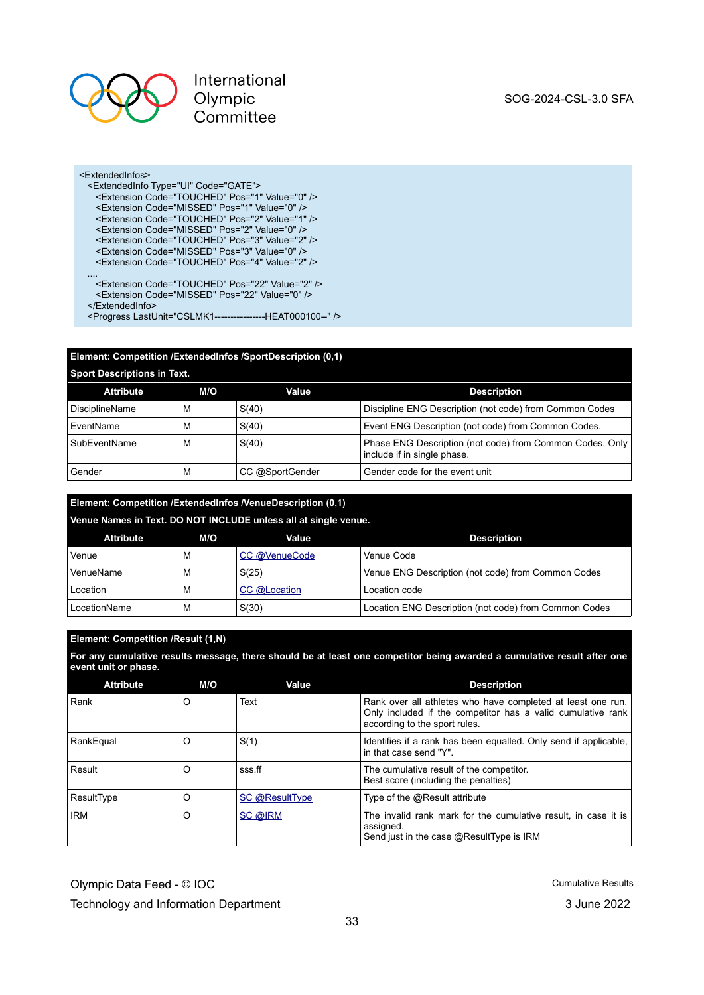

#### <ExtendedInfos>

- <ExtendedInfo Type="UI" Code="GATE"> <Extension Code="TOUCHED" Pos="1" Value="0" />
- <Extension Code="MISSED" Pos="1" Value="0" />
- <Extension Code="TOUCHED" Pos="2" Value="1" />
- <Extension Code="MISSED" Pos="2" Value="0" />
- <Extension Code="TOUCHED" Pos="3" Value="2" />
- <Extension Code="MISSED" Pos="3" Value="0" />
- <Extension Code="TOUCHED" Pos="4" Value="2" />
- .... <Extension Code="TOUCHED" Pos="22" Value="2" /> <Extension Code="MISSED" Pos="22" Value="0" />
- </ExtendedInfo>
- <Progress LastUnit="CSLMK1----------------HEAT000100--" />

## <span id="page-32-2"></span>**Element: Competition /ExtendedInfos /SportDescription (0,1)**

| <b>Sport Descriptions in Text.</b> |     |       |                                                                                         |  |  |
|------------------------------------|-----|-------|-----------------------------------------------------------------------------------------|--|--|
| <b>Attribute</b>                   | M/O | Value | <b>Description</b>                                                                      |  |  |
| DisciplineName                     | м   | S(40) | Discipline ENG Description (not code) from Common Codes                                 |  |  |
| EventName                          | м   | S(40) | Event ENG Description (not code) from Common Codes.                                     |  |  |
| SubEventName                       | M   | S(40) | Phase ENG Description (not code) from Common Codes. Only<br>include if in single phase. |  |  |

| Gender | M | CC @SportGender | Gender code for the event unit |
|--------|---|-----------------|--------------------------------|

<span id="page-32-1"></span>

| <b>Element: Competition /ExtendedInfos /VenueDescription (0.1)</b> |   |               |                                                       |  |  |
|--------------------------------------------------------------------|---|---------------|-------------------------------------------------------|--|--|
| Venue Names in Text. DO NOT INCLUDE unless all at single venue.    |   |               |                                                       |  |  |
| <b>Attribute</b><br>M/O<br>Value<br><b>Description</b>             |   |               |                                                       |  |  |
| Venue                                                              | м | CC @VenueCode | Venue Code                                            |  |  |
| VenueName                                                          | м | S(25)         | Venue ENG Description (not code) from Common Codes    |  |  |
| Location                                                           | м | CC @Location  | Location code                                         |  |  |
| LocationName                                                       | м | S(30)         | Location ENG Description (not code) from Common Codes |  |  |

#### <span id="page-32-0"></span>**Element: Competition /Result (1,N)**

**For any cumulative results message, there should be at least one competitor being awarded a cumulative result after one event unit or phase.**

| <b>Attribute</b> | M/O | Value                 | <b>Description</b>                                                                                                                                          |
|------------------|-----|-----------------------|-------------------------------------------------------------------------------------------------------------------------------------------------------------|
| Rank             | O   | Text                  | Rank over all athletes who have completed at least one run.<br>Only included if the competitor has a valid cumulative rank<br>according to the sport rules. |
| RankEqual        | O   | S(1)                  | Identifies if a rank has been equalled. Only send if applicable,<br>in that case send "Y".                                                                  |
| Result           | O   | sss ff                | The cumulative result of the competitor.<br>Best score (including the penalties)                                                                            |
| ResultType       | O   | <b>SC @ResultType</b> | Type of the @Result attribute                                                                                                                               |
| <b>IRM</b>       | O   | SC @IRM               | The invalid rank mark for the cumulative result, in case it is<br>assigned.<br>Send just in the case @ResultType is IRM                                     |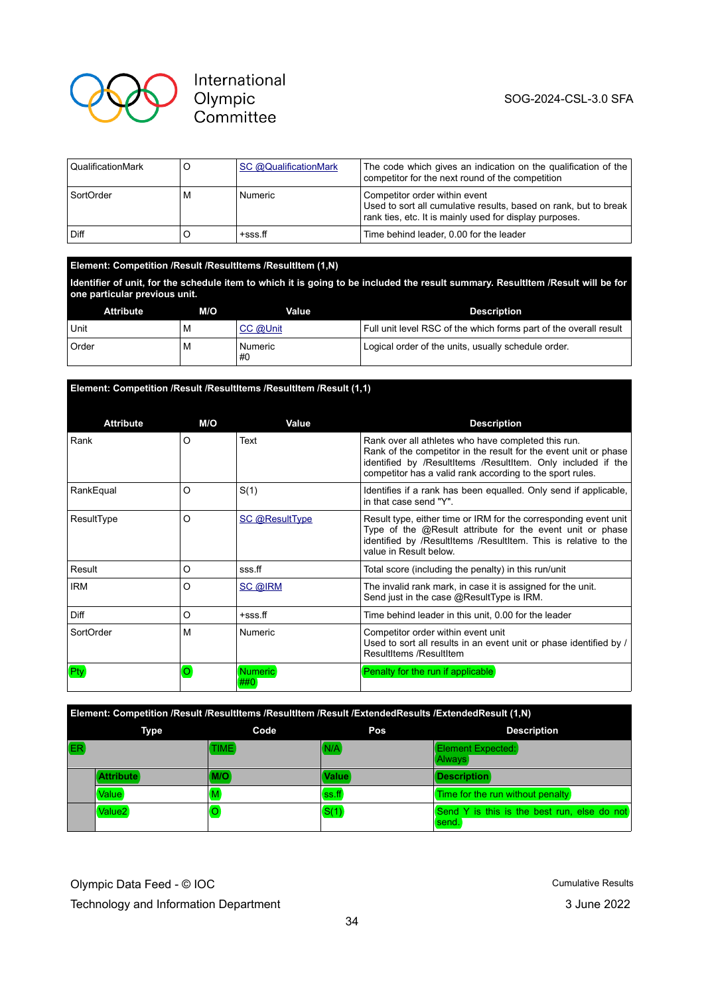

| QualificationMark |   | SC @QualificationMark | The code which gives an indication on the qualification of the<br>competitor for the next round of the competition                                           |
|-------------------|---|-----------------------|--------------------------------------------------------------------------------------------------------------------------------------------------------------|
| SortOrder         | М | Numeric               | Competitor order within event<br>Used to sort all cumulative results, based on rank, but to break<br>rank ties, etc. It is mainly used for display purposes. |
| <b>Diff</b>       |   | $+$ sss ff            | Time behind leader, 0.00 for the leader                                                                                                                      |

<span id="page-33-0"></span>**Element: Competition /Result /ResultItems /ResultItem (1,N)**

**Identifier of unit, for the schedule item to which it is going to be included the result summary. ResultItem /Result will be for one particular previous unit.**

| Attribute | M/O | Value         | <b>Description</b>                                                |
|-----------|-----|---------------|-------------------------------------------------------------------|
| Unit      | M   | CC @Unit      | Full unit level RSC of the which forms part of the overall result |
| Order     | М   | Numeric<br>#0 | Logical order of the units, usually schedule order.               |

<span id="page-33-2"></span>

| Element: Competition /Result /ResultItems /ResultItem /Result (1,1) |         |                       |                                                                                                                                                                                                                                                      |  |
|---------------------------------------------------------------------|---------|-----------------------|------------------------------------------------------------------------------------------------------------------------------------------------------------------------------------------------------------------------------------------------------|--|
| <b>Attribute</b>                                                    | M/O     | Value                 | <b>Description</b>                                                                                                                                                                                                                                   |  |
| Rank                                                                | O       | Text                  | Rank over all athletes who have completed this run.<br>Rank of the competitor in the result for the event unit or phase<br>identified by /ResultItems /ResultItem. Only included if the<br>competitor has a valid rank according to the sport rules. |  |
| RankEqual                                                           | O       | S(1)                  | Identifies if a rank has been equalled. Only send if applicable,<br>in that case send "Y".                                                                                                                                                           |  |
| ResultType                                                          | $\circ$ | <b>SC @ResultType</b> | Result type, either time or IRM for the corresponding event unit<br>Type of the @Result attribute for the event unit or phase<br>identified by /ResultItems /ResultItem. This is relative to the<br>value in Result below.                           |  |
| Result                                                              | O       | sss.ff                | Total score (including the penalty) in this run/unit                                                                                                                                                                                                 |  |
| <b>IRM</b>                                                          | O       | SC @IRM               | The invalid rank mark, in case it is assigned for the unit.<br>Send just in the case @ResultType is IRM.                                                                                                                                             |  |
| Diff                                                                | O       | $+$ sss ff            | Time behind leader in this unit, 0.00 for the leader                                                                                                                                                                                                 |  |
| SortOrder                                                           | м       | <b>Numeric</b>        | Competitor order within event unit<br>Used to sort all results in an event unit or phase identified by /<br>ResultItems / ResultItem                                                                                                                 |  |
| Pty                                                                 | $\circ$ | <b>Numeric</b><br>##0 | Penalty for the run if applicable                                                                                                                                                                                                                    |  |

<span id="page-33-1"></span>

|     | Element: Competition /Result /ResultItems /ResultItem /Result /ExtendedResults /ExtendedResult (1,N) |             |         |                                                      |  |  |
|-----|------------------------------------------------------------------------------------------------------|-------------|---------|------------------------------------------------------|--|--|
|     | Type                                                                                                 | Code        | Pos     | <b>Description</b>                                   |  |  |
| ER) |                                                                                                      | <b>TIME</b> | N/A     | <b>Element Expected:</b><br><b>Always</b>            |  |  |
|     | <b>Attribute</b>                                                                                     | M/O         | Value l | <b>Description</b>                                   |  |  |
|     | <b>Value</b>                                                                                         |             | ss.ff   | Time for the run without penalty                     |  |  |
|     | Value <sub>2</sub>                                                                                   |             | S(1)    | Send Y is this is the best run, else do not<br>send. |  |  |

Olympic Data Feed - © IOC Cumulative Results Technology and Information Department 3 June 2022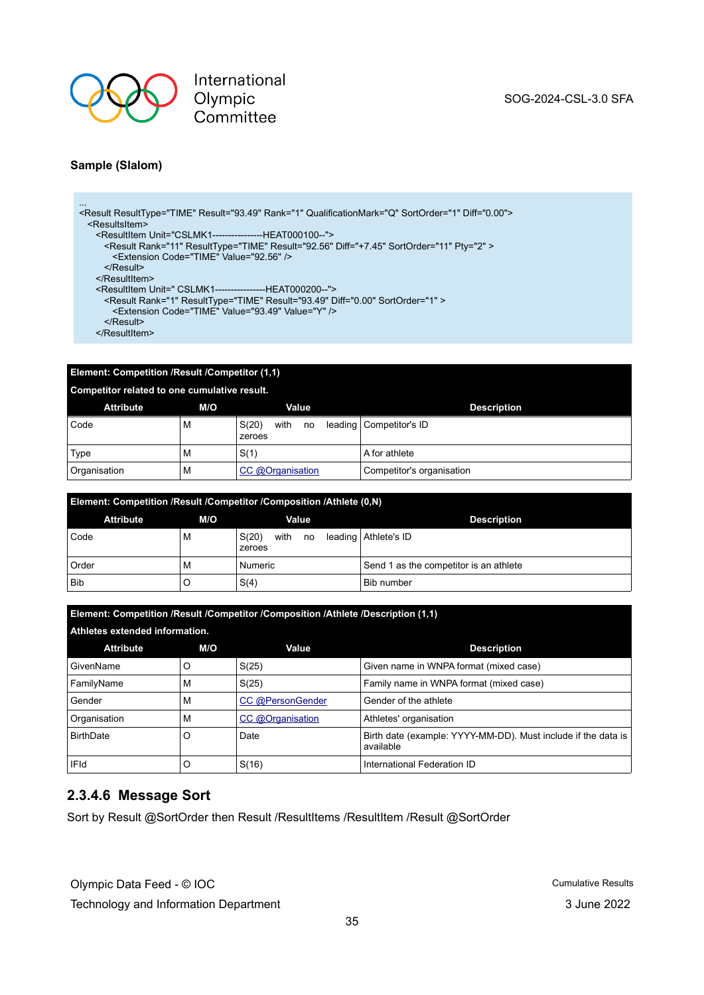

#### **Sample (Slalom)**

... <Result ResultType="TIME" Result="93.49" Rank="1" QualificationMark="Q" SortOrder="1" Diff="0.00"> <ResultsItem> <ResultItem Unit="CSLMK1----------------HEAT000100--"> <Result Rank="11" ResultType="TIME" Result="92.56" Diff="+7.45" SortOrder="11" Pty="2" > <Extension Code="TIME" Value="92.56" /> </Result> </ResultItem> <ResultItem Unit=" CSLMK1----------------HEAT000200--"> <Result Rank="1" ResultType="TIME" Result="93.49" Diff="0.00" SortOrder="1" > <Extension Code="TIME" Value="93.49" Value="Y" /> </Result> </ResultItem>

## <span id="page-34-3"></span>**Element: Competition /Result /Competitor (1,1)**

#### **Competitor related to one cumulative result.**

| <b>Attribute</b> | M/O | Value                         | <b>Description</b>        |
|------------------|-----|-------------------------------|---------------------------|
| Code             | M   | S(20)<br>with<br>no<br>zeroes | leading   Competitor's ID |
| Type             | M   | S(1)                          | A for athlete             |
| Organisation     | M   | CC @Organisation              | Competitor's organisation |

<span id="page-34-2"></span>

| Element: Competition /Result /Competitor /Composition /Athlete (0,N) |     |                               |                                        |  |  |
|----------------------------------------------------------------------|-----|-------------------------------|----------------------------------------|--|--|
| <b>Attribute</b>                                                     | M/O | Value                         | <b>Description</b>                     |  |  |
| Code                                                                 | м   | S(20)<br>with<br>no<br>zeroes | leading   Athlete's ID                 |  |  |
| Order                                                                | м   | Numeric                       | Send 1 as the competitor is an athlete |  |  |
| <b>Bib</b>                                                           |     | S(4)                          | Bib number                             |  |  |

<span id="page-34-1"></span>**Element: Competition /Result /Competitor /Composition /Athlete /Description (1,1)**

| Athletes extended information. |     |                  |                                                                            |  |  |  |
|--------------------------------|-----|------------------|----------------------------------------------------------------------------|--|--|--|
| <b>Attribute</b>               | M/O | Value            | <b>Description</b>                                                         |  |  |  |
| GivenName                      | O   | S(25)            | Given name in WNPA format (mixed case)                                     |  |  |  |
| FamilyName                     | м   | S(25)            | Family name in WNPA format (mixed case)                                    |  |  |  |
| Gender                         | М   | CC @PersonGender | Gender of the athlete                                                      |  |  |  |
| Organisation                   | м   | CC @Organisation | Athletes' organisation                                                     |  |  |  |
| <b>BirthDate</b>               | O   | Date             | Birth date (example: YYYY-MM-DD). Must include if the data is<br>available |  |  |  |
| IFId                           | O   | S(16)            | International Federation ID                                                |  |  |  |

#### <span id="page-34-0"></span>**2.3.4.6 Message Sort**

Sort by Result @SortOrder then Result /ResultItems /ResultItem /Result @SortOrder

Olympic Data Feed - © IOC **Cumulative Results** Technology and Information Department 3 June 2022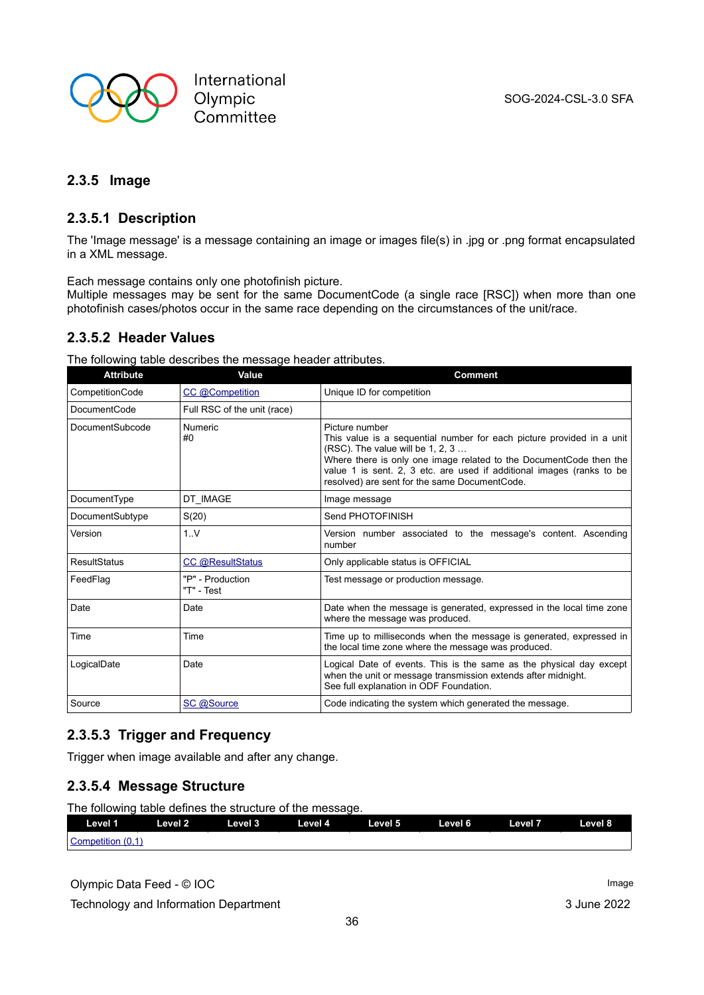

## <span id="page-35-4"></span>**2.3.5 Image**

#### <span id="page-35-3"></span>**2.3.5.1 Description**

The 'Image message' is a message containing an image or images file(s) in .jpg or .png format encapsulated in a XML message.

Each message contains only one photofinish picture.

Multiple messages may be sent for the same DocumentCode (a single race [RSC]) when more than one photofinish cases/photos occur in the same race depending on the circumstances of the unit/race.

## <span id="page-35-2"></span>**2.3.5.2 Header Values**

The following table describes the message header attributes.

| <b>Attribute</b>    | Value                          | <b>Comment</b>                                                                                                                                                                                                                                                                                                                 |
|---------------------|--------------------------------|--------------------------------------------------------------------------------------------------------------------------------------------------------------------------------------------------------------------------------------------------------------------------------------------------------------------------------|
| CompetitionCode     | CC @Competition                | Unique ID for competition                                                                                                                                                                                                                                                                                                      |
| <b>DocumentCode</b> | Full RSC of the unit (race)    |                                                                                                                                                                                                                                                                                                                                |
| DocumentSubcode     | Numeric<br>#0                  | Picture number<br>This value is a sequential number for each picture provided in a unit<br>(RSC). The value will be $1, 2, 3$<br>Where there is only one image related to the Document Code then the<br>value 1 is sent. 2, 3 etc. are used if additional images (ranks to be<br>resolved) are sent for the same DocumentCode. |
| DocumentType        | DT_IMAGE                       | Image message                                                                                                                                                                                                                                                                                                                  |
| DocumentSubtype     | S(20)                          | Send PHOTOFINISH                                                                                                                                                                                                                                                                                                               |
| Version             | 1.1V                           | Version number associated to the message's content. Ascending<br>number                                                                                                                                                                                                                                                        |
| <b>ResultStatus</b> | CC @ResultStatus               | Only applicable status is OFFICIAL                                                                                                                                                                                                                                                                                             |
| FeedFlag            | "P" - Production<br>"T" - Test | Test message or production message.                                                                                                                                                                                                                                                                                            |
| Date                | Date                           | Date when the message is generated, expressed in the local time zone<br>where the message was produced.                                                                                                                                                                                                                        |
| Time                | Time                           | Time up to milliseconds when the message is generated, expressed in<br>the local time zone where the message was produced.                                                                                                                                                                                                     |
| LogicalDate         | Date                           | Logical Date of events. This is the same as the physical day except<br>when the unit or message transmission extends after midnight.<br>See full explanation in ODF Foundation.                                                                                                                                                |
| Source              | SC @Source                     | Code indicating the system which generated the message.                                                                                                                                                                                                                                                                        |

#### <span id="page-35-1"></span>**2.3.5.3 Trigger and Frequency**

Trigger when image available and after any change.

#### <span id="page-35-0"></span>**2.3.5.4 Message Structure**

| The following table defines the structure of the message. |         |         |         |         |         |         |                |
|-----------------------------------------------------------|---------|---------|---------|---------|---------|---------|----------------|
| Level 1                                                   | Level 2 | Level 3 | Level 4 | Level 5 | Level 6 | Level 7 | <b>Level 8</b> |
| Competition (0,1)                                         |         |         |         |         |         |         |                |

Olympic Data Feed - © IOC Image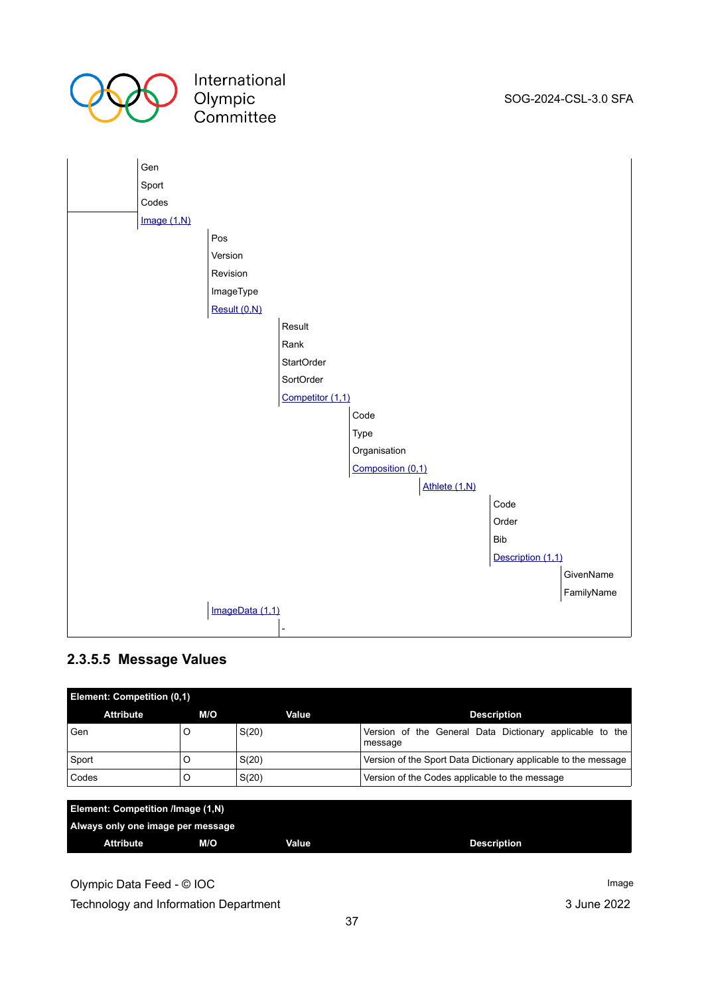

International

Olympic Committee

#### SOG-2024-CSL-3.0 SFA



## <span id="page-36-0"></span>**2.3.5.5 Message Values**

<span id="page-36-1"></span>

| <b>Element: Competition (0,1)</b> |     |       |                                                                     |  |  |
|-----------------------------------|-----|-------|---------------------------------------------------------------------|--|--|
| <b>Attribute</b>                  | M/O | Value | <b>Description</b>                                                  |  |  |
| Gen                               |     | S(20) | Version of the General Data Dictionary applicable to the<br>message |  |  |
| Sport                             |     | S(20) | Version of the Sport Data Dictionary applicable to the message      |  |  |
| Codes                             |     | S(20) | Version of the Codes applicable to the message                      |  |  |

<span id="page-36-2"></span>

| Element: Competition /Image (1,N) |     |       |                    |  |  |
|-----------------------------------|-----|-------|--------------------|--|--|
| Always only one image per message |     |       |                    |  |  |
| <b>Attribute</b>                  | M/O | Value | <b>Description</b> |  |  |
|                                   |     |       |                    |  |  |

Olympic Data Feed - © IOC Image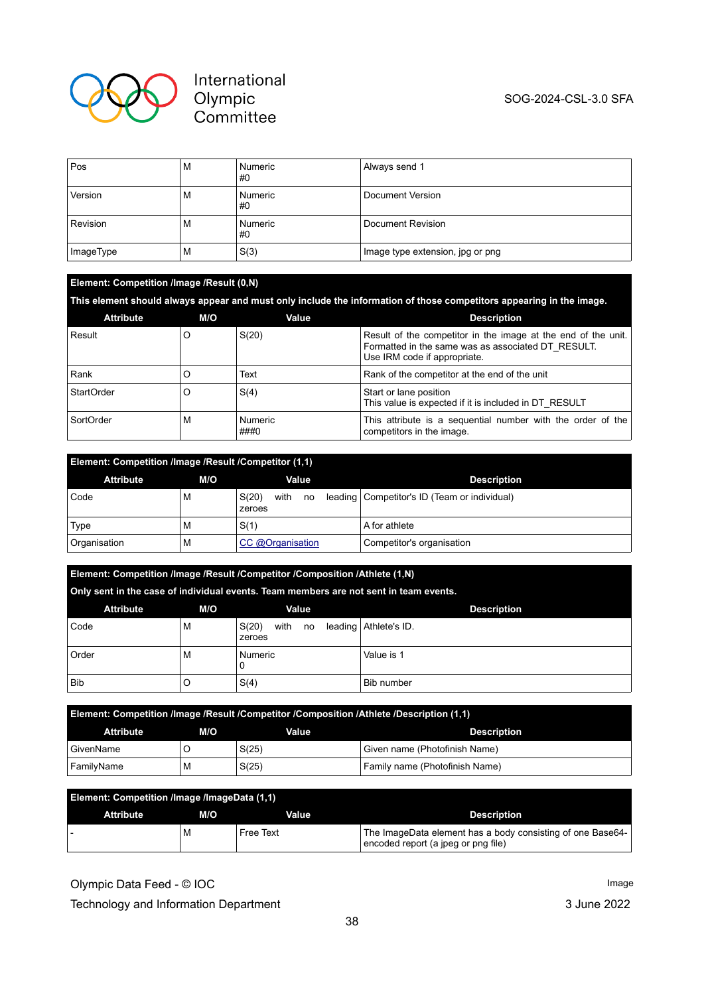

| Pos       | M | Numeric<br>#0 | Always send 1                    |
|-----------|---|---------------|----------------------------------|
| Version   | М | Numeric<br>#0 | Document Version                 |
| Revision  | М | Numeric<br>#0 | Document Revision                |
| ImageType | M | S(3)          | Image type extension, jpg or png |

<span id="page-37-4"></span>

| Element: Competition /Image /Result (0,N) |                                    |                        |                                                                                                                                                     |  |  |
|-------------------------------------------|------------------------------------|------------------------|-----------------------------------------------------------------------------------------------------------------------------------------------------|--|--|
|                                           |                                    |                        | This element should always appear and must only include the information of those competitors appearing in the image.                                |  |  |
| <b>Attribute</b>                          | M/O<br>Value<br><b>Description</b> |                        |                                                                                                                                                     |  |  |
| Result                                    | O                                  | S(20)                  | Result of the competitor in the image at the end of the unit.<br>Formatted in the same was as associated DT RESULT.<br>Use IRM code if appropriate. |  |  |
| Rank                                      | O                                  | Text                   | Rank of the competitor at the end of the unit                                                                                                       |  |  |
| <b>StartOrder</b>                         | O                                  | S(4)                   | Start or lane position<br>This value is expected if it is included in DT RESULT                                                                     |  |  |
| SortOrder                                 | м                                  | <b>Numeric</b><br>###0 | This attribute is a sequential number with the order of the<br>competitors in the image.                                                            |  |  |

<span id="page-37-3"></span>

| Element: Competition /Image /Result /Competitor (1,1) |     |                               |                                                |
|-------------------------------------------------------|-----|-------------------------------|------------------------------------------------|
| <b>Attribute</b>                                      | M/O | Value                         | <b>Description</b>                             |
| Code                                                  | м   | S(20)<br>with<br>no<br>zeroes | leading   Competitor's ID (Team or individual) |
| Type                                                  | M   | S(1)                          | A for athlete                                  |
| Organisation                                          | м   | CC @Organisation              | Competitor's organisation                      |

<span id="page-37-2"></span>**Element: Competition /Image /Result /Competitor /Composition /Athlete (1,N) Only sent in the case of individual events. Team members are not sent in team events.**

| only ooin in the case of marriagal overlier ream monitore are not come in team overlier |     |                               |                         |  |  |  |
|-----------------------------------------------------------------------------------------|-----|-------------------------------|-------------------------|--|--|--|
| <b>Attribute</b>                                                                        | M/O | Value                         | <b>Description</b>      |  |  |  |
| Code                                                                                    | M   | S(20)<br>with<br>no<br>zeroes | leading   Athlete's ID. |  |  |  |
| Order                                                                                   | M   | Numeric<br>U                  | Value is 1              |  |  |  |
| <b>Bib</b>                                                                              | Ô   | S(4)                          | Bib number              |  |  |  |

<span id="page-37-1"></span>

| Element: Competition /Image /Result /Competitor /Composition /Athlete /Description (1,1) |     |       |                                |  |  |
|------------------------------------------------------------------------------------------|-----|-------|--------------------------------|--|--|
| <b>Attribute</b>                                                                         | M/O | Value | Description                    |  |  |
| GivenName                                                                                |     | S(25) | Given name (Photofinish Name)  |  |  |
| FamilyName                                                                               | м   | S(25) | Family name (Photofinish Name) |  |  |

<span id="page-37-0"></span>

| <b>Element: Competition <i>I</i>mage /ImageData (1,1)</b> |     |           |                                                                                                   |  |  |
|-----------------------------------------------------------|-----|-----------|---------------------------------------------------------------------------------------------------|--|--|
| <b>Attribute</b>                                          | M/O | Value     | Description                                                                                       |  |  |
|                                                           | м   | Free Text | The ImageData element has a body consisting of one Base64-<br>encoded report (a jpeg or png file) |  |  |

Olympic Data Feed - © IOC Image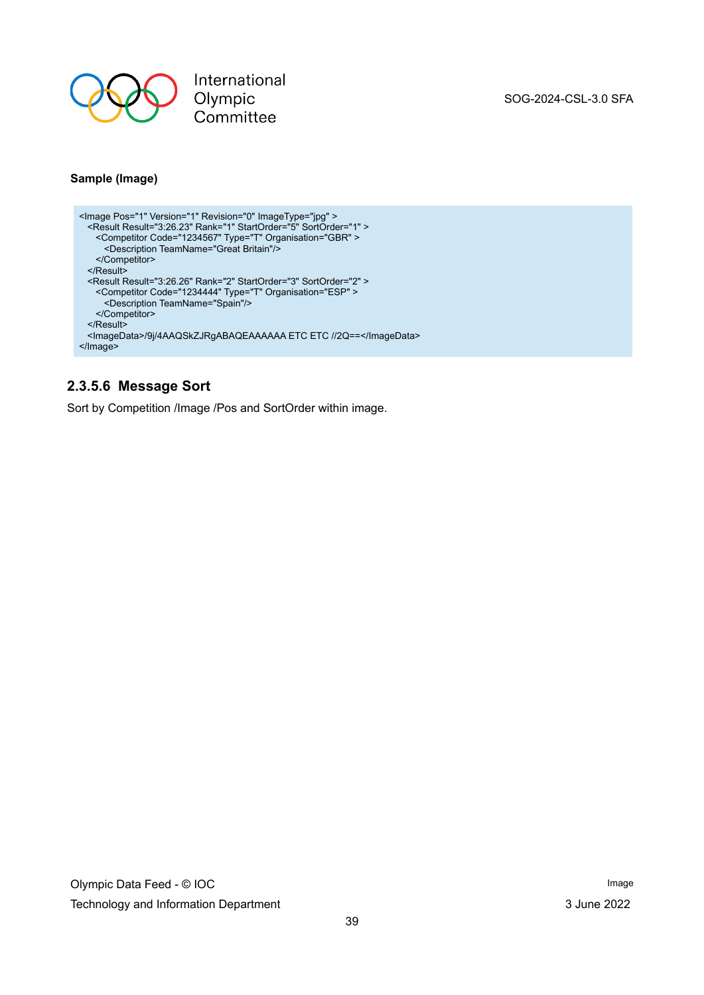

#### **Sample (Image)**

| <lmage imagetype="jpg" pos="1" revision="0" version="1"><br/><result rank="1" result="3:26.23" sortorder="1" startorder="5"></result></lmage> |  |
|-----------------------------------------------------------------------------------------------------------------------------------------------|--|
| <competitor code="1234567" organisation="GBR" type="T"></competitor>                                                                          |  |
| <description teamname="Great Britain"></description>                                                                                          |  |
| <br>$<$ /Result>                                                                                                                              |  |
| <result rank="2" result="3:26.26" sortorder="2" startorder="3"></result>                                                                      |  |
| <competitor code="1234444" organisation="ESP" type="T"></competitor>                                                                          |  |
| <description teamname="Spain"></description><br>                                                                                              |  |
| $<$ /Result>                                                                                                                                  |  |
| <lmagedata>/9i/4AAQSkZJRgABAQEAAAAAA ETC ETC //2Q==</lmagedata>                                                                               |  |
| $<$ /Image>                                                                                                                                   |  |

## <span id="page-38-0"></span>**2.3.5.6 Message Sort**

Sort by Competition /Image /Pos and SortOrder within image.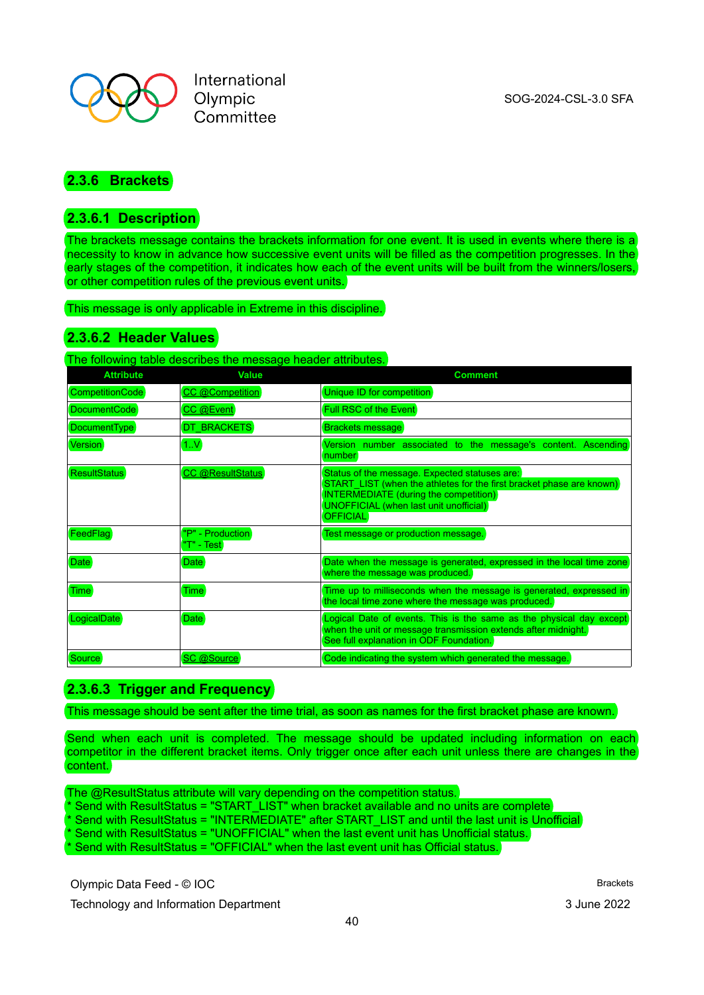

#### <span id="page-39-0"></span>**2.3.6 Brackets**

#### <span id="page-39-3"></span>**2.3.6.1 Description**

The brackets message contains the brackets information for one event. It is used in events where there is a necessity to know in advance how successive event units will be filled as the competition progresses. In the early stages of the competition, it indicates how each of the event units will be built from the winners/losers, or other competition rules of the previous event units.

This message is only applicable in Extreme in this discipline.

#### <span id="page-39-2"></span>**2.3.6.2 Header Values**

The following table describes the message header attributes.

| <b>Attribute</b>    | <b>Value</b>                  | <b>Comment</b>                                                                                                                                                                                                                     |
|---------------------|-------------------------------|------------------------------------------------------------------------------------------------------------------------------------------------------------------------------------------------------------------------------------|
| CompetitionCode     | CC @Competition               | Unique ID for competition                                                                                                                                                                                                          |
| DocumentCode        | CC @Event                     | Full RSC of the Event                                                                                                                                                                                                              |
| DocumentType        | DT BRACKETS                   | <b>Brackets message</b>                                                                                                                                                                                                            |
| <b>Version</b>      | 1.1V                          | Version number associated to the message's content. Ascending<br>number                                                                                                                                                            |
| <b>ResultStatus</b> | <b>CC @ResultStatus</b>       | Status of the message. Expected statuses are:<br>START LIST (when the athletes for the first bracket phase are known)<br><b>INTERMEDIATE (during the competition)</b><br>UNOFFICIAL (when last unit unofficial)<br><b>OFFICIAL</b> |
| FeedFlag            | "P" - Production<br>T" - Test | Test message or production message.                                                                                                                                                                                                |
| <b>Date</b>         | Date                          | Date when the message is generated, expressed in the local time zone<br>where the message was produced.                                                                                                                            |
| <b>Time</b>         | <b>Time</b>                   | Time up to milliseconds when the message is generated, expressed in<br>the local time zone where the message was produced.                                                                                                         |
| LogicalDate         | <b>Date</b>                   | Logical Date of events. This is the same as the physical day except<br>when the unit or message transmission extends after midnight.<br>See full explanation in ODF Foundation.                                                    |
| <b>Source</b>       | <b>SC @Source</b>             | Code indicating the system which generated the message.                                                                                                                                                                            |

#### <span id="page-39-1"></span>**2.3.6.3 Trigger and Frequency**

This message should be sent after the time trial, as soon as names for the first bracket phase are known.

Send when each unit is completed. The message should be updated including information on each competitor in the different bracket items. Only trigger once after each unit unless there are changes in the content.

The @ResultStatus attribute will vary depending on the competition status.

Send with ResultStatus = "START\_LIST" when bracket available and no units are complete

Send with ResultStatus = "INTERMEDIATE" after START\_LIST and until the last unit is Unofficial

Send with ResultStatus = "UNOFFICIAL" when the last event unit has Unofficial status.

Send with ResultStatus = "OFFICIAL" when the last event unit has Official status.

Olympic Data Feed - © IOC Brackets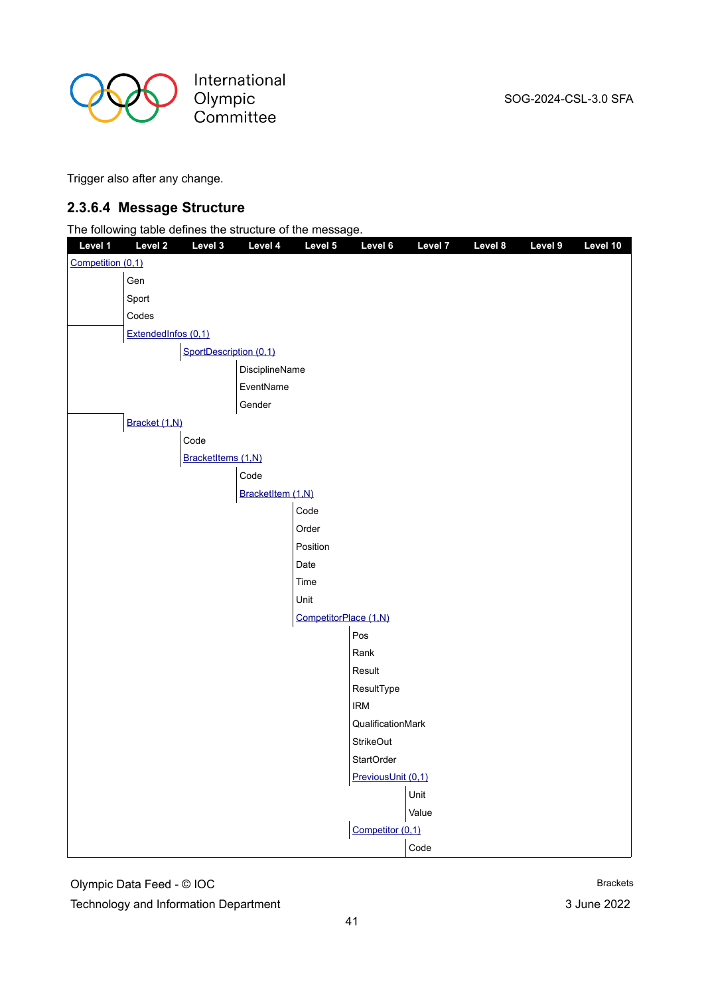

Trigger also after any change.

## <span id="page-40-0"></span>**2.3.6.4 Message Structure**

The following table defines the structure of the message.

| Level 1           | Level 2             | Level 3                | Level 4           | Level 5               | Level 6            | Level 7 | Level 8 | Level 9 | Level 10 |
|-------------------|---------------------|------------------------|-------------------|-----------------------|--------------------|---------|---------|---------|----------|
| Competition (0,1) |                     |                        |                   |                       |                    |         |         |         |          |
|                   | Gen                 |                        |                   |                       |                    |         |         |         |          |
|                   | Sport               |                        |                   |                       |                    |         |         |         |          |
|                   | Codes               |                        |                   |                       |                    |         |         |         |          |
|                   | ExtendedInfos (0,1) |                        |                   |                       |                    |         |         |         |          |
|                   |                     | SportDescription (0,1) |                   |                       |                    |         |         |         |          |
|                   |                     |                        | DisciplineName    |                       |                    |         |         |         |          |
|                   |                     |                        | EventName         |                       |                    |         |         |         |          |
|                   |                     |                        | Gender            |                       |                    |         |         |         |          |
|                   | Bracket (1,N)       |                        |                   |                       |                    |         |         |         |          |
|                   |                     | Code                   |                   |                       |                    |         |         |         |          |
|                   |                     | BracketItems (1,N)     |                   |                       |                    |         |         |         |          |
|                   |                     |                        | Code              |                       |                    |         |         |         |          |
|                   |                     |                        | BracketItem (1,N) |                       |                    |         |         |         |          |
|                   |                     |                        |                   | Code                  |                    |         |         |         |          |
|                   |                     |                        |                   | Order                 |                    |         |         |         |          |
|                   |                     |                        |                   | Position              |                    |         |         |         |          |
|                   |                     |                        |                   | Date                  |                    |         |         |         |          |
|                   |                     |                        |                   | Time                  |                    |         |         |         |          |
|                   |                     |                        |                   | Unit                  |                    |         |         |         |          |
|                   |                     |                        |                   | CompetitorPlace (1,N) |                    |         |         |         |          |
|                   |                     |                        |                   |                       | Pos                |         |         |         |          |
|                   |                     |                        |                   |                       | Rank               |         |         |         |          |
|                   |                     |                        |                   |                       | Result             |         |         |         |          |
|                   |                     |                        |                   |                       | ResultType         |         |         |         |          |
|                   |                     |                        |                   |                       | <b>IRM</b>         |         |         |         |          |
|                   |                     |                        |                   |                       | QualificationMark  |         |         |         |          |
|                   |                     |                        |                   |                       | <b>StrikeOut</b>   |         |         |         |          |
|                   |                     |                        |                   |                       | StartOrder         |         |         |         |          |
|                   |                     |                        |                   |                       | PreviousUnit (0,1) |         |         |         |          |
|                   |                     |                        |                   |                       |                    | Unit    |         |         |          |
|                   |                     |                        |                   |                       |                    | Value   |         |         |          |
|                   |                     |                        |                   |                       | Competitor (0,1)   |         |         |         |          |
|                   |                     |                        |                   |                       |                    | Code    |         |         |          |

Olympic Data Feed - © IOC Brackets Technology and Information Department 3 June 2022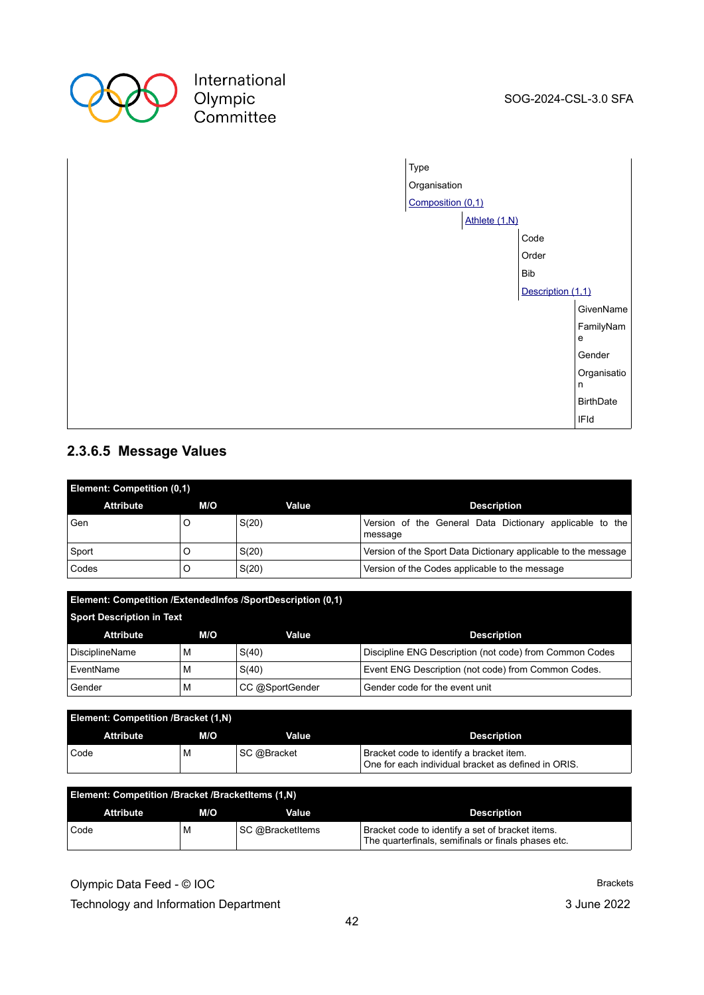



## <span id="page-41-0"></span>**2.3.6.5 Message Values**

<span id="page-41-4"></span>

| <b>Element: Competition (0,1)</b> |     |       |                                                                     |  |  |  |
|-----------------------------------|-----|-------|---------------------------------------------------------------------|--|--|--|
| <b>Attribute</b>                  | M/O | Value | <b>Description</b>                                                  |  |  |  |
| Gen                               |     | S(20) | Version of the General Data Dictionary applicable to the<br>message |  |  |  |
| Sport                             |     | S(20) | Version of the Sport Data Dictionary applicable to the message      |  |  |  |
| Codes                             |     | S(20) | Version of the Codes applicable to the message                      |  |  |  |

<span id="page-41-3"></span>

| Element: Competition /ExtendedInfos /SportDescription (0.1) |     |                 |                                                         |  |  |
|-------------------------------------------------------------|-----|-----------------|---------------------------------------------------------|--|--|
| <b>Sport Description in Text</b>                            |     |                 |                                                         |  |  |
| <b>Attribute</b>                                            | M/O | Value           | <b>Description</b>                                      |  |  |
| <b>DisciplineName</b>                                       | M   | S(40)           | Discipline ENG Description (not code) from Common Codes |  |  |
| EventName                                                   | M   | S(40)           | Event ENG Description (not code) from Common Codes.     |  |  |
| Gender                                                      | M   | CC @SportGender | Gender code for the event unit                          |  |  |

<span id="page-41-2"></span>

| <b>Element: Competition /Bracket (1,N)</b> |     |             |                                                                                                 |  |  |  |
|--------------------------------------------|-----|-------------|-------------------------------------------------------------------------------------------------|--|--|--|
| <b>Attribute</b>                           | M/O | Value       | <b>Description</b>                                                                              |  |  |  |
| Code                                       | M   | SC @Bracket | Bracket code to identify a bracket item.<br>One for each individual bracket as defined in ORIS. |  |  |  |

<span id="page-41-1"></span>

| <b>Element: Competition /Bracket /BracketItems (1,N)</b> |     |                  |                                                                                                         |  |  |
|----------------------------------------------------------|-----|------------------|---------------------------------------------------------------------------------------------------------|--|--|
| <b>Attribute</b>                                         | M/O | Value            | <b>Description</b>                                                                                      |  |  |
| Code                                                     | M   | SC @BracketItems | Bracket code to identify a set of bracket items.<br>The quarterfinals, semifinals or finals phases etc. |  |  |

Olympic Data Feed - © IOC Brackets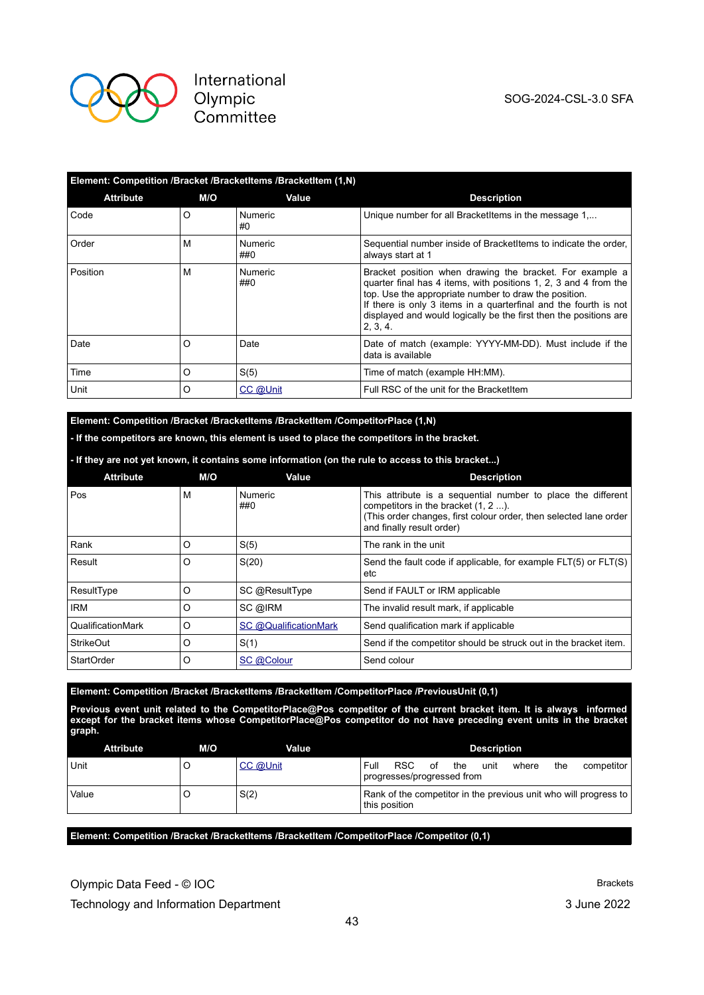

<span id="page-42-3"></span>

| Element: Competition /Bracket /BracketItems /BracketItem (1,N) |     |                       |                                                                                                                                                                                                                                                                                                                                            |  |
|----------------------------------------------------------------|-----|-----------------------|--------------------------------------------------------------------------------------------------------------------------------------------------------------------------------------------------------------------------------------------------------------------------------------------------------------------------------------------|--|
| <b>Attribute</b>                                               | M/O | Value                 | <b>Description</b>                                                                                                                                                                                                                                                                                                                         |  |
| Code                                                           | O   | <b>Numeric</b><br>#0  | Unique number for all BracketItems in the message 1                                                                                                                                                                                                                                                                                        |  |
| Order                                                          | м   | <b>Numeric</b><br>##0 | Sequential number inside of BracketItems to indicate the order,<br>always start at 1                                                                                                                                                                                                                                                       |  |
| Position                                                       | м   | <b>Numeric</b><br>##0 | Bracket position when drawing the bracket. For example a<br>quarter final has 4 items, with positions 1, 2, 3 and 4 from the<br>top. Use the appropriate number to draw the position.<br>If there is only 3 items in a quarterfinal and the fourth is not<br>displayed and would logically be the first then the positions are<br>2, 3, 4. |  |
| Date                                                           | O   | Date                  | Date of match (example: YYYY-MM-DD). Must include if the<br>data is available                                                                                                                                                                                                                                                              |  |
| Time                                                           | O   | S(5)                  | Time of match (example HH:MM).                                                                                                                                                                                                                                                                                                             |  |
| Unit                                                           | O   | CC @Unit              | Full RSC of the unit for the BracketItem                                                                                                                                                                                                                                                                                                   |  |

<span id="page-42-2"></span>**Element: Competition /Bracket /BracketItems /BracketItem /CompetitorPlace (1,N)**

**- If the competitors are known, this element is used to place the competitors in the bracket.**

If they are not yet known, it contains some information (on the rule to access to this bracket...)

| <b>Attribute</b>  | M/O     | Value                 | <b>Description</b>                                                                                                                                                                                       |
|-------------------|---------|-----------------------|----------------------------------------------------------------------------------------------------------------------------------------------------------------------------------------------------------|
| Pos               | М       | <b>Numeric</b><br>##0 | This attribute is a sequential number to place the different<br>competitors in the bracket $(1, 2)$ .<br>(This order changes, first colour order, then selected lane order)<br>and finally result order) |
| Rank              | O       | S(5)                  | The rank in the unit                                                                                                                                                                                     |
| Result            | O       | S(20)                 | Send the fault code if applicable, for example FLT(5) or FLT(S)<br>etc                                                                                                                                   |
| ResultType        | O       | SC @ResultType        | Send if FAULT or IRM applicable                                                                                                                                                                          |
| <b>IRM</b>        | O       | SC @IRM               | The invalid result mark, if applicable                                                                                                                                                                   |
| QualificationMark | $\circ$ | SC @QualificationMark | Send qualification mark if applicable                                                                                                                                                                    |
| <b>StrikeOut</b>  | O       | S(1)                  | Send if the competitor should be struck out in the bracket item.                                                                                                                                         |
| <b>StartOrder</b> | O       | SC @Colour            | Send colour                                                                                                                                                                                              |

<span id="page-42-1"></span>**Element: Competition /Bracket /BracketItems /BracketItem /CompetitorPlace /PreviousUnit (0,1)**

**Previous event unit related to the CompetitorPlace@Pos competitor of the current bracket item. It is always informed except for the bracket items whose CompetitorPlace@Pos competitor do not have preceding event units in the bracket graph.**

| <b>Attribute</b> | M/O | Value    | <b>Description</b>                                                                                  |
|------------------|-----|----------|-----------------------------------------------------------------------------------------------------|
| Unit             |     | CC @Unit | <b>RSC</b><br>Full<br>the<br>competitor<br>unit<br>the<br>οf<br>where<br>progresses/progressed from |
| Value            |     | S(2)     | Rank of the competitor in the previous unit who will progress to<br>this position                   |

<span id="page-42-0"></span>**Element: Competition /Bracket /BracketItems /BracketItem /CompetitorPlace /Competitor (0,1)**

Olympic Data Feed - © IOC Brackets Technology and Information Department 3 June 2022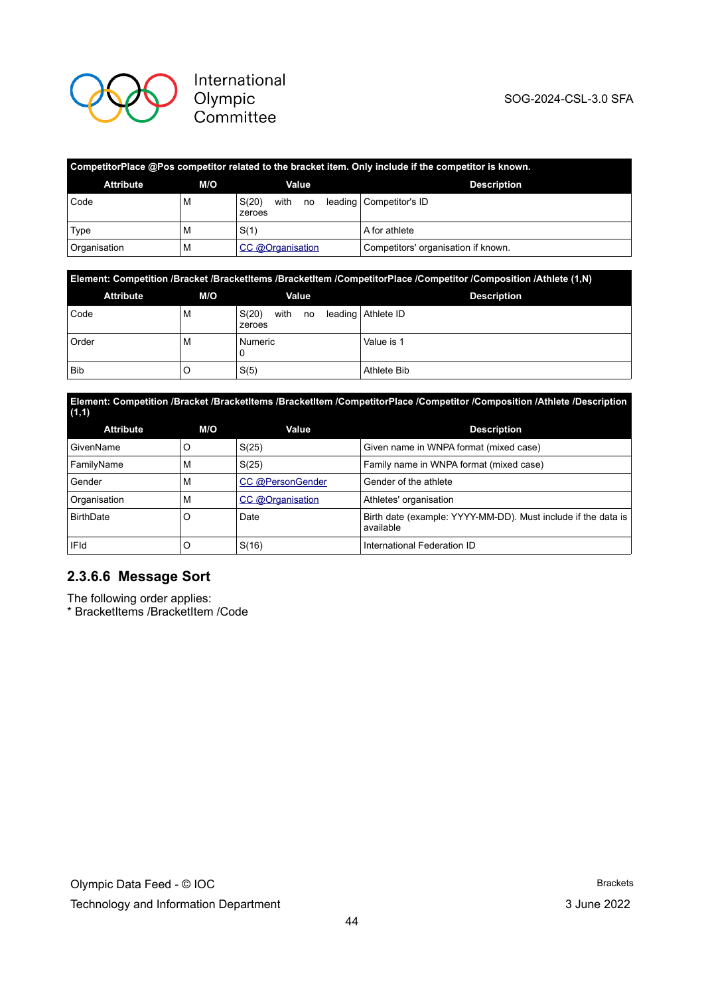

| CompetitorPlace @Pos competitor related to the bracket item. Only include if the competitor is known. |     |                               |                                     |  |  |
|-------------------------------------------------------------------------------------------------------|-----|-------------------------------|-------------------------------------|--|--|
| <b>Attribute</b>                                                                                      | M/O | Value                         | <b>Description</b>                  |  |  |
| Code                                                                                                  | M   | S(20)<br>with<br>no<br>zeroes | leading   Competitor's ID           |  |  |
| Type                                                                                                  | M   | S(1)                          | A for athlete                       |  |  |
| Organisation                                                                                          | м   | CC @Organisation              | Competitors' organisation if known. |  |  |

<span id="page-43-2"></span>**Element: Competition /Bracket /BracketItems /BracketItem /CompetitorPlace /Competitor /Composition /Athlete (1,N)**

| <b>Attribute</b> | M/O | Value                         | <b>Description</b>   |
|------------------|-----|-------------------------------|----------------------|
| Code             | M   | S(20)<br>with<br>no<br>zeroes | leading   Athlete ID |
| Order            | M   | Numeric<br>U                  | Value is 1           |
| <b>Bib</b>       |     | S(5)                          | Athlete Bib          |

<span id="page-43-1"></span>**Element: Competition /Bracket /BracketItems /BracketItem /CompetitorPlace /Competitor /Composition /Athlete /Description (1,1)**

| <b>Attribute</b> | M/O | Value            | <b>Description</b>                                                         |
|------------------|-----|------------------|----------------------------------------------------------------------------|
| GivenName        | O   | S(25)            | Given name in WNPA format (mixed case)                                     |
| FamilyName       | м   | S(25)            | Family name in WNPA format (mixed case)                                    |
| Gender           | м   | CC @PersonGender | Gender of the athlete                                                      |
| Organisation     | M   | CC @Organisation | Athletes' organisation                                                     |
| <b>BirthDate</b> | O   | Date             | Birth date (example: YYYY-MM-DD). Must include if the data is<br>available |
| IFId             | O   | S(16)            | International Federation ID                                                |

## <span id="page-43-0"></span>**2.3.6.6 Message Sort**

The following order applies:

\* BracketItems /BracketItem /Code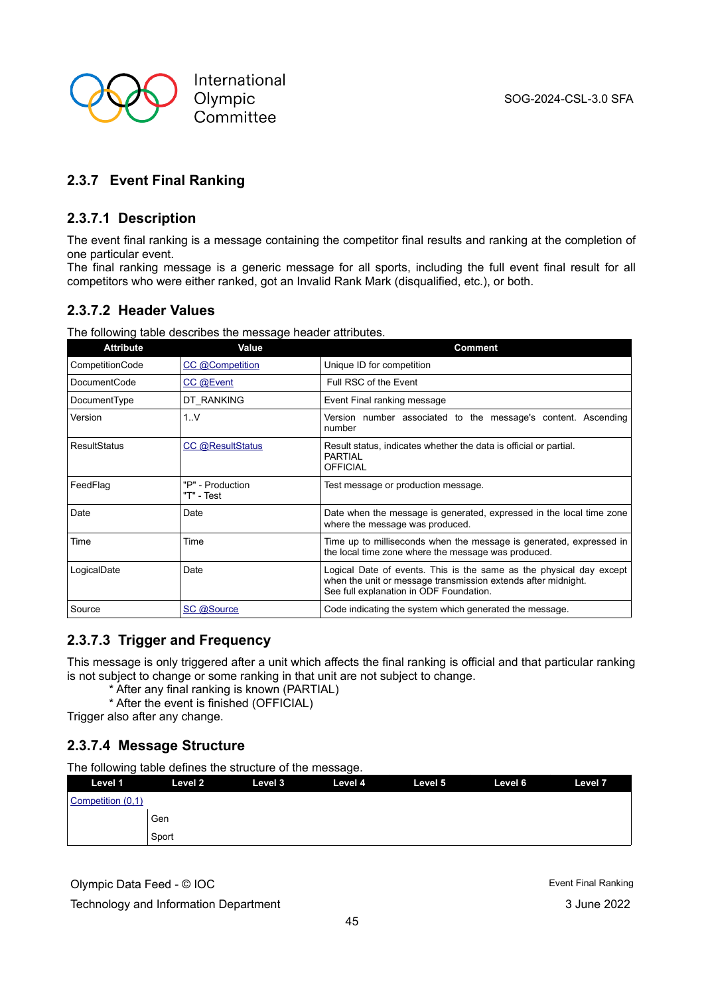

#### <span id="page-44-4"></span>**2.3.7 Event Final Ranking**

#### <span id="page-44-3"></span>**2.3.7.1 Description**

The event final ranking is a message containing the competitor final results and ranking at the completion of one particular event.

The final ranking message is a generic message for all sports, including the full event final result for all competitors who were either ranked, got an Invalid Rank Mark (disqualified, etc.), or both.

#### <span id="page-44-2"></span>**2.3.7.2 Header Values**

The following table describes the message header attributes.

| <b>Attribute</b>    | Value                          | <b>Comment</b>                                                                                                                                                                  |  |  |
|---------------------|--------------------------------|---------------------------------------------------------------------------------------------------------------------------------------------------------------------------------|--|--|
| CompetitionCode     | CC @Competition                | Unique ID for competition                                                                                                                                                       |  |  |
| DocumentCode        | CC @Event                      | Full RSC of the Event                                                                                                                                                           |  |  |
| DocumentType        | DT RANKING                     | Event Final ranking message                                                                                                                                                     |  |  |
| Version             | 1.1V                           | Version number associated to the message's content. Ascending<br>number                                                                                                         |  |  |
| <b>ResultStatus</b> | CC @ResultStatus               | Result status, indicates whether the data is official or partial.<br><b>PARTIAL</b><br><b>OFFICIAL</b>                                                                          |  |  |
| FeedFlag            | "P" - Production<br>"T" - Test | Test message or production message.                                                                                                                                             |  |  |
| Date                | Date                           | Date when the message is generated, expressed in the local time zone<br>where the message was produced.                                                                         |  |  |
| Time                | Time                           | Time up to milliseconds when the message is generated, expressed in<br>the local time zone where the message was produced.                                                      |  |  |
| LogicalDate         | Date                           | Logical Date of events. This is the same as the physical day except<br>when the unit or message transmission extends after midnight.<br>See full explanation in ODF Foundation. |  |  |
| Source              | SC @Source                     | Code indicating the system which generated the message.                                                                                                                         |  |  |

#### <span id="page-44-1"></span>**2.3.7.3 Trigger and Frequency**

This message is only triggered after a unit which affects the final ranking is official and that particular ranking is not subject to change or some ranking in that unit are not subject to change.

- \* After any final ranking is known (PARTIAL)
- <span id="page-44-0"></span>\* After the event is finished (OFFICIAL)

Trigger also after any change.

#### **2.3.7.4 Message Structure**

The following table defines the structure of the message.

| Level 1           | <b>Level 2</b> | Level 3 | Level 4 | Level 5 | Level 6 | Level 7 |
|-------------------|----------------|---------|---------|---------|---------|---------|
| Competition (0,1) |                |         |         |         |         |         |
|                   | Gen            |         |         |         |         |         |
|                   | Sport          |         |         |         |         |         |

Olympic Data Feed - © IOC **Example 2018** Event Final Ranking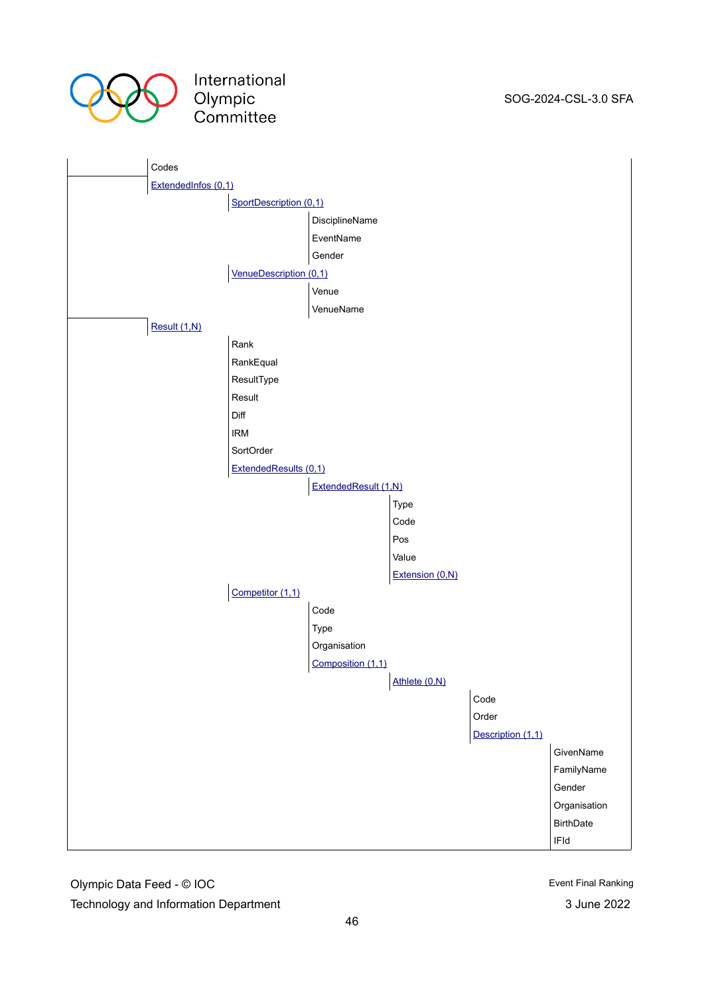



Olympic Data Feed - © IOC **Example 2018** Event Final Ranking Technology and Information Department 3 June 2022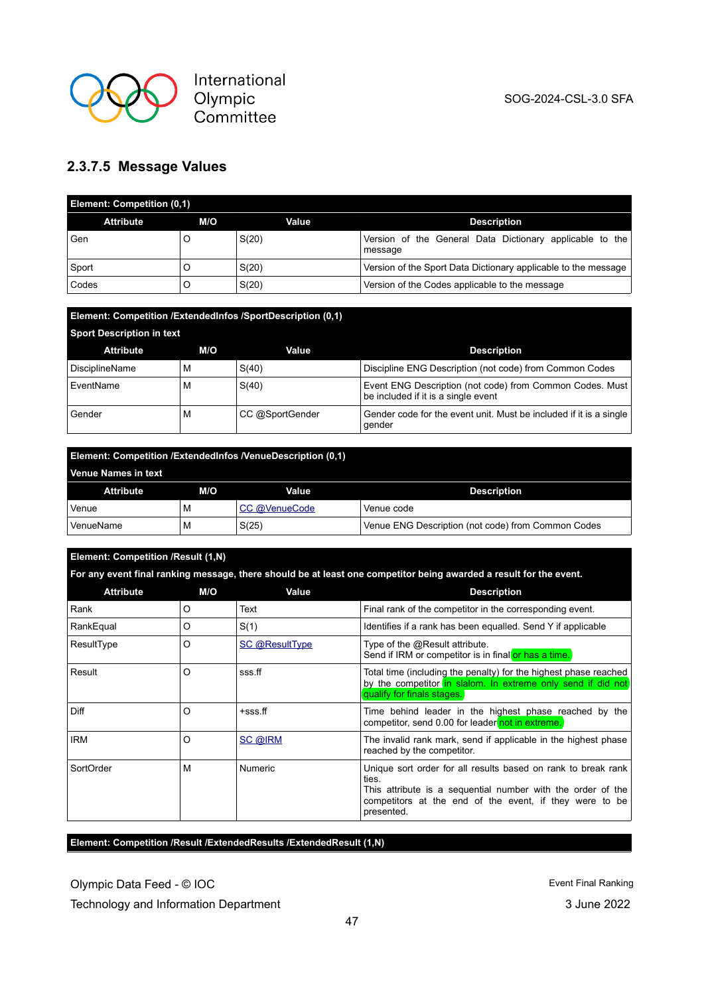

## <span id="page-46-0"></span>**2.3.7.5 Message Values**

<span id="page-46-1"></span>

| <b>Element: Competition (0,1)</b> |     |       |                                                                     |  |  |
|-----------------------------------|-----|-------|---------------------------------------------------------------------|--|--|
| <b>Attribute</b>                  | M/O | Value | <b>Description</b>                                                  |  |  |
| Gen                               |     | S(20) | Version of the General Data Dictionary applicable to the<br>message |  |  |
| Sport                             |     | S(20) | Version of the Sport Data Dictionary applicable to the message      |  |  |
| Codes                             |     | S(20) | Version of the Codes applicable to the message                      |  |  |

<span id="page-46-5"></span>

| Element: Competition /ExtendedInfos /SportDescription (0.1) |     |                 |                                                                                                 |  |  |
|-------------------------------------------------------------|-----|-----------------|-------------------------------------------------------------------------------------------------|--|--|
| <b>Sport Description in text</b>                            |     |                 |                                                                                                 |  |  |
| <b>Attribute</b>                                            | M/O | Value           | <b>Description</b>                                                                              |  |  |
| <b>DisciplineName</b>                                       | м   | S(40)           | Discipline ENG Description (not code) from Common Codes                                         |  |  |
| EventName                                                   | м   | S(40)           | Event ENG Description (not code) from Common Codes. Must<br>be included if it is a single event |  |  |
| Gender                                                      | м   | CC @SportGender | Gender code for the event unit. Must be included if it is a single<br>gender                    |  |  |

#### <span id="page-46-4"></span>**Element: Competition /ExtendedInfos /VenueDescription (0,1)**

| Venue Names in text |     |               |                                                    |  |  |
|---------------------|-----|---------------|----------------------------------------------------|--|--|
| <b>Attribute</b>    | M/O | Value         | <b>Description</b>                                 |  |  |
| Venue               | M   | CC @VenueCode | Venue code                                         |  |  |
| VenueName           | м   | S(25)         | Venue ENG Description (not code) from Common Codes |  |  |

<span id="page-46-3"></span>

|                  | Element: Competition /Result (1,N) |                       |                                                                                                                                                                                                                |  |  |
|------------------|------------------------------------|-----------------------|----------------------------------------------------------------------------------------------------------------------------------------------------------------------------------------------------------------|--|--|
|                  |                                    |                       | For any event final ranking message, there should be at least one competitor being awarded a result for the event.                                                                                             |  |  |
| <b>Attribute</b> | M/O                                | Value                 | <b>Description</b>                                                                                                                                                                                             |  |  |
| Rank             | O                                  | Text                  | Final rank of the competitor in the corresponding event.                                                                                                                                                       |  |  |
| RankEqual        | O                                  | S(1)                  | Identifies if a rank has been equalled. Send Y if applicable                                                                                                                                                   |  |  |
| ResultType       | O                                  | <b>SC @ResultType</b> | Type of the @Result attribute.<br>Send if IRM or competitor is in final or has a time.                                                                                                                         |  |  |
| Result           | O                                  | sss.ff                | Total time (including the penalty) for the highest phase reached<br>by the competitor in slalom. In extreme only send if did not<br>qualify for finals stages.                                                 |  |  |
| Diff             | O                                  | +sss.ff               | Time behind leader in the highest phase reached by the<br>competitor, send 0.00 for leader not in extreme.                                                                                                     |  |  |
| <b>IRM</b>       | O                                  | SC @IRM               | The invalid rank mark, send if applicable in the highest phase<br>reached by the competitor.                                                                                                                   |  |  |
| SortOrder        | M                                  | <b>Numeric</b>        | Unique sort order for all results based on rank to break rank<br>ties.<br>This attribute is a sequential number with the order of the<br>competitors at the end of the event, if they were to be<br>presented. |  |  |

<span id="page-46-2"></span>**Element: Competition /Result /ExtendedResults /ExtendedResult (1,N)**

Olympic Data Feed - © IOC **Example 2018** Event Final Ranking Technology and Information Department 3 June 2022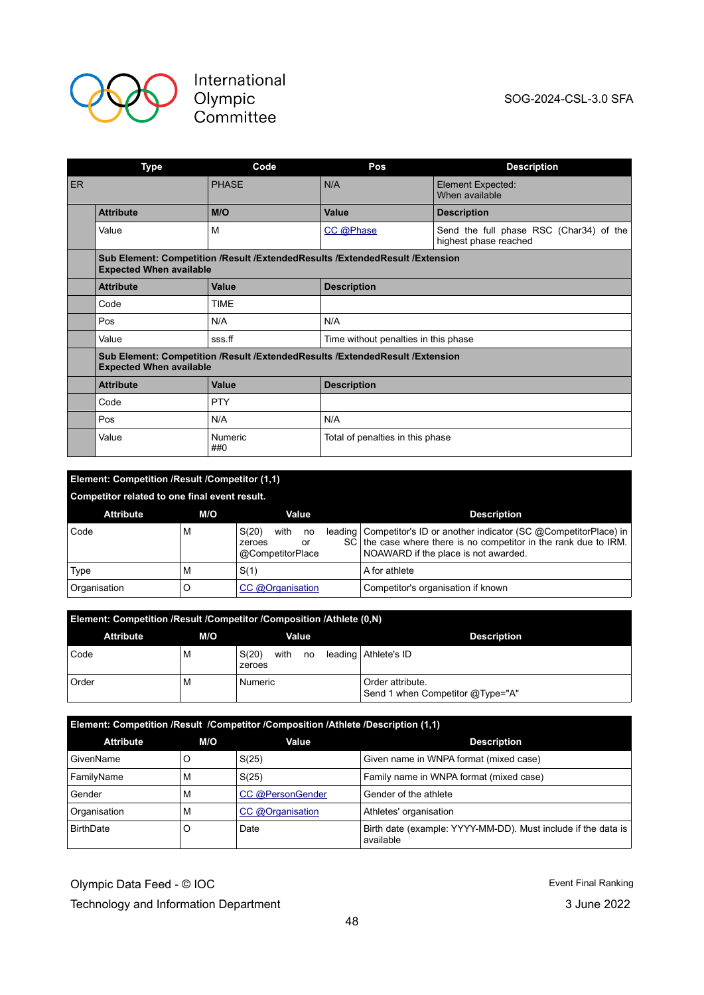

|           | <b>Type</b>                                                                                                    | Code                                                                               | Pos                                  | <b>Description</b>                                               |  |
|-----------|----------------------------------------------------------------------------------------------------------------|------------------------------------------------------------------------------------|--------------------------------------|------------------------------------------------------------------|--|
| <b>ER</b> |                                                                                                                | <b>PHASE</b>                                                                       | N/A                                  | <b>Element Expected:</b><br>When available                       |  |
|           | <b>Attribute</b>                                                                                               | M/O                                                                                | <b>Value</b>                         | <b>Description</b>                                               |  |
|           | Value                                                                                                          | M                                                                                  | CC @Phase                            | Send the full phase RSC (Char34) of the<br>highest phase reached |  |
|           | <b>Expected When available</b>                                                                                 | Sub Element: Competition / Result / Extended Results / Extended Result / Extension |                                      |                                                                  |  |
|           | <b>Attribute</b>                                                                                               | <b>Value</b>                                                                       | <b>Description</b>                   |                                                                  |  |
|           | Code                                                                                                           | <b>TIME</b>                                                                        |                                      |                                                                  |  |
|           | Pos                                                                                                            | N/A                                                                                | N/A                                  |                                                                  |  |
|           | Value                                                                                                          | sss.ff                                                                             | Time without penalties in this phase |                                                                  |  |
|           | Sub Element: Competition /Result /ExtendedResults /ExtendedResult /Extension<br><b>Expected When available</b> |                                                                                    |                                      |                                                                  |  |
|           | <b>Attribute</b>                                                                                               | <b>Value</b>                                                                       | <b>Description</b>                   |                                                                  |  |
|           | Code                                                                                                           | <b>PTY</b>                                                                         |                                      |                                                                  |  |
|           | Pos                                                                                                            | N/A                                                                                | N/A                                  |                                                                  |  |
|           | Value                                                                                                          | Numeric<br>##0                                                                     | Total of penalties in this phase     |                                                                  |  |

<span id="page-47-2"></span>

| <b>Element: Competition /Result /Competitor (1,1)</b> |     |                                                         |                                                                                                                                                                                   |  |  |
|-------------------------------------------------------|-----|---------------------------------------------------------|-----------------------------------------------------------------------------------------------------------------------------------------------------------------------------------|--|--|
| Competitor related to one final event result.         |     |                                                         |                                                                                                                                                                                   |  |  |
| <b>Attribute</b>                                      | M/O | Value                                                   | <b>Description</b>                                                                                                                                                                |  |  |
| Code                                                  | м   | S(20)<br>with<br>no<br>zeroes<br>or<br>@CompetitorPlace | leading Competitor's ID or another indicator (SC @CompetitorPlace) in<br>SC the case where there is no competitor in the rank due to IRM.<br>NOAWARD if the place is not awarded. |  |  |
| Type                                                  | м   | S(1)                                                    | A for athlete                                                                                                                                                                     |  |  |
| Organisation                                          |     | CC @Organisation                                        | Competitor's organisation if known                                                                                                                                                |  |  |

<span id="page-47-1"></span>

| <b>Element: Competition /Result /Competitor /Composition /Athlete (0,N)</b> |     |                               |                                                      |  |  |
|-----------------------------------------------------------------------------|-----|-------------------------------|------------------------------------------------------|--|--|
| <b>Attribute</b>                                                            | M/O | Value                         | <b>Description</b>                                   |  |  |
| Code                                                                        | M   | S(20)<br>with<br>no<br>zeroes | leading   Athlete's ID                               |  |  |
| Order                                                                       | м   | Numeric                       | Order attribute.<br>Send 1 when Competitor @Type="A" |  |  |

<span id="page-47-0"></span>**Element: Competition /Result /Competitor /Composition /Athlete /Description (1,1)**

| <b>Attribute</b> | M/O | Value            | <b>Description</b>                                                         |  |
|------------------|-----|------------------|----------------------------------------------------------------------------|--|
| GivenName        |     | S(25)            | Given name in WNPA format (mixed case)                                     |  |
| FamilyName       | M   | S(25)            | Family name in WNPA format (mixed case)                                    |  |
| Gender           | м   | CC @PersonGender | Gender of the athlete                                                      |  |
| Organisation     | M   | CC @Organisation | Athletes' organisation                                                     |  |
| <b>BirthDate</b> |     | Date             | Birth date (example: YYYY-MM-DD). Must include if the data is<br>available |  |

Olympic Data Feed - © IOC **Example 2018** Event Final Ranking Technology and Information Department 3 June 2022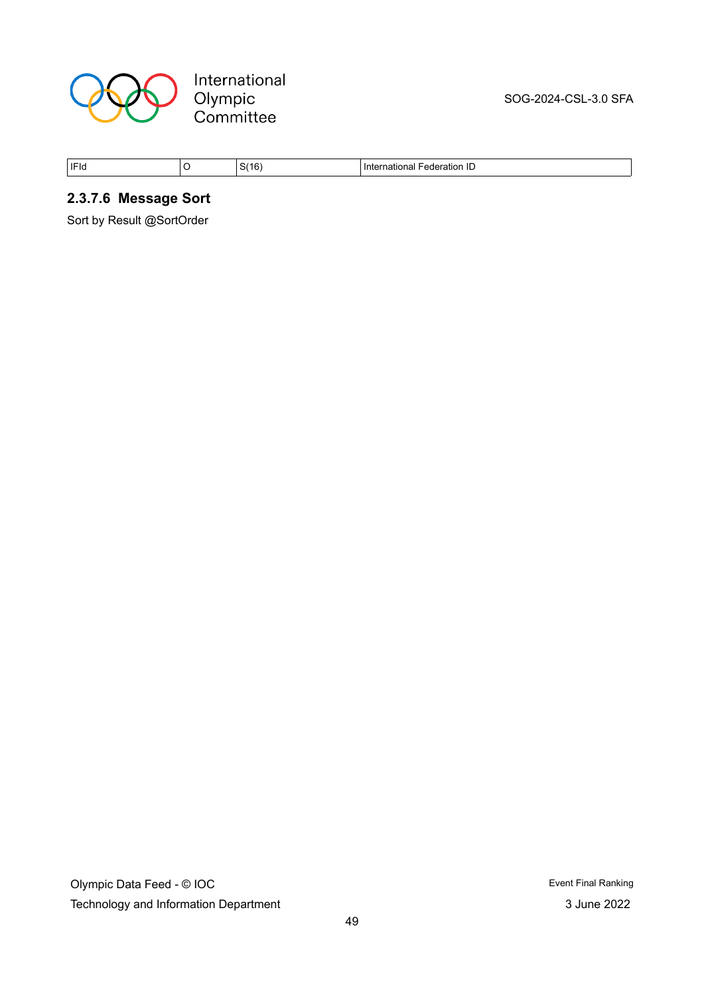

| IFK<br>- 14 | $\sim$ | ЭL.<br>v | $-$<br>. ID.<br>anon<br>ш<br>Нc<br>- <del>.</del> |
|-------------|--------|----------|---------------------------------------------------|

# <span id="page-48-0"></span>**2.3.7.6 Message Sort**

Sort by Result @SortOrder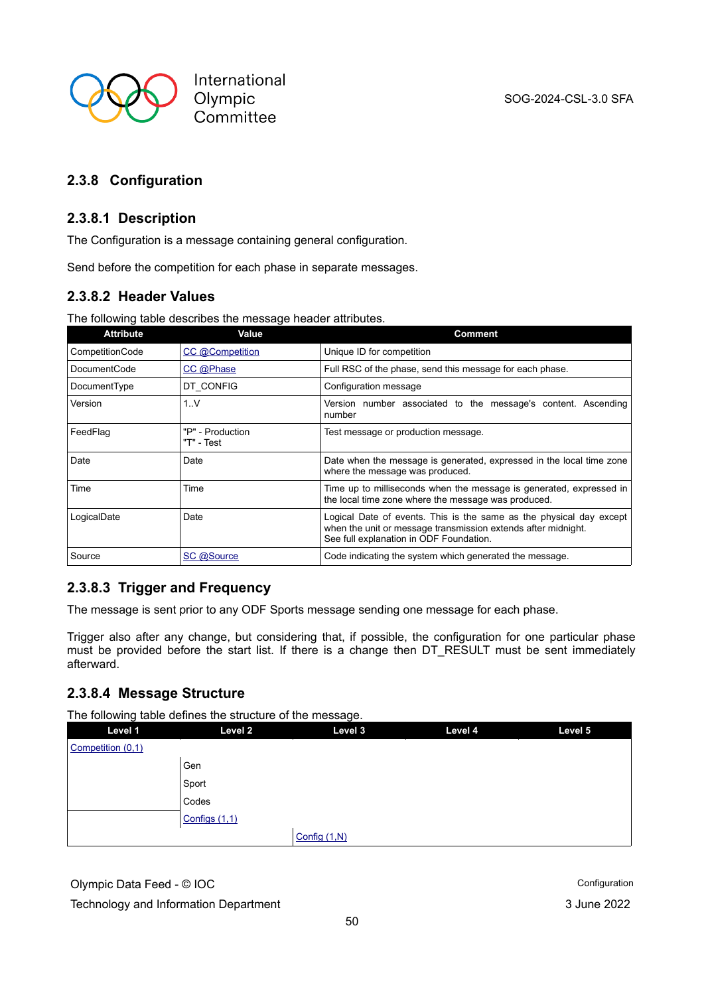

#### <span id="page-49-4"></span>**2.3.8 Configuration**

#### <span id="page-49-3"></span>**2.3.8.1 Description**

The Configuration is a message containing general configuration.

Send before the competition for each phase in separate messages.

#### <span id="page-49-2"></span>**2.3.8.2 Header Values**

The following table describes the message header attributes.

| <b>Attribute</b> | Value                          | <b>Comment</b>                                                                                                                                                                  |  |
|------------------|--------------------------------|---------------------------------------------------------------------------------------------------------------------------------------------------------------------------------|--|
| CompetitionCode  | CC @Competition                | Unique ID for competition                                                                                                                                                       |  |
| DocumentCode     | CC @Phase                      | Full RSC of the phase, send this message for each phase.                                                                                                                        |  |
| DocumentType     | DT CONFIG                      | Configuration message                                                                                                                                                           |  |
| Version          | 1.1V                           | Version number associated to the message's content. Ascending<br>number                                                                                                         |  |
| FeedFlag         | "P" - Production<br>"T" - Test | Test message or production message.                                                                                                                                             |  |
| Date             | Date                           | Date when the message is generated, expressed in the local time zone<br>where the message was produced.                                                                         |  |
| Time             | Time                           | Time up to milliseconds when the message is generated, expressed in<br>the local time zone where the message was produced.                                                      |  |
| LogicalDate      | Date                           | Logical Date of events. This is the same as the physical day except<br>when the unit or message transmission extends after midnight.<br>See full explanation in ODF Foundation. |  |
| Source           | <b>SC @Source</b>              | Code indicating the system which generated the message.                                                                                                                         |  |

#### <span id="page-49-1"></span>**2.3.8.3 Trigger and Frequency**

The message is sent prior to any ODF Sports message sending one message for each phase.

Trigger also after any change, but considering that, if possible, the configuration for one particular phase must be provided before the start list. If there is a change then DT\_RESULT must be sent immediately afterward.

#### <span id="page-49-0"></span>**2.3.8.4 Message Structure**

The following table defines the structure of the message.

| $\sim$<br>Level 1 | Level 2         | <u>.</u><br>Level 3 | Level 4 | Level 5 |
|-------------------|-----------------|---------------------|---------|---------|
| Competition (0,1) |                 |                     |         |         |
|                   | Gen             |                     |         |         |
|                   | Sport           |                     |         |         |
|                   | Codes           |                     |         |         |
|                   | Configs $(1,1)$ |                     |         |         |
|                   |                 | Config (1,N)        |         |         |

Olympic Data Feed - © IOC Configuration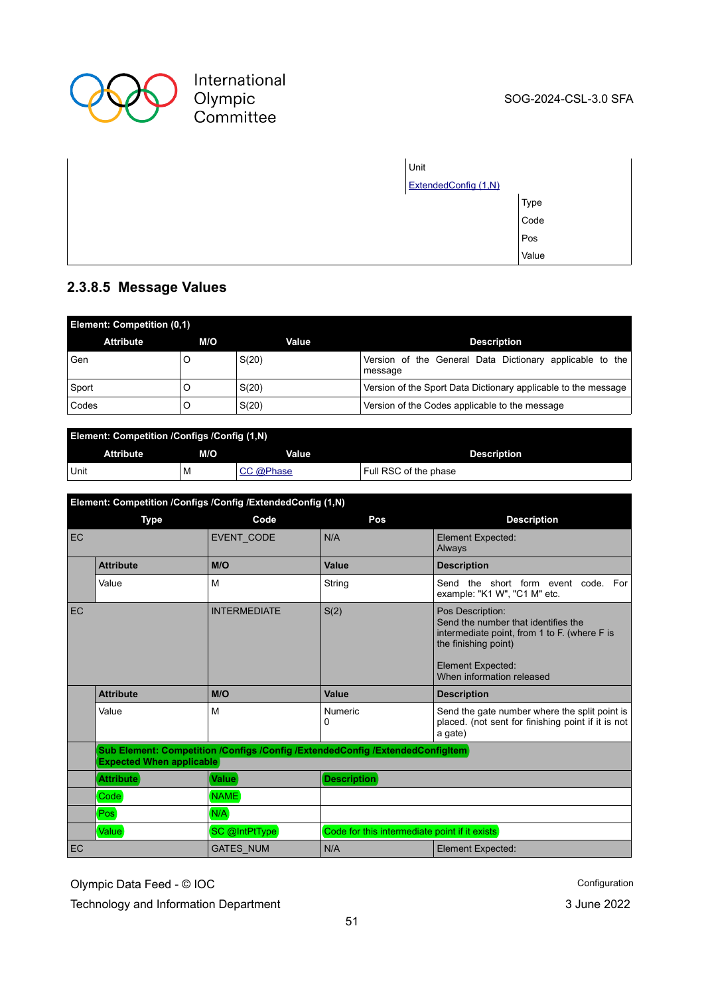![](_page_50_Picture_0.jpeg)

| Unit                 |       |
|----------------------|-------|
| ExtendedConfig (1,N) |       |
|                      | Type  |
|                      | Code  |
|                      | Pos   |
|                      | Value |

## <span id="page-50-0"></span>**2.3.8.5 Message Values**

<span id="page-50-2"></span>

| <b>Element: Competition (0,1)</b> |     |       |                                                                     |  |
|-----------------------------------|-----|-------|---------------------------------------------------------------------|--|
| <b>Attribute</b>                  | M/O | Value | <b>Description</b>                                                  |  |
| Gen                               | Ő   | S(20) | Version of the General Data Dictionary applicable to the<br>message |  |
| Sport                             | Ő   | S(20) | Version of the Sport Data Dictionary applicable to the message      |  |
| Codes                             | Ő   | S(20) | Version of the Codes applicable to the message                      |  |

<span id="page-50-1"></span>

| Element: Competition /Configs /Config (1,N) |            |           |                       |  |
|---------------------------------------------|------------|-----------|-----------------------|--|
| <b>Attribute</b>                            | M/O        | Value     | <b>Description</b>    |  |
| Unit                                        | <b>IVI</b> | CC @Phase | Full RSC of the phase |  |

<span id="page-50-3"></span>

|                                                                                                                  | Element: Competition /Configs /Config /ExtendedConfig (1,N) |                     |                                               |                                                                                                                                                                                          |  |
|------------------------------------------------------------------------------------------------------------------|-------------------------------------------------------------|---------------------|-----------------------------------------------|------------------------------------------------------------------------------------------------------------------------------------------------------------------------------------------|--|
|                                                                                                                  | <b>Type</b>                                                 | Code                | Pos                                           | <b>Description</b>                                                                                                                                                                       |  |
| EC                                                                                                               |                                                             | <b>EVENT CODE</b>   | N/A                                           | <b>Element Expected:</b><br>Always                                                                                                                                                       |  |
|                                                                                                                  | <b>Attribute</b>                                            | M/O                 | Value                                         | <b>Description</b>                                                                                                                                                                       |  |
|                                                                                                                  | Value                                                       | M                   | String                                        | Send the short form event code. For<br>example: "K1 W", "C1 M" etc.                                                                                                                      |  |
| EC                                                                                                               |                                                             | <b>INTERMEDIATE</b> | S(2)                                          | Pos Description:<br>Send the number that identifies the<br>intermediate point, from 1 to F. (where F is<br>the finishing point)<br><b>Element Expected:</b><br>When information released |  |
|                                                                                                                  | <b>Attribute</b>                                            | M/O                 | Value                                         | <b>Description</b>                                                                                                                                                                       |  |
|                                                                                                                  | Value<br>M                                                  |                     | <b>Numeric</b><br>0                           | Send the gate number where the split point is<br>placed. (not sent for finishing point if it is not<br>a gate)                                                                           |  |
| Sub Element: Competition /Configs /Config /ExtendedConfig /ExtendedConfigItem<br><b>Expected When applicable</b> |                                                             |                     |                                               |                                                                                                                                                                                          |  |
|                                                                                                                  | <b>Attribute</b><br><b>Value</b>                            |                     | <b>Description</b>                            |                                                                                                                                                                                          |  |
|                                                                                                                  | Code                                                        | <b>NAME</b>         |                                               |                                                                                                                                                                                          |  |
|                                                                                                                  | Pos)                                                        | N/A                 |                                               |                                                                                                                                                                                          |  |
|                                                                                                                  |                                                             |                     |                                               |                                                                                                                                                                                          |  |
|                                                                                                                  | <b>Value</b>                                                | SC @IntPtType       | Code for this intermediate point if it exists |                                                                                                                                                                                          |  |

Olympic Data Feed - © IOC Configuration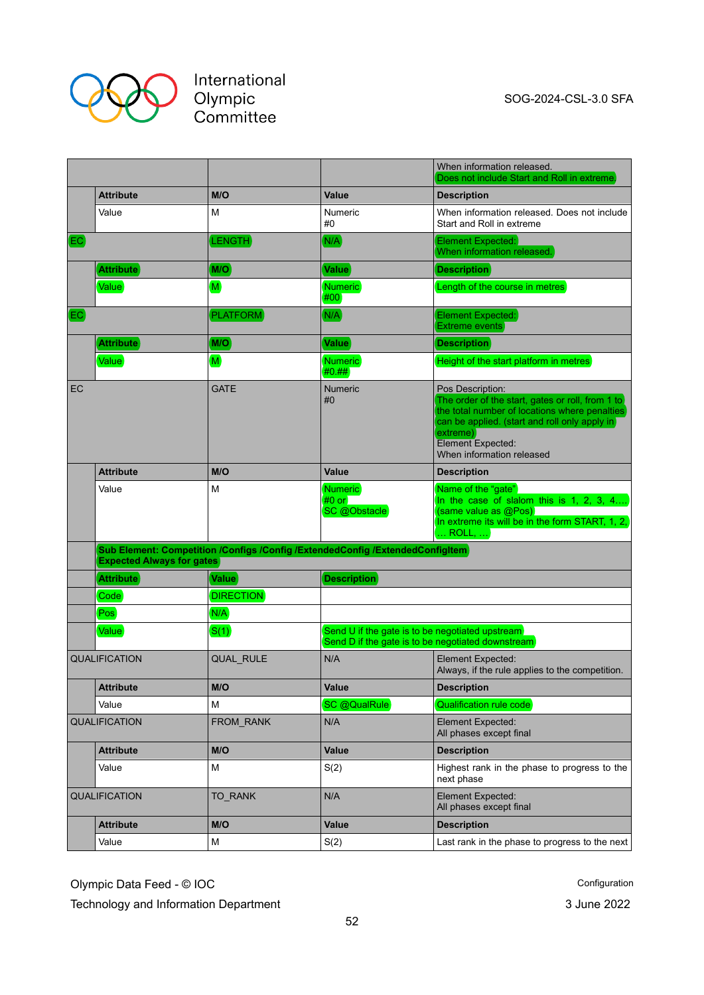![](_page_51_Picture_0.jpeg)

|                 |                                  |                  |                                                                                                      | When information released.<br>Does not include Start and Roll in extreme.                                                                                                                                                            |
|-----------------|----------------------------------|------------------|------------------------------------------------------------------------------------------------------|--------------------------------------------------------------------------------------------------------------------------------------------------------------------------------------------------------------------------------------|
|                 | <b>Attribute</b>                 | M/O              | <b>Value</b>                                                                                         | <b>Description</b>                                                                                                                                                                                                                   |
|                 | Value                            | M                | <b>Numeric</b><br>#0                                                                                 | When information released. Does not include<br>Start and Roll in extreme                                                                                                                                                             |
| EC              |                                  | <b>LENGTH</b>    | N/A                                                                                                  | Element Expected:<br>When information released.                                                                                                                                                                                      |
|                 | <b>Attribute</b>                 | M/O              | <b>Value</b>                                                                                         | <b>Description</b>                                                                                                                                                                                                                   |
|                 | <b>Value</b>                     | M                | <b>Numeric</b><br>#00                                                                                | Length of the course in metres                                                                                                                                                                                                       |
| EC <sup>1</sup> |                                  | <b>PLATFORM</b>  | N/A                                                                                                  | Element Expected:<br>Extreme events                                                                                                                                                                                                  |
|                 | <b>Attribute</b>                 | M/O              | <b>Value</b>                                                                                         | <b>Description</b>                                                                                                                                                                                                                   |
|                 | <b>Value</b>                     | M                | <b>Numeric</b><br>#0.##                                                                              | Height of the start platform in metres                                                                                                                                                                                               |
| EC              |                                  | <b>GATE</b>      | <b>Numeric</b><br>#0                                                                                 | Pos Description:<br>The order of the start, gates or roll, from 1 to<br>the total number of locations where penalties<br>can be applied. (start and roll only apply in<br>extreme)<br>Element Expected:<br>When information released |
|                 | <b>Attribute</b>                 | M/O              | <b>Value</b>                                                                                         | <b>Description</b>                                                                                                                                                                                                                   |
|                 | Value                            | M                | Numeric)<br>$#0$ or<br>SC @Obstacle                                                                  | Name of the "gate"<br>In the case of slalom this is $1, 2, 3, 4$<br>(same value as @Pos)<br>In extreme its will be in the form START, 1, 2,<br>$\ldots$ ROLL, $\ldots$                                                               |
|                 | <b>Expected Always for gates</b> |                  | Sub Element: Competition /Configs /Config /ExtendedConfig /ExtendedConfigItem                        |                                                                                                                                                                                                                                      |
|                 | <b>Attribute</b>                 | <b>Value</b>     | <b>Description</b>                                                                                   |                                                                                                                                                                                                                                      |
|                 | Code                             | <b>DIRECTION</b> |                                                                                                      |                                                                                                                                                                                                                                      |
|                 | Pos)                             | N/A              |                                                                                                      |                                                                                                                                                                                                                                      |
|                 | Value                            | S(1)             | Send U if the gate is to be negotiated upstream<br>Send D if the gate is to be negotiated downstream |                                                                                                                                                                                                                                      |
|                 | <b>QUALIFICATION</b>             | QUAL_RULE        | N/A                                                                                                  | <b>Element Expected:</b><br>Always, if the rule applies to the competition.                                                                                                                                                          |
|                 | <b>Attribute</b>                 | M/O              | <b>Value</b>                                                                                         | <b>Description</b>                                                                                                                                                                                                                   |
|                 | Value                            | M                | <b>SC @QualRule</b>                                                                                  | <b>Qualification rule code</b>                                                                                                                                                                                                       |
|                 | <b>QUALIFICATION</b>             | FROM RANK        | N/A                                                                                                  | Element Expected:<br>All phases except final                                                                                                                                                                                         |
|                 | <b>Attribute</b>                 | M/O              | Value                                                                                                | <b>Description</b>                                                                                                                                                                                                                   |
|                 | Value                            | M                | S(2)                                                                                                 | Highest rank in the phase to progress to the<br>next phase                                                                                                                                                                           |
|                 | <b>QUALIFICATION</b>             | TO_RANK          | N/A                                                                                                  | Element Expected:<br>All phases except final                                                                                                                                                                                         |
|                 | <b>Attribute</b>                 | M/O              | <b>Value</b>                                                                                         | <b>Description</b>                                                                                                                                                                                                                   |
|                 | Value                            | Μ                | S(2)                                                                                                 | Last rank in the phase to progress to the next                                                                                                                                                                                       |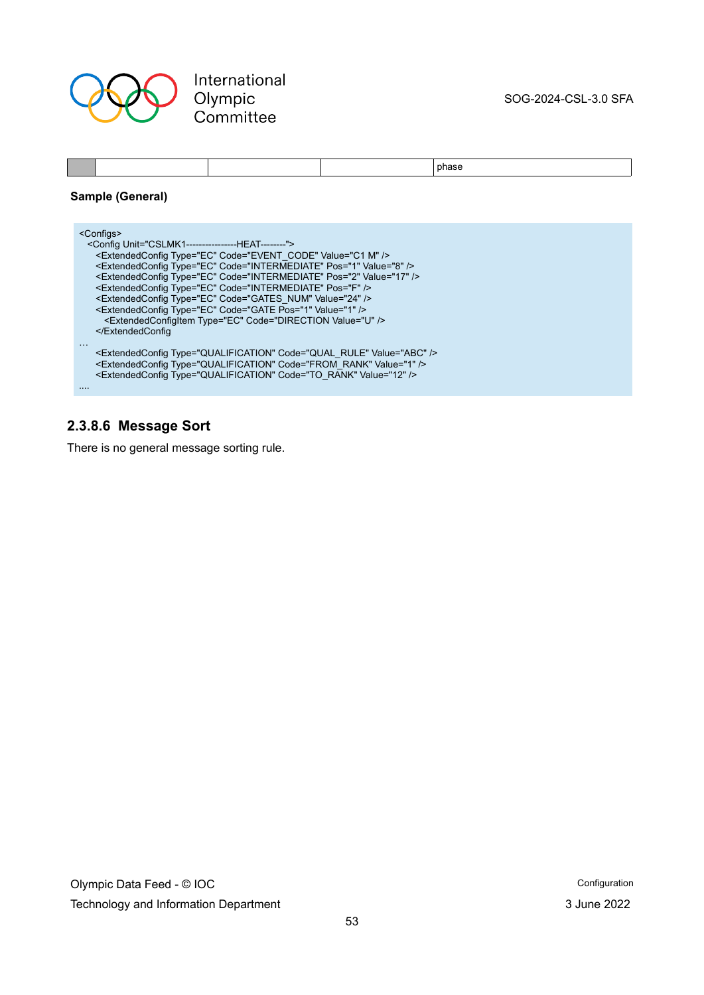![](_page_52_Picture_0.jpeg)

|  |  | ∵⊪ldS⊾ |
|--|--|--------|
|  |  |        |

#### **Sample (General)**

| .<br><extendedconfig code="QUAL RULE" type="QUALIFICATION" value="ABC"></extendedconfig><br><extendedconfig code="FROM RANK" type="QUALIFICATION" value="1"></extendedconfig><br><extendedconfig code="TO RANK" type="QUALIFICATION" value="12"></extendedconfig> | <configs><br/><config unit="CSLMK1-----------------HEAT--------"><br/><extendedconfig code="EVENT CODE" type="EC" value="C1 M"></extendedconfig><br/><extendedconfig code="INTERMEDIATE" pos="1" type="EC" value="8"></extendedconfig><br/><extendedconfiq code="INTERMEDIATE" pos="2" type="EC" value="17"></extendedconfiq><br/><extendedconfig code="INTERMEDIATE" pos="F" type="EC"></extendedconfig><br/><extendedconfig code="GATES NUM" type="EC" value="24"></extendedconfig><br/><extendedconfig 1"="" code="GATE Pos=" type="EC" value="1"></extendedconfig><br/><extendedconfigitem code="DIRECTION Value=" type="EC" u"=""></extendedconfigitem></config></configs> |  |
|-------------------------------------------------------------------------------------------------------------------------------------------------------------------------------------------------------------------------------------------------------------------|---------------------------------------------------------------------------------------------------------------------------------------------------------------------------------------------------------------------------------------------------------------------------------------------------------------------------------------------------------------------------------------------------------------------------------------------------------------------------------------------------------------------------------------------------------------------------------------------------------------------------------------------------------------------------------|--|
|                                                                                                                                                                                                                                                                   | .                                                                                                                                                                                                                                                                                                                                                                                                                                                                                                                                                                                                                                                                               |  |

## **2.3.8.6 Message Sort**

There is no general message sorting rule.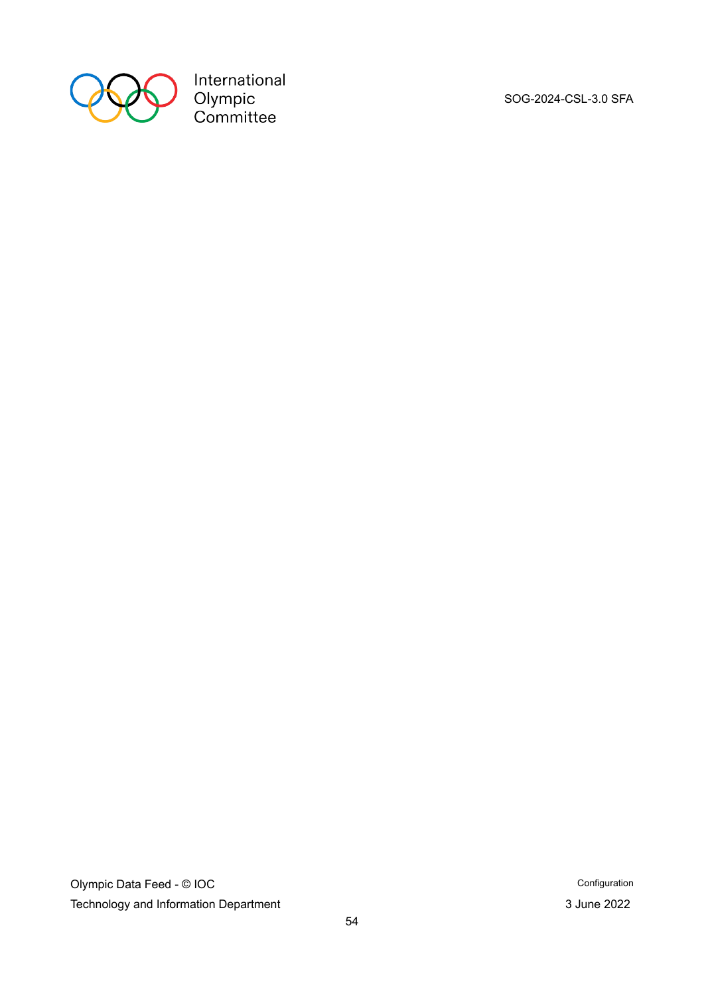![](_page_53_Picture_0.jpeg)

SOG-2024-CSL-3.0 SFA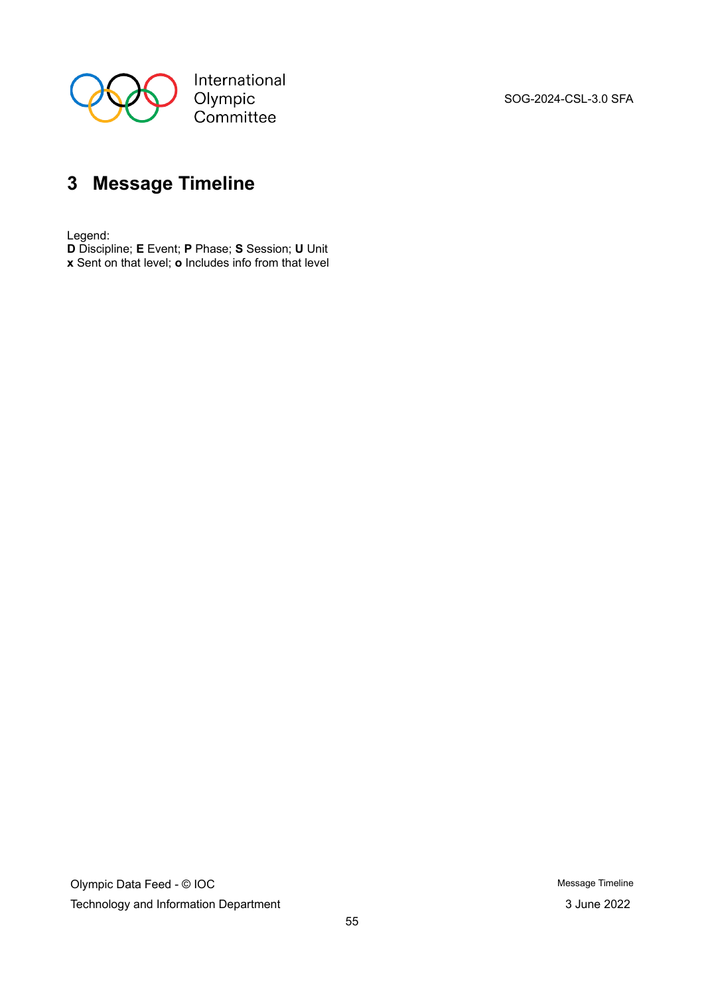![](_page_54_Picture_0.jpeg)

SOG-2024-CSL-3.0 SFA

# **3 Message Timeline**

Legend:

**D** Discipline; **E** Event; **P** Phase; **S** Session; **U** Unit **x** Sent on that level; **o** Includes info from that level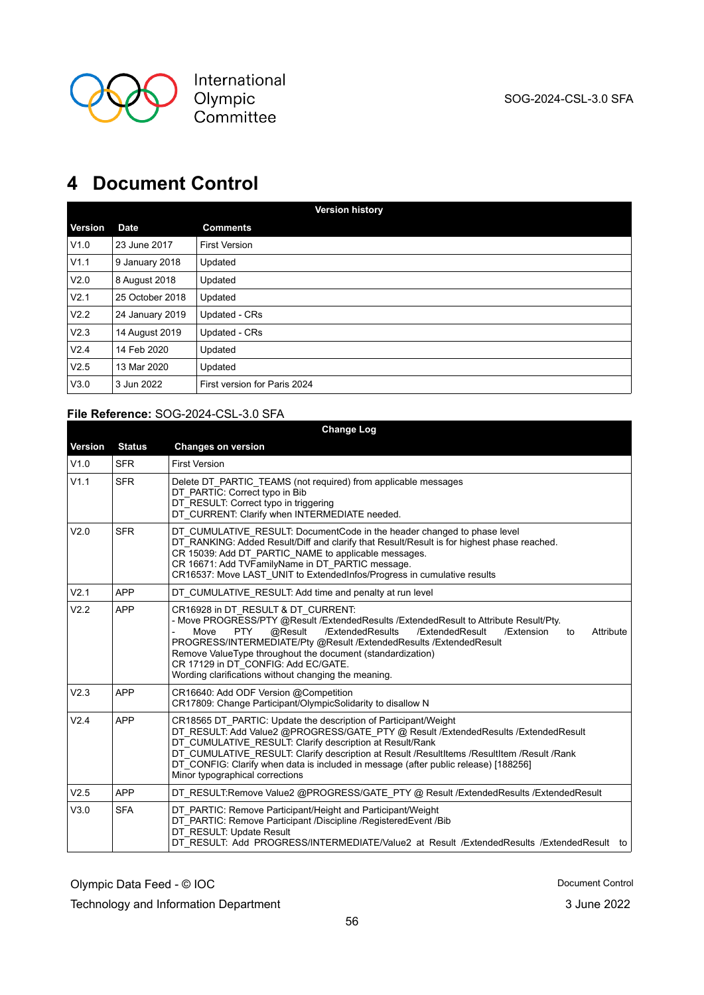![](_page_55_Picture_0.jpeg)

# **4 Document Control**

| <b>Version history</b> |                 |                              |  |
|------------------------|-----------------|------------------------------|--|
| Version                | <b>Date</b>     | <b>Comments</b>              |  |
| V1.0                   | 23 June 2017    | <b>First Version</b>         |  |
| V1.1                   | 9 January 2018  | Updated                      |  |
| V2.0                   | 8 August 2018   | Updated                      |  |
| V <sub>2.1</sub>       | 25 October 2018 | Updated                      |  |
| V2.2                   | 24 January 2019 | Updated - CRs                |  |
| V2.3                   | 14 August 2019  | Updated - CRs                |  |
| V2.4                   | 14 Feb 2020     | Updated                      |  |
| V2.5                   | 13 Mar 2020     | Updated                      |  |
| V3.0                   | 3 Jun 2022      | First version for Paris 2024 |  |

## **File Reference:** SOG-2024-CSL-3.0 SFA

| <b>Change Log</b> |               |                                                                                                                                                                                                                                                                                                                                                                                                                                                                  |
|-------------------|---------------|------------------------------------------------------------------------------------------------------------------------------------------------------------------------------------------------------------------------------------------------------------------------------------------------------------------------------------------------------------------------------------------------------------------------------------------------------------------|
| Version           | <b>Status</b> | <b>Changes on version</b>                                                                                                                                                                                                                                                                                                                                                                                                                                        |
| V1.0              | <b>SFR</b>    | <b>First Version</b>                                                                                                                                                                                                                                                                                                                                                                                                                                             |
| V1.1              | <b>SFR</b>    | Delete DT_PARTIC_TEAMS (not required) from applicable messages<br>DT PARTIC: Correct typo in Bib<br>DT RESULT: Correct typo in triggering<br>DT CURRENT: Clarify when INTERMEDIATE needed.                                                                                                                                                                                                                                                                       |
| V2.0              | <b>SFR</b>    | DT CUMULATIVE RESULT: DocumentCode in the header changed to phase level<br>DT RANKING: Added Result/Diff and clarify that Result/Result is for highest phase reached.<br>CR 15039: Add DT PARTIC NAME to applicable messages.<br>CR 16671: Add TVFamilyName in DT_PARTIC message.<br>CR16537: Move LAST UNIT to ExtendedInfos/Progress in cumulative results                                                                                                     |
| V2.1              | <b>APP</b>    | DT CUMULATIVE RESULT: Add time and penalty at run level                                                                                                                                                                                                                                                                                                                                                                                                          |
| V2.2              | <b>APP</b>    | CR16928 in DT RESULT & DT CURRENT:<br>- Move PROGRESS/PTY @Result /ExtendedResults /ExtendedResult to Attribute Result/Pty.<br>@Result<br>/ExtendedResults<br>/ExtendedResult<br>Move<br>PTY<br>/Extension<br>Attribute<br>to<br>PROGRESS/INTERMEDIATE/Pty @Result /ExtendedResults /ExtendedResult<br>Remove ValueType throughout the document (standardization)<br>CR 17129 in DT CONFIG: Add EC/GATE.<br>Wording clarifications without changing the meaning. |
| V2.3              | <b>APP</b>    | CR16640: Add ODF Version @Competition<br>CR17809: Change Participant/OlympicSolidarity to disallow N                                                                                                                                                                                                                                                                                                                                                             |
| V2.4              | <b>APP</b>    | CR18565 DT PARTIC: Update the description of Participant/Weight<br>DT RESULT: Add Value2 @PROGRESS/GATE_PTY @ Result /ExtendedResults /ExtendedResult<br>DT CUMULATIVE_RESULT: Clarify description at Result/Rank<br>DT CUMULATIVE RESULT: Clarify description at Result / ResultItems / ResultItem / Result / Rank<br>DT CONFIG: Clarify when data is included in message (after public release) [188256]<br>Minor typographical corrections                    |
| V2.5              | <b>APP</b>    | DT RESULT:Remove Value2 @PROGRESS/GATE PTY @ Result /ExtendedResults /ExtendedResult                                                                                                                                                                                                                                                                                                                                                                             |
| V3.0              | <b>SFA</b>    | DT PARTIC: Remove Participant/Height and Participant/Weight<br>DT PARTIC: Remove Participant /Discipline /RegisteredEvent /Bib<br>DT RESULT: Update Result<br>DT RESULT: Add PROGRESS/INTERMEDIATE/Value2 at Result /ExtendedResults /ExtendedResult to                                                                                                                                                                                                          |